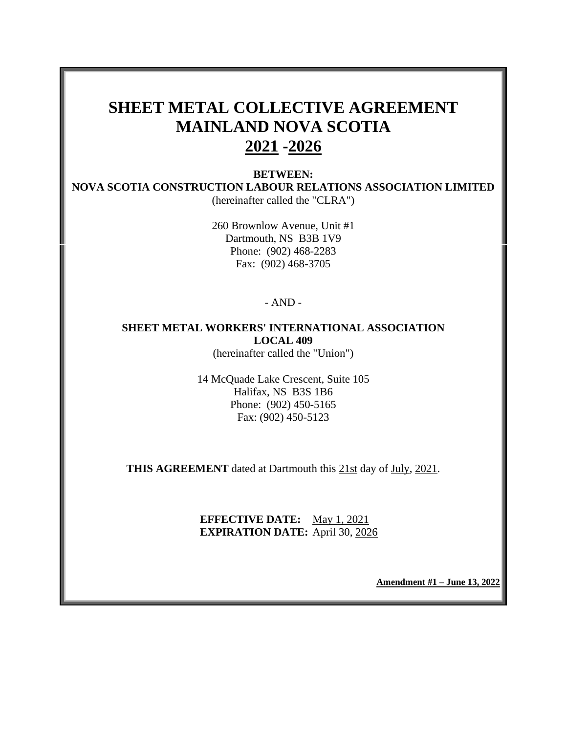# **SHEET METAL COLLECTIVE AGREEMENT MAINLAND NOVA SCOTIA 2021 -2026**

**BETWEEN: NOVA SCOTIA CONSTRUCTION LABOUR RELATIONS ASSOCIATION LIMITED** (hereinafter called the "CLRA")

> 260 Brownlow Avenue, Unit #1 Dartmouth, NS B3B 1V9 Phone: (902) 468-2283 Fax: (902) 468-3705

> > - AND -

## **SHEET METAL WORKERS' INTERNATIONAL ASSOCIATION LOCAL 409**

(hereinafter called the "Union")

14 McQuade Lake Crescent, Suite 105 Halifax, NS B3S 1B6 Phone: (902) 450-5165 Fax: (902) 450-5123

**THIS AGREEMENT** dated at Dartmouth this 21st day of July, 2021.

#### **EFFECTIVE DATE:** May 1, 2021 **EXPIRATION DATE:** April 30, 2026

**Amendment #1 – June 13, 2022**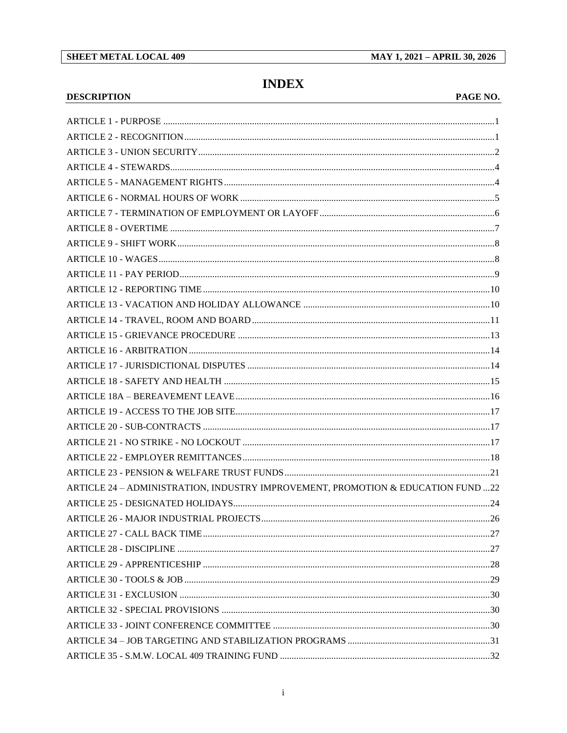#### **SHEET METAL LOCAL 409**

MAY 1, 2021 - APRIL 30, 2026

## **INDEX**

#### **DESCRIPTION**

#### PAGE NO.

| ARTICLE 24 - ADMINISTRATION, INDUSTRY IMPROVEMENT, PROMOTION & EDUCATION FUND 22 |  |
|----------------------------------------------------------------------------------|--|
|                                                                                  |  |
|                                                                                  |  |
|                                                                                  |  |
|                                                                                  |  |
|                                                                                  |  |
|                                                                                  |  |
|                                                                                  |  |
|                                                                                  |  |
|                                                                                  |  |
|                                                                                  |  |
|                                                                                  |  |
|                                                                                  |  |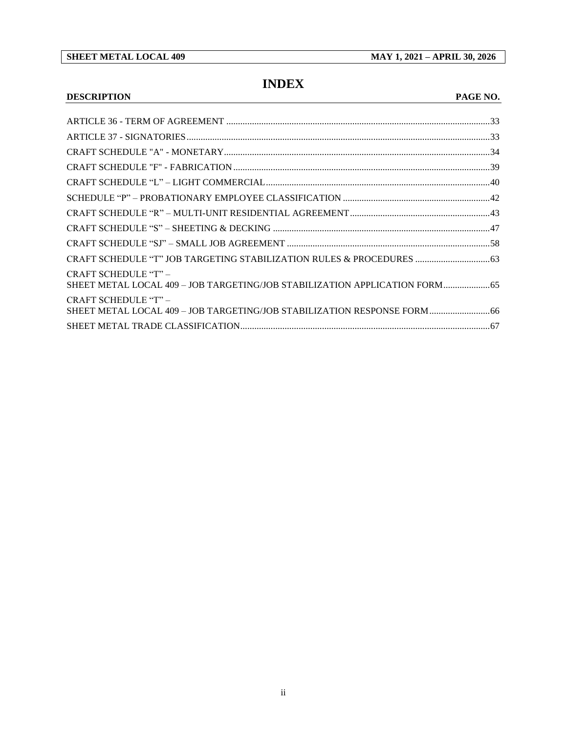#### **SHEET METAL LOCAL 409 MAY 1, 2021 – APRIL 30, 2026**

## **INDEX**

#### **DESCRIPTION PAGE NO.**

| CRAFT SCHEDULE "T" JOB TARGETING STABILIZATION RULES & PROCEDURES  63                             |  |
|---------------------------------------------------------------------------------------------------|--|
| CRAFT SCHEDULE "T" -<br>SHEET METAL LOCAL 409 - JOB TARGETING/JOB STABILIZATION APPLICATION FORM  |  |
| CRAFT SCHEDULE "T" -<br>SHEET METAL LOCAL 409 - JOB TARGETING/JOB STABILIZATION RESPONSE FORM  66 |  |
|                                                                                                   |  |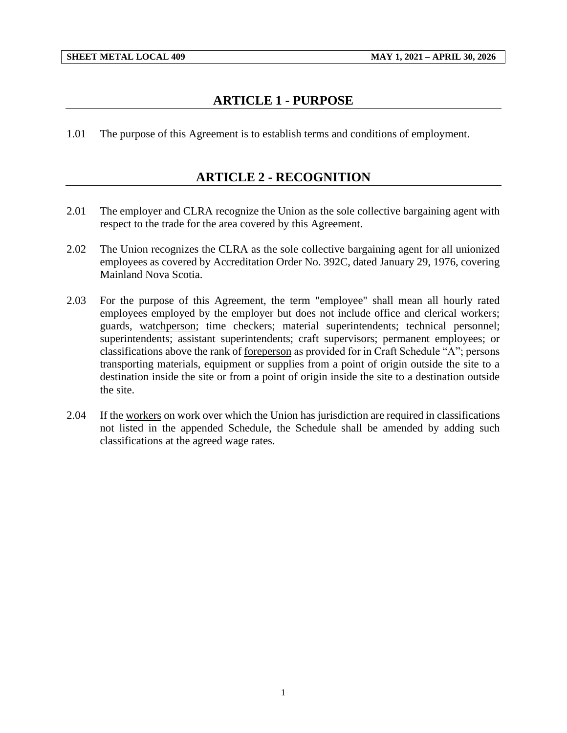## **ARTICLE 1 - PURPOSE**

<span id="page-3-1"></span><span id="page-3-0"></span>1.01 The purpose of this Agreement is to establish terms and conditions of employment.

## **ARTICLE 2 - RECOGNITION**

- 2.01 The employer and CLRA recognize the Union as the sole collective bargaining agent with respect to the trade for the area covered by this Agreement.
- 2.02 The Union recognizes the CLRA as the sole collective bargaining agent for all unionized employees as covered by Accreditation Order No. 392C, dated January 29, 1976, covering Mainland Nova Scotia.
- 2.03 For the purpose of this Agreement, the term "employee" shall mean all hourly rated employees employed by the employer but does not include office and clerical workers; guards, watchperson; time checkers; material superintendents; technical personnel; superintendents; assistant superintendents; craft supervisors; permanent employees; or classifications above the rank of foreperson as provided for in Craft Schedule "A"; persons transporting materials, equipment or supplies from a point of origin outside the site to a destination inside the site or from a point of origin inside the site to a destination outside the site.
- 2.04 If the workers on work over which the Union has jurisdiction are required in classifications not listed in the appended Schedule, the Schedule shall be amended by adding such classifications at the agreed wage rates.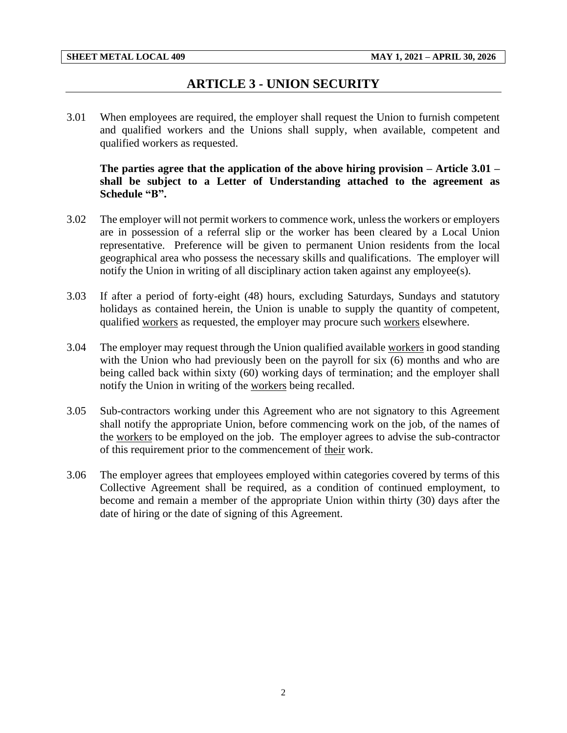## **ARTICLE 3 - UNION SECURITY**

<span id="page-4-0"></span>3.01 When employees are required, the employer shall request the Union to furnish competent and qualified workers and the Unions shall supply, when available, competent and qualified workers as requested.

**The parties agree that the application of the above hiring provision – Article 3.01 – shall be subject to a Letter of Understanding attached to the agreement as Schedule "B".**

- 3.02 The employer will not permit workers to commence work, unless the workers or employers are in possession of a referral slip or the worker has been cleared by a Local Union representative. Preference will be given to permanent Union residents from the local geographical area who possess the necessary skills and qualifications. The employer will notify the Union in writing of all disciplinary action taken against any employee(s).
- 3.03 If after a period of forty-eight (48) hours, excluding Saturdays, Sundays and statutory holidays as contained herein, the Union is unable to supply the quantity of competent, qualified workers as requested, the employer may procure such workers elsewhere.
- 3.04 The employer may request through the Union qualified available workers in good standing with the Union who had previously been on the payroll for six (6) months and who are being called back within sixty (60) working days of termination; and the employer shall notify the Union in writing of the workers being recalled.
- 3.05 Sub-contractors working under this Agreement who are not signatory to this Agreement shall notify the appropriate Union, before commencing work on the job, of the names of the workers to be employed on the job. The employer agrees to advise the sub-contractor of this requirement prior to the commencement of their work.
- 3.06 The employer agrees that employees employed within categories covered by terms of this Collective Agreement shall be required, as a condition of continued employment, to become and remain a member of the appropriate Union within thirty (30) days after the date of hiring or the date of signing of this Agreement.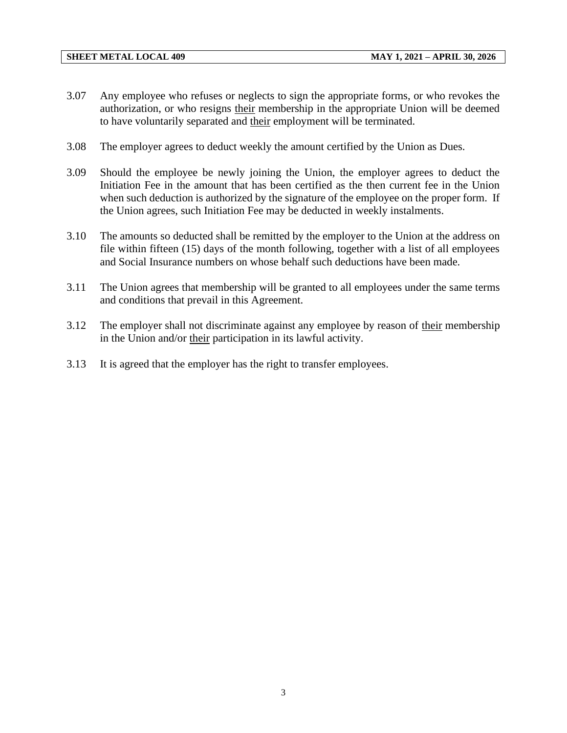- 3.07 Any employee who refuses or neglects to sign the appropriate forms, or who revokes the authorization, or who resigns their membership in the appropriate Union will be deemed to have voluntarily separated and their employment will be terminated.
- 3.08 The employer agrees to deduct weekly the amount certified by the Union as Dues.
- 3.09 Should the employee be newly joining the Union, the employer agrees to deduct the Initiation Fee in the amount that has been certified as the then current fee in the Union when such deduction is authorized by the signature of the employee on the proper form. If the Union agrees, such Initiation Fee may be deducted in weekly instalments.
- 3.10 The amounts so deducted shall be remitted by the employer to the Union at the address on file within fifteen (15) days of the month following, together with a list of all employees and Social Insurance numbers on whose behalf such deductions have been made.
- 3.11 The Union agrees that membership will be granted to all employees under the same terms and conditions that prevail in this Agreement.
- 3.12 The employer shall not discriminate against any employee by reason of their membership in the Union and/or their participation in its lawful activity.
- 3.13 It is agreed that the employer has the right to transfer employees.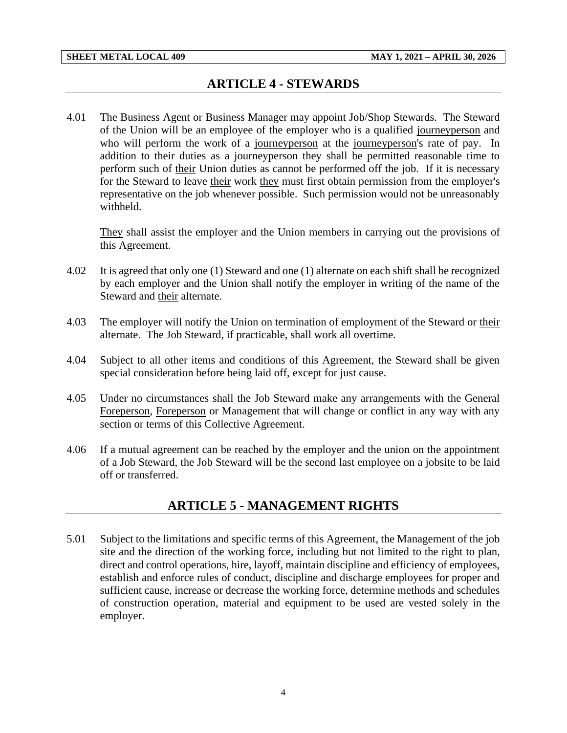## **ARTICLE 4 - STEWARDS**

<span id="page-6-0"></span>4.01 The Business Agent or Business Manager may appoint Job/Shop Stewards. The Steward of the Union will be an employee of the employer who is a qualified journeyperson and who will perform the work of a journeyperson at the journeyperson's rate of pay. In addition to their duties as a journeyperson they shall be permitted reasonable time to perform such of their Union duties as cannot be performed off the job. If it is necessary for the Steward to leave their work they must first obtain permission from the employer's representative on the job whenever possible. Such permission would not be unreasonably withheld.

They shall assist the employer and the Union members in carrying out the provisions of this Agreement.

- 4.02 It is agreed that only one (1) Steward and one (1) alternate on each shift shall be recognized by each employer and the Union shall notify the employer in writing of the name of the Steward and their alternate.
- 4.03 The employer will notify the Union on termination of employment of the Steward or their alternate. The Job Steward, if practicable, shall work all overtime.
- 4.04 Subject to all other items and conditions of this Agreement, the Steward shall be given special consideration before being laid off, except for just cause.
- 4.05 Under no circumstances shall the Job Steward make any arrangements with the General Foreperson, Foreperson or Management that will change or conflict in any way with any section or terms of this Collective Agreement.
- <span id="page-6-1"></span>4.06 If a mutual agreement can be reached by the employer and the union on the appointment of a Job Steward, the Job Steward will be the second last employee on a jobsite to be laid off or transferred.

## **ARTICLE 5 - MANAGEMENT RIGHTS**

5.01 Subject to the limitations and specific terms of this Agreement, the Management of the job site and the direction of the working force, including but not limited to the right to plan, direct and control operations, hire, layoff, maintain discipline and efficiency of employees, establish and enforce rules of conduct, discipline and discharge employees for proper and sufficient cause, increase or decrease the working force, determine methods and schedules of construction operation, material and equipment to be used are vested solely in the employer.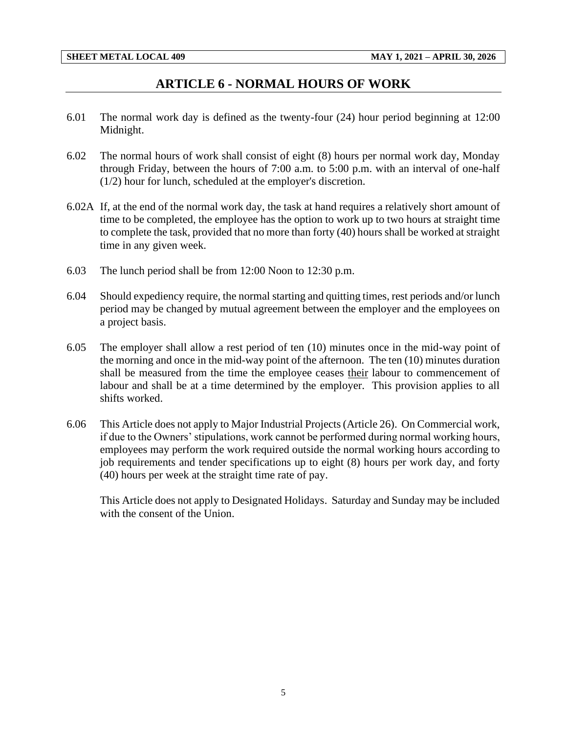## **ARTICLE 6 - NORMAL HOURS OF WORK**

- <span id="page-7-0"></span>6.01 The normal work day is defined as the twenty-four (24) hour period beginning at 12:00 Midnight.
- 6.02 The normal hours of work shall consist of eight (8) hours per normal work day, Monday through Friday, between the hours of 7:00 a.m. to 5:00 p.m. with an interval of one-half (1/2) hour for lunch, scheduled at the employer's discretion.
- 6.02A If, at the end of the normal work day, the task at hand requires a relatively short amount of time to be completed, the employee has the option to work up to two hours at straight time to complete the task, provided that no more than forty (40) hours shall be worked at straight time in any given week.
- 6.03 The lunch period shall be from 12:00 Noon to 12:30 p.m.
- 6.04 Should expediency require, the normal starting and quitting times, rest periods and/or lunch period may be changed by mutual agreement between the employer and the employees on a project basis.
- 6.05 The employer shall allow a rest period of ten (10) minutes once in the mid-way point of the morning and once in the mid-way point of the afternoon. The ten (10) minutes duration shall be measured from the time the employee ceases their labour to commencement of labour and shall be at a time determined by the employer. This provision applies to all shifts worked.
- 6.06 This Article does not apply to Major Industrial Projects (Article 26). On Commercial work, if due to the Owners' stipulations, work cannot be performed during normal working hours, employees may perform the work required outside the normal working hours according to job requirements and tender specifications up to eight (8) hours per work day, and forty (40) hours per week at the straight time rate of pay.

This Article does not apply to Designated Holidays. Saturday and Sunday may be included with the consent of the Union.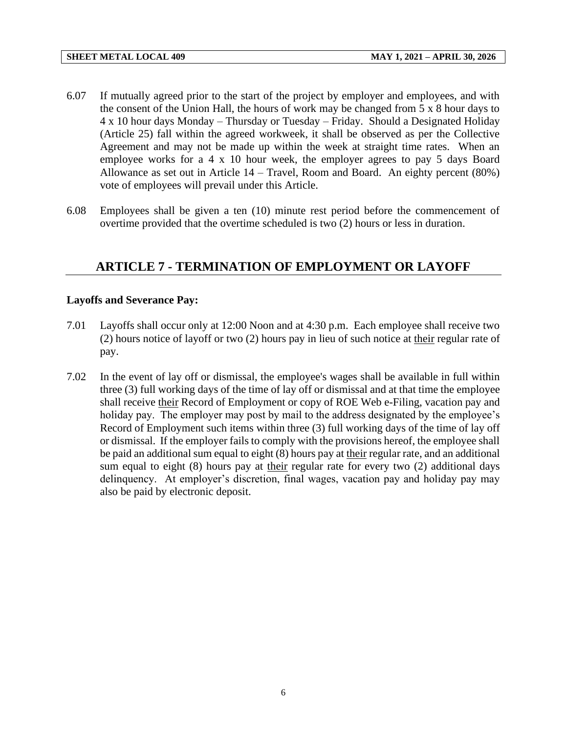- 6.07 If mutually agreed prior to the start of the project by employer and employees, and with the consent of the Union Hall, the hours of work may be changed from 5 x 8 hour days to 4 x 10 hour days Monday – Thursday or Tuesday – Friday. Should a Designated Holiday (Article 25) fall within the agreed workweek, it shall be observed as per the Collective Agreement and may not be made up within the week at straight time rates. When an employee works for a 4 x 10 hour week, the employer agrees to pay 5 days Board Allowance as set out in Article 14 – Travel, Room and Board. An eighty percent (80%) vote of employees will prevail under this Article.
- 6.08 Employees shall be given a ten (10) minute rest period before the commencement of overtime provided that the overtime scheduled is two (2) hours or less in duration.

## <span id="page-8-0"></span>**ARTICLE 7 - TERMINATION OF EMPLOYMENT OR LAYOFF**

### **Layoffs and Severance Pay:**

- 7.01 Layoffs shall occur only at 12:00 Noon and at 4:30 p.m. Each employee shall receive two (2) hours notice of layoff or two (2) hours pay in lieu of such notice at their regular rate of pay.
- 7.02 In the event of lay off or dismissal, the employee's wages shall be available in full within three (3) full working days of the time of lay off or dismissal and at that time the employee shall receive their Record of Employment or copy of ROE Web e-Filing, vacation pay and holiday pay. The employer may post by mail to the address designated by the employee's Record of Employment such items within three (3) full working days of the time of lay off or dismissal. If the employer fails to comply with the provisions hereof, the employee shall be paid an additional sum equal to eight (8) hours pay at their regular rate, and an additional sum equal to eight (8) hours pay at their regular rate for every two (2) additional days delinquency. At employer's discretion, final wages, vacation pay and holiday pay may also be paid by electronic deposit.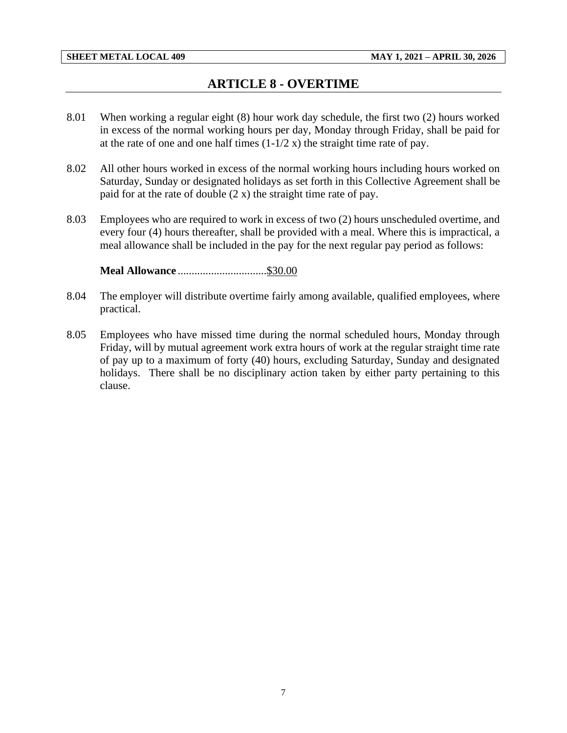## **ARTICLE 8 - OVERTIME**

- <span id="page-9-0"></span>8.01 When working a regular eight (8) hour work day schedule, the first two (2) hours worked in excess of the normal working hours per day, Monday through Friday, shall be paid for at the rate of one and one half times  $(1-1/2 x)$  the straight time rate of pay.
- 8.02 All other hours worked in excess of the normal working hours including hours worked on Saturday, Sunday or designated holidays as set forth in this Collective Agreement shall be paid for at the rate of double  $(2 x)$  the straight time rate of pay.
- 8.03 Employees who are required to work in excess of two (2) hours unscheduled overtime, and every four (4) hours thereafter, shall be provided with a meal. Where this is impractical, a meal allowance shall be included in the pay for the next regular pay period as follows:

**Meal Allowance** ................................\$30.00

- 8.04 The employer will distribute overtime fairly among available, qualified employees, where practical.
- 8.05 Employees who have missed time during the normal scheduled hours, Monday through Friday, will by mutual agreement work extra hours of work at the regular straight time rate of pay up to a maximum of forty (40) hours, excluding Saturday, Sunday and designated holidays. There shall be no disciplinary action taken by either party pertaining to this clause.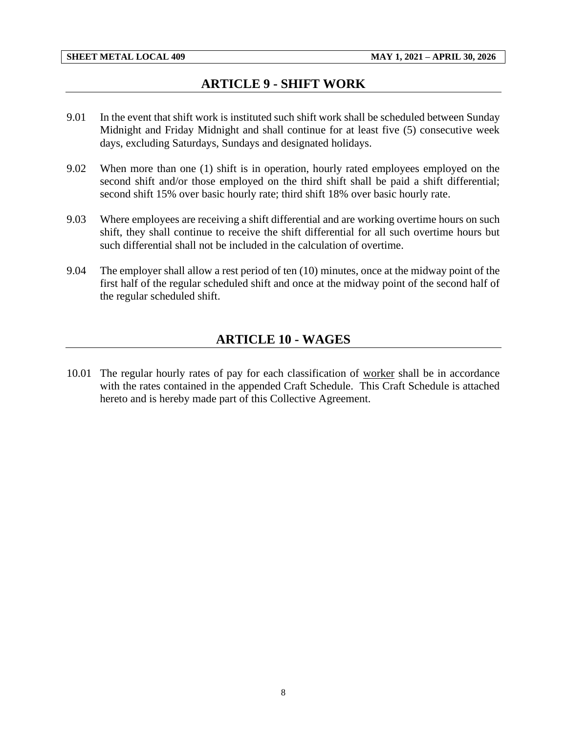## **ARTICLE 9 - SHIFT WORK**

- <span id="page-10-0"></span>9.01 In the event that shift work is instituted such shift work shall be scheduled between Sunday Midnight and Friday Midnight and shall continue for at least five (5) consecutive week days, excluding Saturdays, Sundays and designated holidays.
- 9.02 When more than one (1) shift is in operation, hourly rated employees employed on the second shift and/or those employed on the third shift shall be paid a shift differential; second shift 15% over basic hourly rate; third shift 18% over basic hourly rate.
- 9.03 Where employees are receiving a shift differential and are working overtime hours on such shift, they shall continue to receive the shift differential for all such overtime hours but such differential shall not be included in the calculation of overtime.
- <span id="page-10-1"></span>9.04 The employer shall allow a rest period of ten (10) minutes, once at the midway point of the first half of the regular scheduled shift and once at the midway point of the second half of the regular scheduled shift.

## **ARTICLE 10 - WAGES**

10.01 The regular hourly rates of pay for each classification of worker shall be in accordance with the rates contained in the appended Craft Schedule. This Craft Schedule is attached hereto and is hereby made part of this Collective Agreement.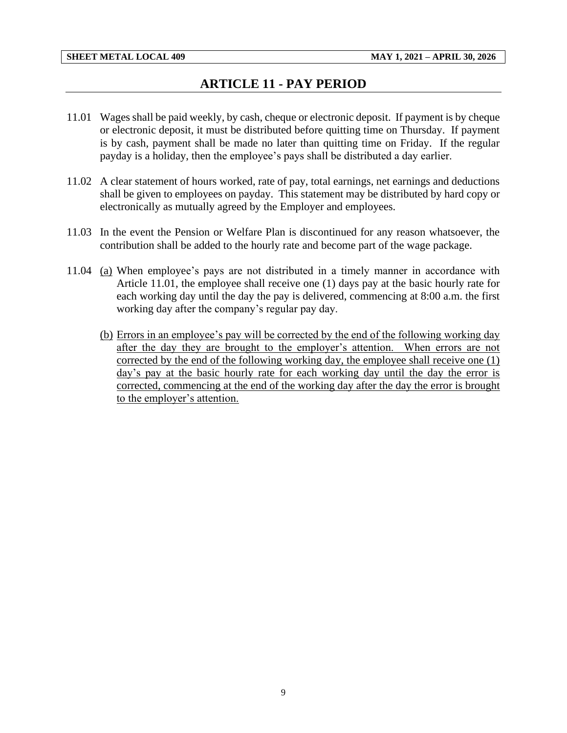## **ARTICLE 11 - PAY PERIOD**

- <span id="page-11-0"></span>11.01 Wages shall be paid weekly, by cash, cheque or electronic deposit. If payment is by cheque or electronic deposit, it must be distributed before quitting time on Thursday. If payment is by cash, payment shall be made no later than quitting time on Friday. If the regular payday is a holiday, then the employee's pays shall be distributed a day earlier.
- 11.02 A clear statement of hours worked, rate of pay, total earnings, net earnings and deductions shall be given to employees on payday. This statement may be distributed by hard copy or electronically as mutually agreed by the Employer and employees.
- 11.03 In the event the Pension or Welfare Plan is discontinued for any reason whatsoever, the contribution shall be added to the hourly rate and become part of the wage package.
- 11.04 (a) When employee's pays are not distributed in a timely manner in accordance with Article 11.01, the employee shall receive one (1) days pay at the basic hourly rate for each working day until the day the pay is delivered, commencing at 8:00 a.m. the first working day after the company's regular pay day.
	- (b) Errors in an employee's pay will be corrected by the end of the following working day after the day they are brought to the employer's attention. When errors are not corrected by the end of the following working day, the employee shall receive one (1) day's pay at the basic hourly rate for each working day until the day the error is corrected, commencing at the end of the working day after the day the error is brought to the employer's attention.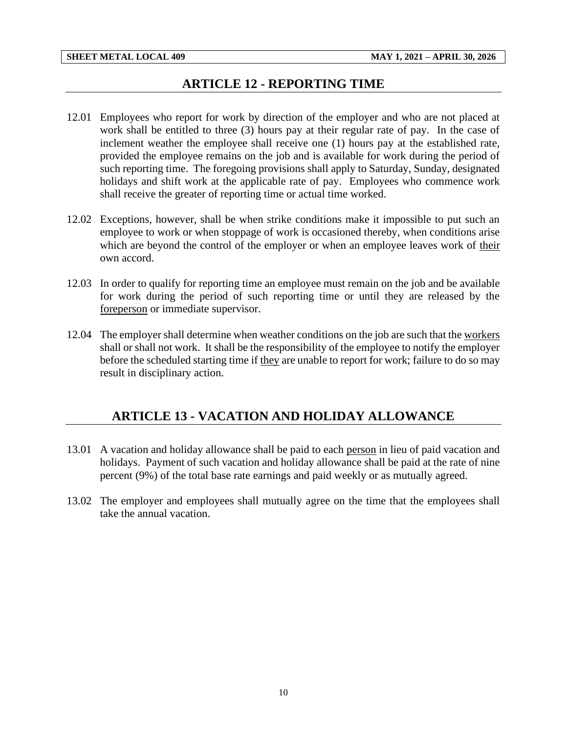## **ARTICLE 12 - REPORTING TIME**

- <span id="page-12-0"></span>12.01 Employees who report for work by direction of the employer and who are not placed at work shall be entitled to three (3) hours pay at their regular rate of pay. In the case of inclement weather the employee shall receive one (1) hours pay at the established rate, provided the employee remains on the job and is available for work during the period of such reporting time. The foregoing provisions shall apply to Saturday, Sunday, designated holidays and shift work at the applicable rate of pay. Employees who commence work shall receive the greater of reporting time or actual time worked.
- 12.02 Exceptions, however, shall be when strike conditions make it impossible to put such an employee to work or when stoppage of work is occasioned thereby, when conditions arise which are beyond the control of the employer or when an employee leaves work of their own accord.
- 12.03 In order to qualify for reporting time an employee must remain on the job and be available for work during the period of such reporting time or until they are released by the foreperson or immediate supervisor.
- 12.04 The employer shall determine when weather conditions on the job are such that the workers shall or shall not work. It shall be the responsibility of the employee to notify the employer before the scheduled starting time if they are unable to report for work; failure to do so may result in disciplinary action.

## <span id="page-12-1"></span>**ARTICLE 13 - VACATION AND HOLIDAY ALLOWANCE**

- 13.01 A vacation and holiday allowance shall be paid to each person in lieu of paid vacation and holidays. Payment of such vacation and holiday allowance shall be paid at the rate of nine percent (9%) of the total base rate earnings and paid weekly or as mutually agreed.
- 13.02 The employer and employees shall mutually agree on the time that the employees shall take the annual vacation.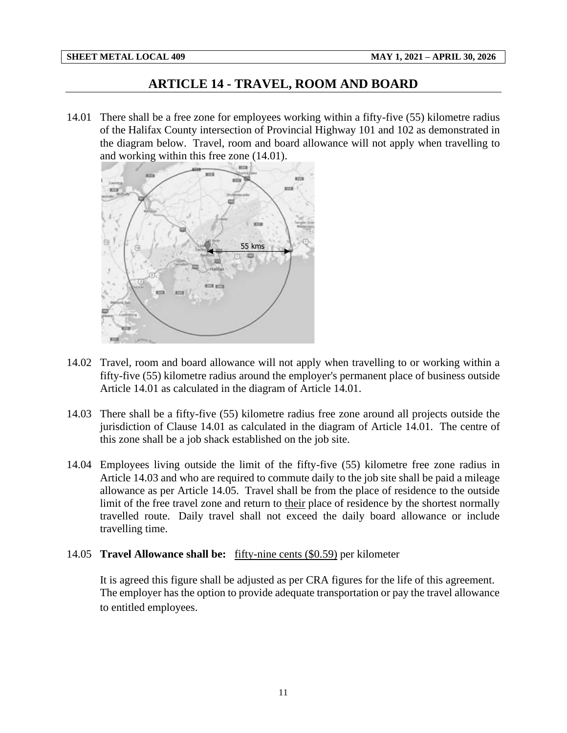## **ARTICLE 14 - TRAVEL, ROOM AND BOARD**

<span id="page-13-0"></span>14.01 There shall be a free zone for employees working within a fifty-five (55) kilometre radius of the Halifax County intersection of Provincial Highway 101 and 102 as demonstrated in the diagram below. Travel, room and board allowance will not apply when travelling to and working within this free zone (14.01).



- 14.02 Travel, room and board allowance will not apply when travelling to or working within a fifty-five (55) kilometre radius around the employer's permanent place of business outside Article 14.01 as calculated in the diagram of Article 14.01.
- 14.03 There shall be a fifty-five (55) kilometre radius free zone around all projects outside the jurisdiction of Clause 14.01 as calculated in the diagram of Article 14.01. The centre of this zone shall be a job shack established on the job site.
- 14.04 Employees living outside the limit of the fifty-five (55) kilometre free zone radius in Article 14.03 and who are required to commute daily to the job site shall be paid a mileage allowance as per Article 14.05. Travel shall be from the place of residence to the outside limit of the free travel zone and return to their place of residence by the shortest normally travelled route. Daily travel shall not exceed the daily board allowance or include travelling time.

#### 14.05 **Travel Allowance shall be:** fifty-nine cents (\$0.59) per kilometer

It is agreed this figure shall be adjusted as per CRA figures for the life of this agreement. The employer has the option to provide adequate transportation or pay the travel allowance to entitled employees.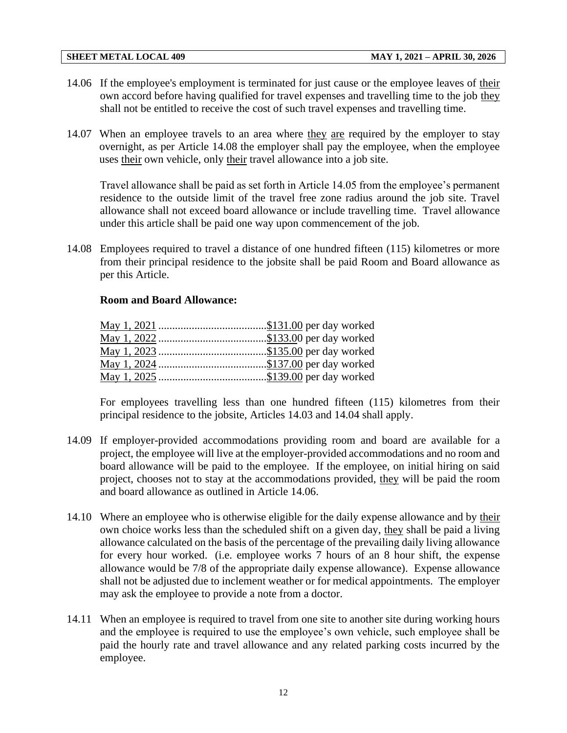- 14.06 If the employee's employment is terminated for just cause or the employee leaves of their own accord before having qualified for travel expenses and travelling time to the job they shall not be entitled to receive the cost of such travel expenses and travelling time.
- 14.07 When an employee travels to an area where they are required by the employer to stay overnight, as per Article 14.08 the employer shall pay the employee, when the employee uses their own vehicle, only their travel allowance into a job site.

Travel allowance shall be paid as set forth in Article 14.05 from the employee's permanent residence to the outside limit of the travel free zone radius around the job site. Travel allowance shall not exceed board allowance or include travelling time. Travel allowance under this article shall be paid one way upon commencement of the job.

14.08 Employees required to travel a distance of one hundred fifteen (115) kilometres or more from their principal residence to the jobsite shall be paid Room and Board allowance as per this Article.

#### **Room and Board Allowance:**

For employees travelling less than one hundred fifteen (115) kilometres from their principal residence to the jobsite, Articles 14.03 and 14.04 shall apply.

- 14.09 If employer-provided accommodations providing room and board are available for a project, the employee will live at the employer-provided accommodations and no room and board allowance will be paid to the employee. If the employee, on initial hiring on said project, chooses not to stay at the accommodations provided, they will be paid the room and board allowance as outlined in Article 14.06.
- 14.10 Where an employee who is otherwise eligible for the daily expense allowance and by their own choice works less than the scheduled shift on a given day, they shall be paid a living allowance calculated on the basis of the percentage of the prevailing daily living allowance for every hour worked. (i.e. employee works 7 hours of an 8 hour shift, the expense allowance would be 7/8 of the appropriate daily expense allowance). Expense allowance shall not be adjusted due to inclement weather or for medical appointments. The employer may ask the employee to provide a note from a doctor.
- 14.11 When an employee is required to travel from one site to another site during working hours and the employee is required to use the employee's own vehicle, such employee shall be paid the hourly rate and travel allowance and any related parking costs incurred by the employee.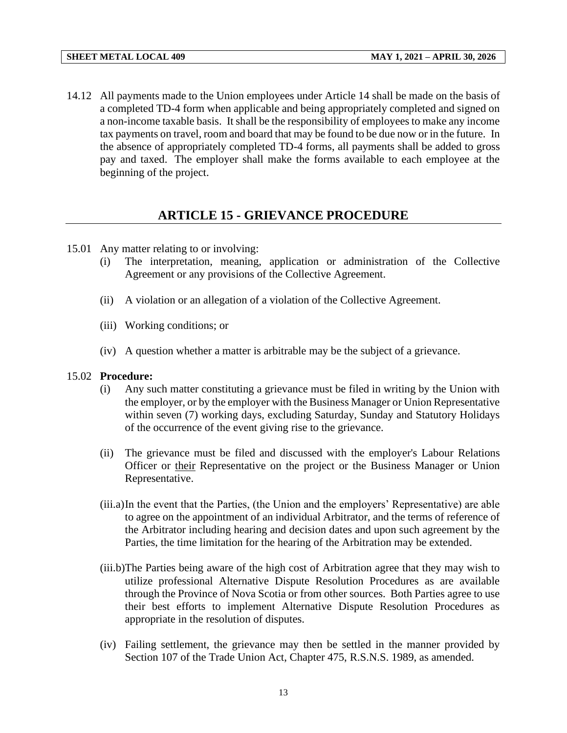14.12 All payments made to the Union employees under Article 14 shall be made on the basis of a completed TD-4 form when applicable and being appropriately completed and signed on a non-income taxable basis. It shall be the responsibility of employees to make any income tax payments on travel, room and board that may be found to be due now or in the future. In the absence of appropriately completed TD-4 forms, all payments shall be added to gross pay and taxed. The employer shall make the forms available to each employee at the beginning of the project.

## **ARTICLE 15 - GRIEVANCE PROCEDURE**

- <span id="page-15-0"></span>15.01 Any matter relating to or involving:
	- (i) The interpretation, meaning, application or administration of the Collective Agreement or any provisions of the Collective Agreement.
	- (ii) A violation or an allegation of a violation of the Collective Agreement.
	- (iii) Working conditions; or
	- (iv) A question whether a matter is arbitrable may be the subject of a grievance.

#### 15.02 **Procedure:**

- (i) Any such matter constituting a grievance must be filed in writing by the Union with the employer, or by the employer with the Business Manager or Union Representative within seven (7) working days, excluding Saturday, Sunday and Statutory Holidays of the occurrence of the event giving rise to the grievance.
- (ii) The grievance must be filed and discussed with the employer's Labour Relations Officer or their Representative on the project or the Business Manager or Union Representative.
- (iii.a)In the event that the Parties, (the Union and the employers' Representative) are able to agree on the appointment of an individual Arbitrator, and the terms of reference of the Arbitrator including hearing and decision dates and upon such agreement by the Parties, the time limitation for the hearing of the Arbitration may be extended.
- (iii.b)The Parties being aware of the high cost of Arbitration agree that they may wish to utilize professional Alternative Dispute Resolution Procedures as are available through the Province of Nova Scotia or from other sources. Both Parties agree to use their best efforts to implement Alternative Dispute Resolution Procedures as appropriate in the resolution of disputes.
- (iv) Failing settlement, the grievance may then be settled in the manner provided by Section 107 of the Trade Union Act, Chapter 475, R.S.N.S. 1989, as amended.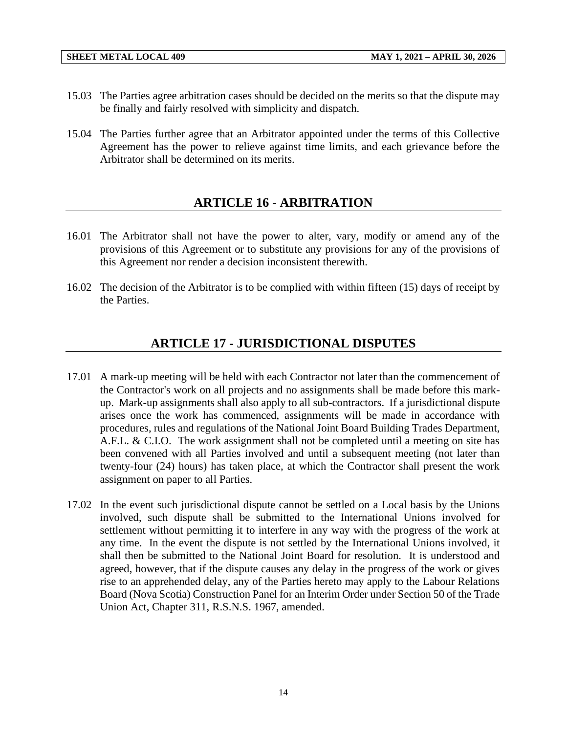- 15.03 The Parties agree arbitration cases should be decided on the merits so that the dispute may be finally and fairly resolved with simplicity and dispatch.
- <span id="page-16-0"></span>15.04 The Parties further agree that an Arbitrator appointed under the terms of this Collective Agreement has the power to relieve against time limits, and each grievance before the Arbitrator shall be determined on its merits.

# **ARTICLE 16 - ARBITRATION**

- 16.01 The Arbitrator shall not have the power to alter, vary, modify or amend any of the provisions of this Agreement or to substitute any provisions for any of the provisions of this Agreement nor render a decision inconsistent therewith.
- <span id="page-16-1"></span>16.02 The decision of the Arbitrator is to be complied with within fifteen (15) days of receipt by the Parties.

# **ARTICLE 17 - JURISDICTIONAL DISPUTES**

- 17.01 A mark-up meeting will be held with each Contractor not later than the commencement of the Contractor's work on all projects and no assignments shall be made before this markup. Mark-up assignments shall also apply to all sub-contractors. If a jurisdictional dispute arises once the work has commenced, assignments will be made in accordance with procedures, rules and regulations of the National Joint Board Building Trades Department, A.F.L. & C.I.O. The work assignment shall not be completed until a meeting on site has been convened with all Parties involved and until a subsequent meeting (not later than twenty-four (24) hours) has taken place, at which the Contractor shall present the work assignment on paper to all Parties.
- 17.02 In the event such jurisdictional dispute cannot be settled on a Local basis by the Unions involved, such dispute shall be submitted to the International Unions involved for settlement without permitting it to interfere in any way with the progress of the work at any time. In the event the dispute is not settled by the International Unions involved, it shall then be submitted to the National Joint Board for resolution. It is understood and agreed, however, that if the dispute causes any delay in the progress of the work or gives rise to an apprehended delay, any of the Parties hereto may apply to the Labour Relations Board (Nova Scotia) Construction Panel for an Interim Order under Section 50 of the Trade Union Act, Chapter 311, R.S.N.S. 1967, amended.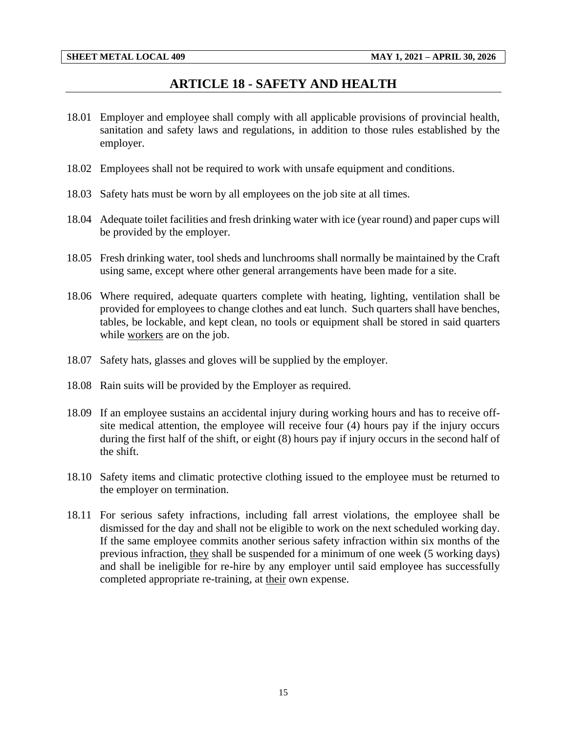## **ARTICLE 18 - SAFETY AND HEALTH**

- <span id="page-17-0"></span>18.01 Employer and employee shall comply with all applicable provisions of provincial health, sanitation and safety laws and regulations, in addition to those rules established by the employer.
- 18.02 Employees shall not be required to work with unsafe equipment and conditions.
- 18.03 Safety hats must be worn by all employees on the job site at all times.
- 18.04 Adequate toilet facilities and fresh drinking water with ice (year round) and paper cups will be provided by the employer.
- 18.05 Fresh drinking water, tool sheds and lunchrooms shall normally be maintained by the Craft using same, except where other general arrangements have been made for a site.
- 18.06 Where required, adequate quarters complete with heating, lighting, ventilation shall be provided for employees to change clothes and eat lunch. Such quarters shall have benches, tables, be lockable, and kept clean, no tools or equipment shall be stored in said quarters while workers are on the job.
- 18.07 Safety hats, glasses and gloves will be supplied by the employer.
- 18.08 Rain suits will be provided by the Employer as required.
- 18.09 If an employee sustains an accidental injury during working hours and has to receive offsite medical attention, the employee will receive four (4) hours pay if the injury occurs during the first half of the shift, or eight (8) hours pay if injury occurs in the second half of the shift.
- 18.10 Safety items and climatic protective clothing issued to the employee must be returned to the employer on termination.
- 18.11 For serious safety infractions, including fall arrest violations, the employee shall be dismissed for the day and shall not be eligible to work on the next scheduled working day. If the same employee commits another serious safety infraction within six months of the previous infraction, they shall be suspended for a minimum of one week (5 working days) and shall be ineligible for re-hire by any employer until said employee has successfully completed appropriate re-training, at their own expense.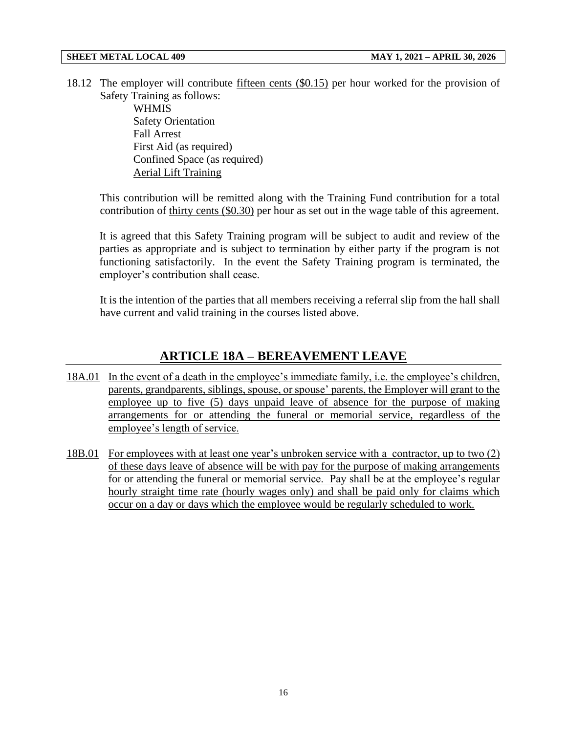18.12 The employer will contribute fifteen cents (\$0.15) per hour worked for the provision of Safety Training as follows:

**WHMIS** Safety Orientation Fall Arrest First Aid (as required) Confined Space (as required) Aerial Lift Training

This contribution will be remitted along with the Training Fund contribution for a total contribution of thirty cents (\$0.30) per hour as set out in the wage table of this agreement.

It is agreed that this Safety Training program will be subject to audit and review of the parties as appropriate and is subject to termination by either party if the program is not functioning satisfactorily. In the event the Safety Training program is terminated, the employer's contribution shall cease.

It is the intention of the parties that all members receiving a referral slip from the hall shall have current and valid training in the courses listed above.

## **ARTICLE 18A – BEREAVEMENT LEAVE**

- <span id="page-18-0"></span>18A.01 In the event of a death in the employee's immediate family, i.e. the employee's children, parents, grandparents, siblings, spouse, or spouse' parents, the Employer will grant to the employee up to five (5) days unpaid leave of absence for the purpose of making arrangements for or attending the funeral or memorial service, regardless of the employee's length of service.
- 18B.01 For employees with at least one year's unbroken service with a contractor, up to two (2) of these days leave of absence will be with pay for the purpose of making arrangements for or attending the funeral or memorial service. Pay shall be at the employee's regular hourly straight time rate (hourly wages only) and shall be paid only for claims which occur on a day or days which the employee would be regularly scheduled to work.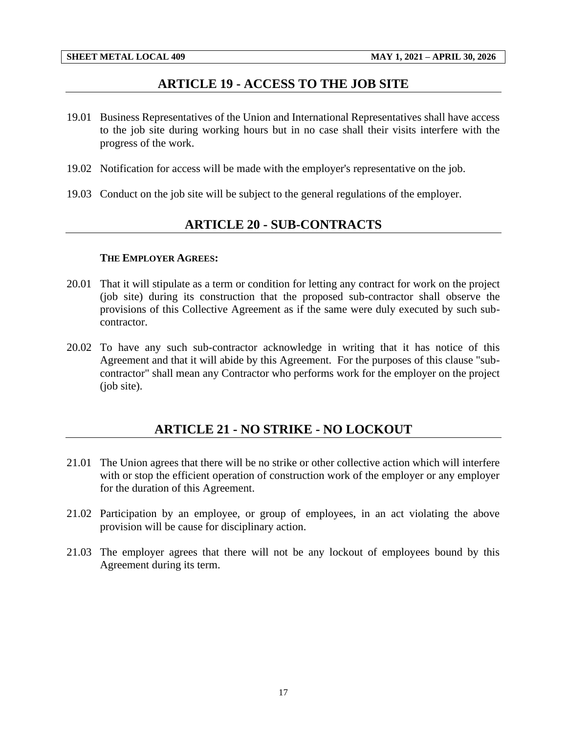## **ARTICLE 19 - ACCESS TO THE JOB SITE**

- <span id="page-19-0"></span>19.01 Business Representatives of the Union and International Representatives shall have access to the job site during working hours but in no case shall their visits interfere with the progress of the work.
- 19.02 Notification for access will be made with the employer's representative on the job.
- <span id="page-19-1"></span>19.03 Conduct on the job site will be subject to the general regulations of the employer.

## **ARTICLE 20 - SUB-CONTRACTS**

#### **THE EMPLOYER AGREES:**

- 20.01 That it will stipulate as a term or condition for letting any contract for work on the project (job site) during its construction that the proposed sub-contractor shall observe the provisions of this Collective Agreement as if the same were duly executed by such subcontractor.
- 20.02 To have any such sub-contractor acknowledge in writing that it has notice of this Agreement and that it will abide by this Agreement. For the purposes of this clause "subcontractor" shall mean any Contractor who performs work for the employer on the project (job site).

## **ARTICLE 21 - NO STRIKE - NO LOCKOUT**

- <span id="page-19-2"></span>21.01 The Union agrees that there will be no strike or other collective action which will interfere with or stop the efficient operation of construction work of the employer or any employer for the duration of this Agreement.
- 21.02 Participation by an employee, or group of employees, in an act violating the above provision will be cause for disciplinary action.
- 21.03 The employer agrees that there will not be any lockout of employees bound by this Agreement during its term.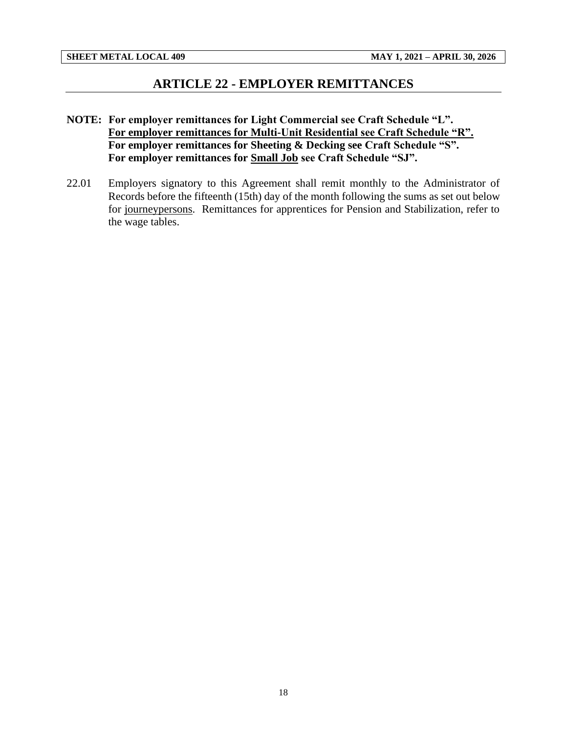## **ARTICLE 22 - EMPLOYER REMITTANCES**

- <span id="page-20-0"></span>**NOTE: For employer remittances for Light Commercial see Craft Schedule "L". For employer remittances for Multi-Unit Residential see Craft Schedule "R". For employer remittances for Sheeting & Decking see Craft Schedule "S". For employer remittances for Small Job see Craft Schedule "SJ".**
- 22.01 Employers signatory to this Agreement shall remit monthly to the Administrator of Records before the fifteenth (15th) day of the month following the sums as set out below for journeypersons. Remittances for apprentices for Pension and Stabilization, refer to the wage tables.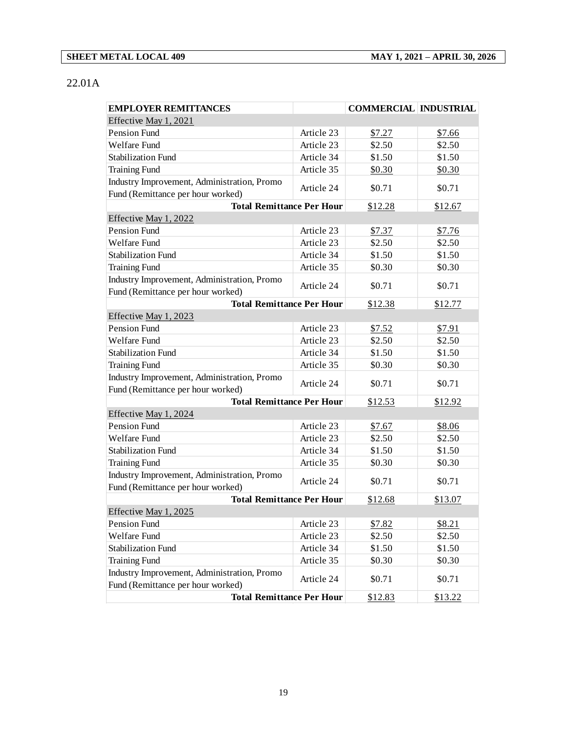### 22.01A

| <b>EMPLOYER REMITTANCES</b>                 |            | <b>COMMERCIAL INDUSTRIAL</b> |         |
|---------------------------------------------|------------|------------------------------|---------|
| Effective May 1, 2021                       |            |                              |         |
| Pension Fund                                | Article 23 | \$7.27                       | \$7.66  |
| Welfare Fund                                | Article 23 | \$2.50                       | \$2.50  |
| <b>Stabilization Fund</b>                   | Article 34 | \$1.50                       | \$1.50  |
| <b>Training Fund</b>                        | Article 35 | \$0.30                       | \$0.30  |
| Industry Improvement, Administration, Promo |            |                              |         |
| Fund (Remittance per hour worked)           | Article 24 | \$0.71                       | \$0.71  |
| <b>Total Remittance Per Hour</b>            |            | \$12.28                      | \$12.67 |
| Effective May 1, 2022                       |            |                              |         |
| <b>Pension Fund</b>                         | Article 23 | \$7.37                       | \$7.76  |
| Welfare Fund                                | Article 23 | \$2.50                       | \$2.50  |
| <b>Stabilization Fund</b>                   | Article 34 | \$1.50                       | \$1.50  |
| <b>Training Fund</b>                        | Article 35 | \$0.30                       | \$0.30  |
| Industry Improvement, Administration, Promo | Article 24 | \$0.71                       | \$0.71  |
| Fund (Remittance per hour worked)           |            |                              |         |
| <b>Total Remittance Per Hour</b>            |            | \$12.38                      | \$12.77 |
| Effective May 1, 2023                       |            |                              |         |
| Pension Fund                                | Article 23 | \$7.52                       | \$7.91  |
| Welfare Fund                                | Article 23 | \$2.50                       | \$2.50  |
| <b>Stabilization Fund</b>                   | Article 34 | \$1.50                       | \$1.50  |
| <b>Training Fund</b>                        | Article 35 | \$0.30                       | \$0.30  |
| Industry Improvement, Administration, Promo | Article 24 | \$0.71                       | \$0.71  |
| Fund (Remittance per hour worked)           |            |                              |         |
| <b>Total Remittance Per Hour</b>            |            | \$12.53                      | \$12.92 |
| Effective May 1, 2024                       |            |                              |         |
| Pension Fund                                | Article 23 | \$7.67                       | \$8.06  |
| Welfare Fund                                | Article 23 | \$2.50                       | \$2.50  |
| <b>Stabilization Fund</b>                   | Article 34 | \$1.50                       | \$1.50  |
| <b>Training Fund</b>                        | Article 35 | \$0.30                       | \$0.30  |
| Industry Improvement, Administration, Promo | Article 24 | \$0.71                       | \$0.71  |
| Fund (Remittance per hour worked)           |            |                              |         |
| <b>Total Remittance Per Hour</b>            |            | \$12.68                      | \$13.07 |
| Effective May 1, 2025                       |            |                              |         |
| Pension Fund                                | Article 23 | \$7.82                       | \$8.21  |
| Welfare Fund                                | Article 23 | \$2.50                       | \$2.50  |
| Stabilization Fund                          | Article 34 | \$1.50                       | \$1.50  |
| <b>Training Fund</b>                        | Article 35 | \$0.30                       | \$0.30  |
| Industry Improvement, Administration, Promo | Article 24 | \$0.71                       | \$0.71  |
| Fund (Remittance per hour worked)           |            |                              |         |
| <b>Total Remittance Per Hour</b>            |            | \$12.83                      | \$13.22 |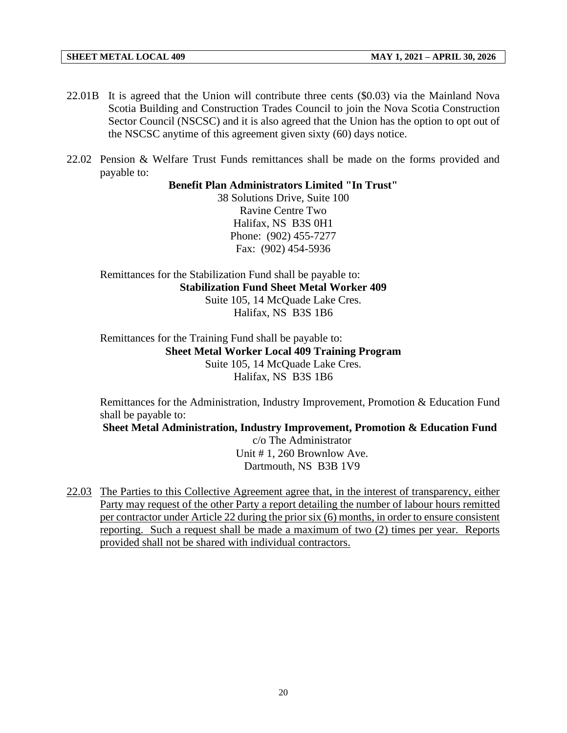- 22.01B It is agreed that the Union will contribute three cents (\$0.03) via the Mainland Nova Scotia Building and Construction Trades Council to join the Nova Scotia Construction Sector Council (NSCSC) and it is also agreed that the Union has the option to opt out of the NSCSC anytime of this agreement given sixty (60) days notice.
- 22.02 Pension & Welfare Trust Funds remittances shall be made on the forms provided and payable to:

**Benefit Plan Administrators Limited "In Trust"**

38 Solutions Drive, Suite 100 Ravine Centre Two Halifax, NS B3S 0H1 Phone: (902) 455-7277 Fax: (902) 454-5936

Remittances for the Stabilization Fund shall be payable to: **Stabilization Fund Sheet Metal Worker 409** Suite 105, 14 McQuade Lake Cres. Halifax, NS B3S 1B6

Remittances for the Training Fund shall be payable to: **Sheet Metal Worker Local 409 Training Program** Suite 105, 14 McQuade Lake Cres. Halifax, NS B3S 1B6

Remittances for the Administration, Industry Improvement, Promotion & Education Fund shall be payable to:

**Sheet Metal Administration, Industry Improvement, Promotion & Education Fund** 

c/o The Administrator Unit # 1, 260 Brownlow Ave. Dartmouth, NS B3B 1V9

22.03 The Parties to this Collective Agreement agree that, in the interest of transparency, either Party may request of the other Party a report detailing the number of labour hours remitted per contractor under Article 22 during the prior six (6) months, in order to ensure consistent reporting. Such a request shall be made a maximum of two (2) times per year. Reports provided shall not be shared with individual contractors.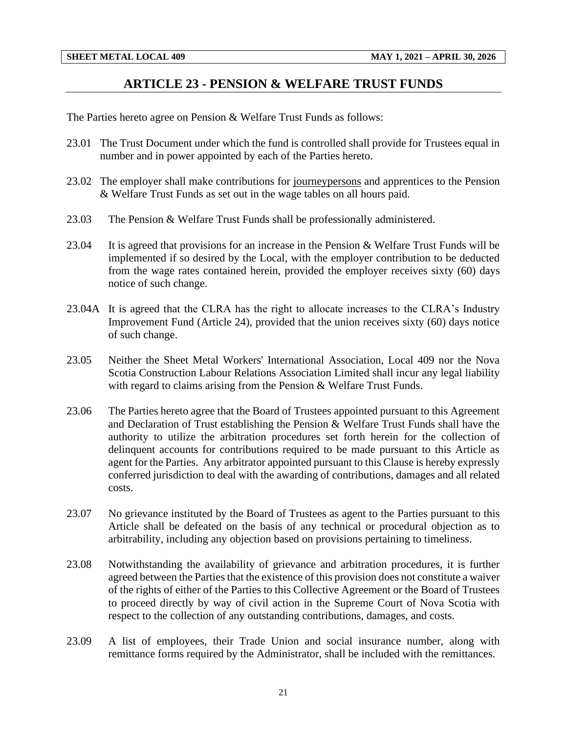### **ARTICLE 23 - PENSION & WELFARE TRUST FUNDS**

<span id="page-23-0"></span>The Parties hereto agree on Pension & Welfare Trust Funds as follows:

- 23.01 The Trust Document under which the fund is controlled shall provide for Trustees equal in number and in power appointed by each of the Parties hereto.
- 23.02 The employer shall make contributions for journeypersons and apprentices to the Pension & Welfare Trust Funds as set out in the wage tables on all hours paid.
- 23.03 The Pension & Welfare Trust Funds shall be professionally administered.
- 23.04 It is agreed that provisions for an increase in the Pension & Welfare Trust Funds will be implemented if so desired by the Local, with the employer contribution to be deducted from the wage rates contained herein, provided the employer receives sixty (60) days notice of such change.
- 23.04A It is agreed that the CLRA has the right to allocate increases to the CLRA's Industry Improvement Fund (Article 24), provided that the union receives sixty (60) days notice of such change.
- 23.05 Neither the Sheet Metal Workers' International Association, Local 409 nor the Nova Scotia Construction Labour Relations Association Limited shall incur any legal liability with regard to claims arising from the Pension & Welfare Trust Funds.
- 23.06 The Parties hereto agree that the Board of Trustees appointed pursuant to this Agreement and Declaration of Trust establishing the Pension & Welfare Trust Funds shall have the authority to utilize the arbitration procedures set forth herein for the collection of delinquent accounts for contributions required to be made pursuant to this Article as agent for the Parties. Any arbitrator appointed pursuant to this Clause is hereby expressly conferred jurisdiction to deal with the awarding of contributions, damages and all related costs.
- 23.07 No grievance instituted by the Board of Trustees as agent to the Parties pursuant to this Article shall be defeated on the basis of any technical or procedural objection as to arbitrability, including any objection based on provisions pertaining to timeliness.
- 23.08 Notwithstanding the availability of grievance and arbitration procedures, it is further agreed between the Parties that the existence of this provision does not constitute a waiver of the rights of either of the Parties to this Collective Agreement or the Board of Trustees to proceed directly by way of civil action in the Supreme Court of Nova Scotia with respect to the collection of any outstanding contributions, damages, and costs.
- 23.09 A list of employees, their Trade Union and social insurance number, along with remittance forms required by the Administrator, shall be included with the remittances.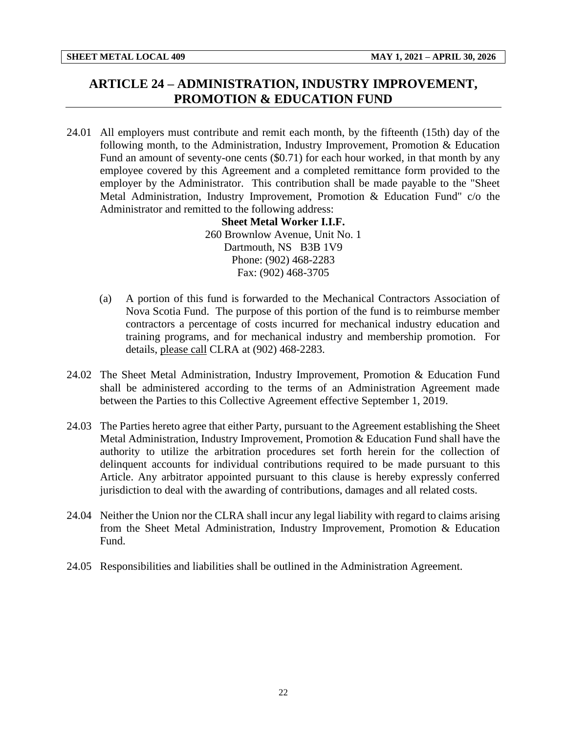## <span id="page-24-0"></span>**ARTICLE 24 – ADMINISTRATION, INDUSTRY IMPROVEMENT, PROMOTION & EDUCATION FUND**

24.01 All employers must contribute and remit each month, by the fifteenth (15th) day of the following month, to the Administration, Industry Improvement, Promotion & Education Fund an amount of seventy-one cents (\$0.71) for each hour worked, in that month by any employee covered by this Agreement and a completed remittance form provided to the employer by the Administrator. This contribution shall be made payable to the "Sheet Metal Administration, Industry Improvement, Promotion & Education Fund" c/o the Administrator and remitted to the following address:

**Sheet Metal Worker I.I.F.** 260 Brownlow Avenue, Unit No. 1 Dartmouth, NS B3B 1V9 Phone: (902) 468-2283 Fax: (902) 468-3705

- (a) A portion of this fund is forwarded to the Mechanical Contractors Association of Nova Scotia Fund. The purpose of this portion of the fund is to reimburse member contractors a percentage of costs incurred for mechanical industry education and training programs, and for mechanical industry and membership promotion. For details, please call CLRA at (902) 468-2283.
- 24.02 The Sheet Metal Administration, Industry Improvement, Promotion & Education Fund shall be administered according to the terms of an Administration Agreement made between the Parties to this Collective Agreement effective September 1, 2019.
- 24.03 The Parties hereto agree that either Party, pursuant to the Agreement establishing the Sheet Metal Administration, Industry Improvement, Promotion & Education Fund shall have the authority to utilize the arbitration procedures set forth herein for the collection of delinquent accounts for individual contributions required to be made pursuant to this Article. Any arbitrator appointed pursuant to this clause is hereby expressly conferred jurisdiction to deal with the awarding of contributions, damages and all related costs.
- 24.04 Neither the Union nor the CLRA shall incur any legal liability with regard to claims arising from the Sheet Metal Administration, Industry Improvement, Promotion & Education Fund.
- 24.05 Responsibilities and liabilities shall be outlined in the Administration Agreement.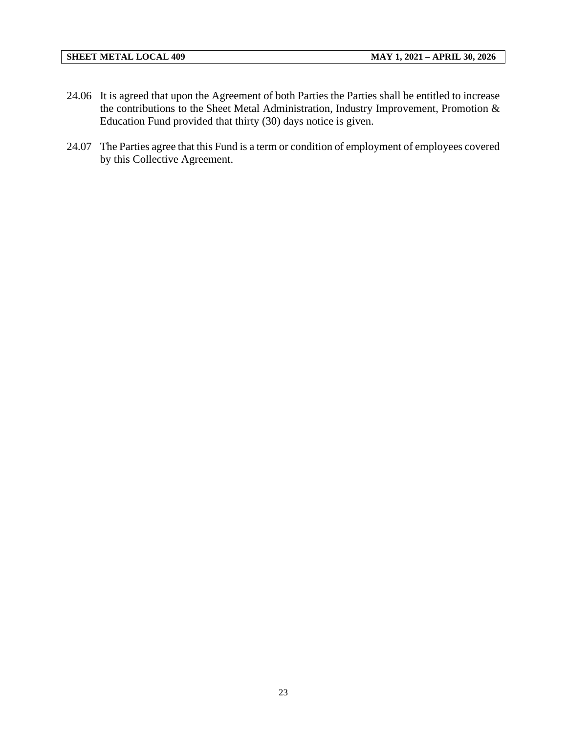- 24.06 It is agreed that upon the Agreement of both Parties the Parties shall be entitled to increase the contributions to the Sheet Metal Administration, Industry Improvement, Promotion & Education Fund provided that thirty (30) days notice is given.
- 24.07 The Parties agree that this Fund is a term or condition of employment of employees covered by this Collective Agreement.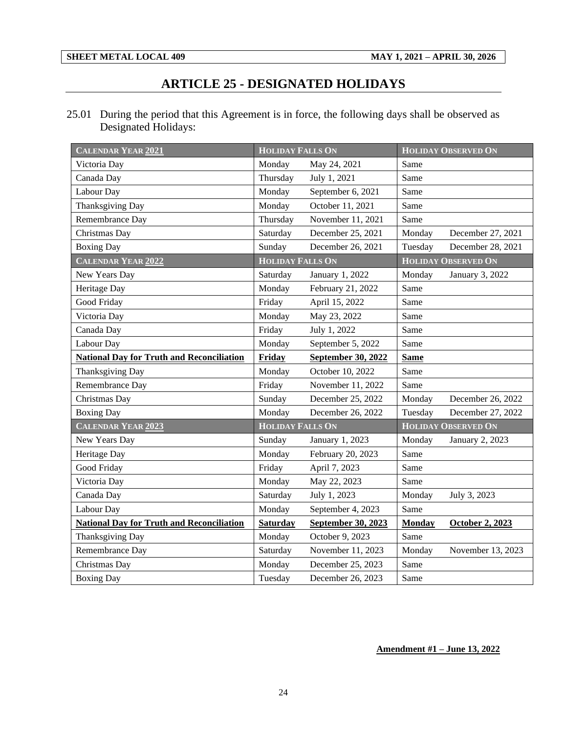# **ARTICLE 25 - DESIGNATED HOLIDAYS**

<span id="page-26-0"></span>25.01 During the period that this Agreement is in force, the following days shall be observed as Designated Holidays:

| <b>CALENDAR YEAR 2021</b>                        | <b>HOLIDAY FALLS ON</b> |                    |               | <b>HOLIDAY OBSERVED ON</b> |
|--------------------------------------------------|-------------------------|--------------------|---------------|----------------------------|
| Victoria Day                                     | Monday                  | May 24, 2021       | Same          |                            |
| Canada Day                                       | Thursday                | July 1, 2021       | Same          |                            |
| Labour Day                                       | Monday                  | September 6, 2021  | Same          |                            |
| Thanksgiving Day                                 | Monday                  | October 11, 2021   | Same          |                            |
| Remembrance Day                                  | Thursday                | November 11, 2021  | Same          |                            |
| Christmas Day                                    | Saturday                | December 25, 2021  | Monday        | December 27, 2021          |
| <b>Boxing Day</b>                                | Sunday                  | December 26, 2021  | Tuesday       | December 28, 2021          |
| <b>CALENDAR YEAR 2022</b>                        | <b>HOLIDAY FALLS ON</b> |                    |               | <b>HOLIDAY OBSERVED ON</b> |
| New Years Day                                    | Saturday                | January 1, 2022    | Monday        | January 3, 2022            |
| Heritage Day                                     | Monday                  | February 21, 2022  | Same          |                            |
| Good Friday                                      | Friday                  | April 15, 2022     | Same          |                            |
| Victoria Day                                     | Monday                  | May 23, 2022       | Same          |                            |
| Canada Day                                       | Friday                  | July 1, 2022       | Same          |                            |
| Labour Day                                       | Monday                  | September 5, 2022  | Same          |                            |
| <b>National Day for Truth and Reconciliation</b> | Friday                  | September 30, 2022 | <b>Same</b>   |                            |
| <b>Thanksgiving Day</b>                          | Monday                  | October 10, 2022   | Same          |                            |
| Remembrance Day                                  | Friday                  | November 11, 2022  | Same          |                            |
| Christmas Day                                    | Sunday                  | December 25, 2022  | Monday        | December 26, 2022          |
| <b>Boxing Day</b>                                | Monday                  | December 26, 2022  | Tuesday       | December 27, 2022          |
| CALENDAR YEAR 2023                               | <b>HOLIDAY FALLS ON</b> |                    |               | <b>HOLIDAY OBSERVED ON</b> |
| New Years Day                                    | Sunday                  | January 1, 2023    | Monday        | January 2, 2023            |
| Heritage Day                                     | Monday                  | February 20, 2023  | Same          |                            |
| Good Friday                                      | Friday                  | April 7, 2023      | Same          |                            |
| Victoria Day                                     | Monday                  | May 22, 2023       | Same          |                            |
| Canada Day                                       | Saturday                | July 1, 2023       | Monday        | July 3, 2023               |
| Labour Day                                       | Monday                  | September 4, 2023  | Same          |                            |
| <b>National Day for Truth and Reconciliation</b> | <b>Saturday</b>         | September 30, 2023 | <b>Monday</b> | <b>October 2, 2023</b>     |
| Thanksgiving Day                                 | Monday                  | October 9, 2023    | Same          |                            |
| Remembrance Day                                  | Saturday                | November 11, 2023  | Monday        | November 13, 2023          |
| Christmas Day                                    | Monday                  | December 25, 2023  | Same          |                            |
| <b>Boxing Day</b>                                | Tuesday                 | December 26, 2023  | Same          |                            |

### **Amendment #1 – June 13, 2022**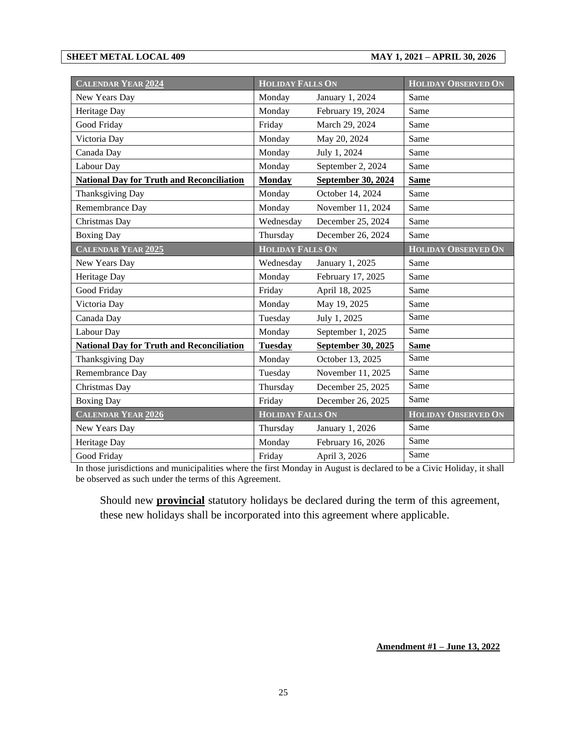**SHEET METAL LOCAL 409 MAY 1, 2021 – APRIL 30, 2026**

| <b>CALENDAR YEAR 2024</b>                        | <b>HOLIDAY FALLS ON</b> |                           | <b>HOLIDAY OBSERVED ON</b> |
|--------------------------------------------------|-------------------------|---------------------------|----------------------------|
| New Years Day                                    | Monday                  | January 1, 2024           | Same                       |
| Heritage Day                                     | Monday                  | February 19, 2024         | Same                       |
| Good Friday                                      | Friday                  | March 29, 2024            | Same                       |
| Victoria Day                                     | Monday                  | May 20, 2024              | Same                       |
| Canada Day                                       | Monday                  | July 1, 2024              | Same                       |
| Labour Day                                       | Monday                  | September 2, 2024         | Same                       |
| <b>National Day for Truth and Reconciliation</b> | <b>Monday</b>           | September 30, 2024        | <b>Same</b>                |
| Thanksgiving Day                                 | Monday                  | October 14, 2024          | Same                       |
| Remembrance Day                                  | Monday                  | November 11, 2024         | Same                       |
| Christmas Day                                    | Wednesday               | December 25, 2024         | Same                       |
| <b>Boxing Day</b>                                | Thursday                | December 26, 2024         | Same                       |
| <b>CALENDAR YEAR 2025</b>                        | <b>HOLIDAY FALLS ON</b> |                           | <b>HOLIDAY OBSERVED ON</b> |
| New Years Day                                    | Wednesday               | January 1, 2025           | Same                       |
| Heritage Day                                     | Monday                  | February 17, 2025         | Same                       |
| Good Friday                                      | Friday                  | April 18, 2025            | Same                       |
| Victoria Day                                     | Monday                  | May 19, 2025              | Same                       |
| Canada Day                                       | Tuesday                 | July 1, 2025              | Same                       |
| Labour Day                                       | Monday                  | September 1, 2025         | Same                       |
| <b>National Day for Truth and Reconciliation</b> | <b>Tuesday</b>          | <b>September 30, 2025</b> | <b>Same</b>                |
| Thanksgiving Day                                 | Monday                  | October 13, 2025          | Same                       |
| Remembrance Day                                  | Tuesday                 | November 11, 2025         | Same                       |
| Christmas Day                                    | Thursday                | December 25, 2025         | Same                       |
| <b>Boxing Day</b>                                | Friday                  | December 26, 2025         | Same                       |
| <b>CALENDAR YEAR 2026</b>                        | <b>HOLIDAY FALLS ON</b> |                           | <b>HOLIDAY OBSERVED ON</b> |
| New Years Day                                    | Thursday                | January 1, 2026           | Same                       |
| Heritage Day                                     | Monday                  | February 16, 2026         | Same                       |
| Good Friday                                      | Friday                  | April 3, 2026             | Same                       |

In those jurisdictions and municipalities where the first Monday in August is declared to be a Civic Holiday, it shall be observed as such under the terms of this Agreement.

Should new **provincial** statutory holidays be declared during the term of this agreement, these new holidays shall be incorporated into this agreement where applicable.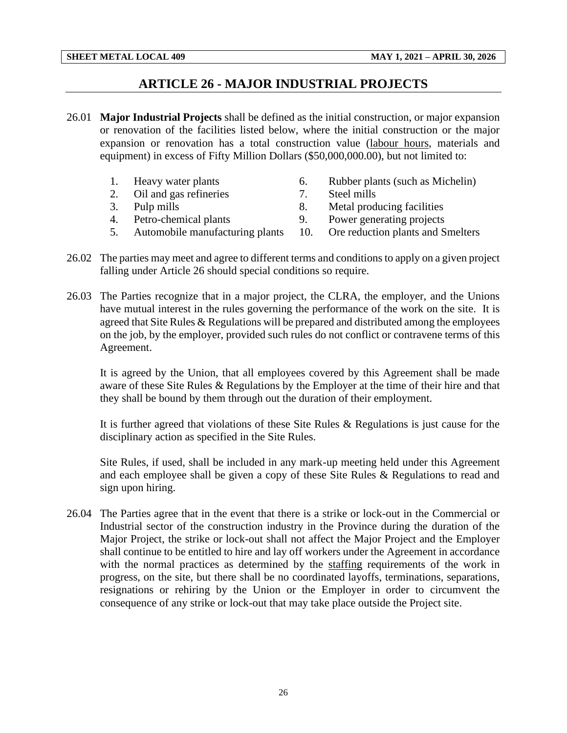## **ARTICLE 26 - MAJOR INDUSTRIAL PROJECTS**

- <span id="page-28-0"></span>26.01 **Major Industrial Projects** shall be defined as the initial construction, or major expansion or renovation of the facilities listed below, where the initial construction or the major expansion or renovation has a total construction value (labour hours, materials and equipment) in excess of Fifty Million Dollars (\$50,000,000.00), but not limited to:
	- 1. Heavy water plants 6. Rubber plants (such as Michelin)
	- 2. Oil and gas refineries 2. Steel mills
	-
- 
- 
- 3. Pulp mills 8. Metal producing facilities
- 4. Petro-chemical plants 9. Power generating projects
	-
- 5. Automobile manufacturing plants 10. Ore reduction plants and Smelters
- 26.02 The parties may meet and agree to different terms and conditions to apply on a given project falling under Article 26 should special conditions so require.
- 26.03 The Parties recognize that in a major project, the CLRA, the employer, and the Unions have mutual interest in the rules governing the performance of the work on the site. It is agreed that Site Rules & Regulations will be prepared and distributed among the employees on the job, by the employer, provided such rules do not conflict or contravene terms of this Agreement.

It is agreed by the Union, that all employees covered by this Agreement shall be made aware of these Site Rules & Regulations by the Employer at the time of their hire and that they shall be bound by them through out the duration of their employment.

It is further agreed that violations of these Site Rules & Regulations is just cause for the disciplinary action as specified in the Site Rules.

Site Rules, if used, shall be included in any mark-up meeting held under this Agreement and each employee shall be given a copy of these Site Rules & Regulations to read and sign upon hiring.

26.04 The Parties agree that in the event that there is a strike or lock-out in the Commercial or Industrial sector of the construction industry in the Province during the duration of the Major Project, the strike or lock-out shall not affect the Major Project and the Employer shall continue to be entitled to hire and lay off workers under the Agreement in accordance with the normal practices as determined by the staffing requirements of the work in progress, on the site, but there shall be no coordinated layoffs, terminations, separations, resignations or rehiring by the Union or the Employer in order to circumvent the consequence of any strike or lock-out that may take place outside the Project site.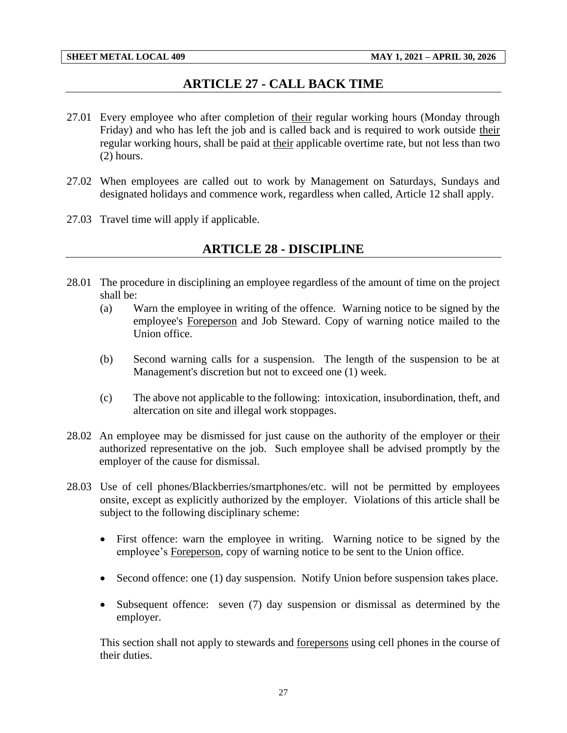## **ARTICLE 27 - CALL BACK TIME**

- <span id="page-29-0"></span>27.01 Every employee who after completion of their regular working hours (Monday through Friday) and who has left the job and is called back and is required to work outside their regular working hours, shall be paid at their applicable overtime rate, but not less than two (2) hours.
- 27.02 When employees are called out to work by Management on Saturdays, Sundays and designated holidays and commence work, regardless when called, Article 12 shall apply.
- <span id="page-29-1"></span>27.03 Travel time will apply if applicable.

## **ARTICLE 28 - DISCIPLINE**

- 28.01 The procedure in disciplining an employee regardless of the amount of time on the project shall be:
	- (a) Warn the employee in writing of the offence. Warning notice to be signed by the employee's Foreperson and Job Steward. Copy of warning notice mailed to the Union office.
	- (b) Second warning calls for a suspension. The length of the suspension to be at Management's discretion but not to exceed one (1) week.
	- (c) The above not applicable to the following: intoxication, insubordination, theft, and altercation on site and illegal work stoppages.
- 28.02 An employee may be dismissed for just cause on the authority of the employer or their authorized representative on the job. Such employee shall be advised promptly by the employer of the cause for dismissal.
- 28.03 Use of cell phones/Blackberries/smartphones/etc. will not be permitted by employees onsite, except as explicitly authorized by the employer. Violations of this article shall be subject to the following disciplinary scheme:
	- First offence: warn the employee in writing. Warning notice to be signed by the employee's Foreperson, copy of warning notice to be sent to the Union office.
	- Second offence: one (1) day suspension. Notify Union before suspension takes place.
	- Subsequent offence: seven (7) day suspension or dismissal as determined by the employer.

This section shall not apply to stewards and forepersons using cell phones in the course of their duties.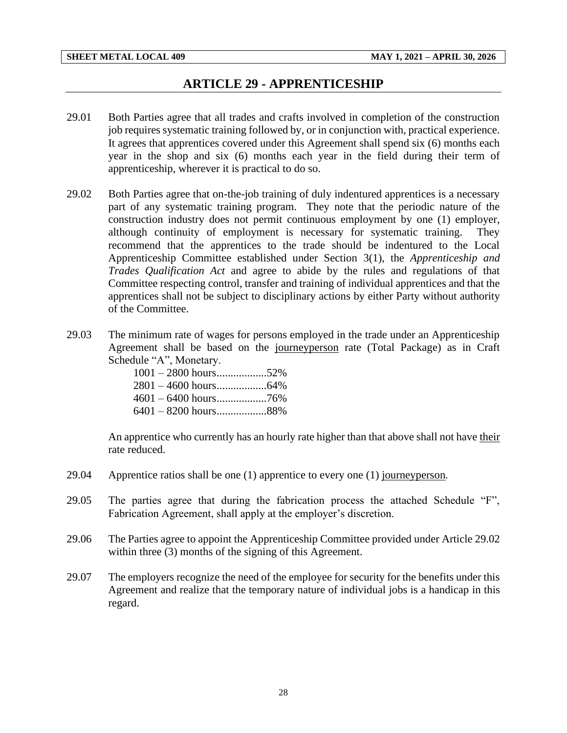## **ARTICLE 29 - APPRENTICESHIP**

- <span id="page-30-0"></span>29.01 Both Parties agree that all trades and crafts involved in completion of the construction job requires systematic training followed by, or in conjunction with, practical experience. It agrees that apprentices covered under this Agreement shall spend six (6) months each year in the shop and six (6) months each year in the field during their term of apprenticeship, wherever it is practical to do so.
- 29.02 Both Parties agree that on-the-job training of duly indentured apprentices is a necessary part of any systematic training program. They note that the periodic nature of the construction industry does not permit continuous employment by one (1) employer, although continuity of employment is necessary for systematic training. They recommend that the apprentices to the trade should be indentured to the Local Apprenticeship Committee established under Section 3(1), the *Apprenticeship and Trades Qualification Act* and agree to abide by the rules and regulations of that Committee respecting control, transfer and training of individual apprentices and that the apprentices shall not be subject to disciplinary actions by either Party without authority of the Committee.
- 29.03 The minimum rate of wages for persons employed in the trade under an Apprenticeship Agreement shall be based on the journeyperson rate (Total Package) as in Craft Schedule "A", Monetary.

| $1001 - 2800$ hours52% |  |
|------------------------|--|
|                        |  |
|                        |  |
| $6401 - 8200$ hours88% |  |

An apprentice who currently has an hourly rate higher than that above shall not have their rate reduced.

- 29.04 Apprentice ratios shall be one (1) apprentice to every one (1) journeyperson*.*
- 29.05 The parties agree that during the fabrication process the attached Schedule "F", Fabrication Agreement, shall apply at the employer's discretion.
- 29.06 The Parties agree to appoint the Apprenticeship Committee provided under Article 29.02 within three (3) months of the signing of this Agreement.
- 29.07 The employers recognize the need of the employee for security for the benefits under this Agreement and realize that the temporary nature of individual jobs is a handicap in this regard.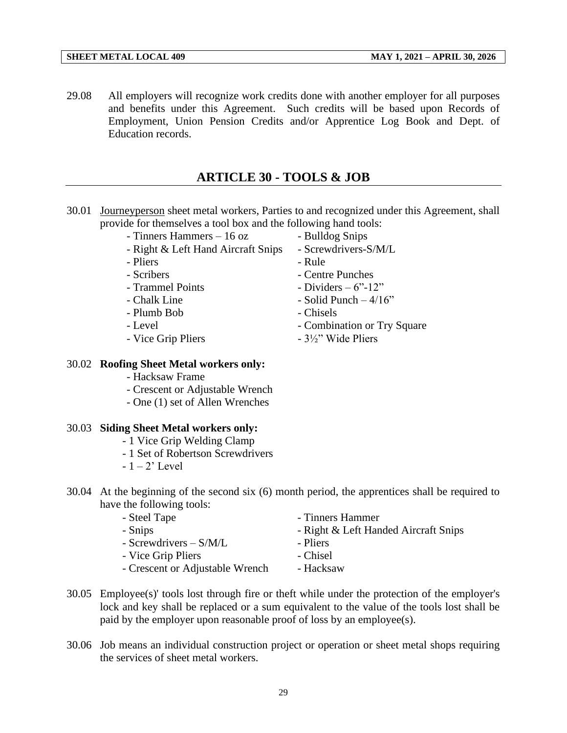29.08 All employers will recognize work credits done with another employer for all purposes and benefits under this Agreement. Such credits will be based upon Records of Employment, Union Pension Credits and/or Apprentice Log Book and Dept. of Education records.

## **ARTICLE 30 - TOOLS & JOB**

- <span id="page-31-0"></span>30.01 Journeyperson sheet metal workers, Parties to and recognized under this Agreement, shall provide for themselves a tool box and the following hand tools:
	- Tinners Hammers 16 oz Bulldog Snips
	- Right & Left Hand Aircraft Snips Screwdrivers-S/M/L
	- Pliers Rule
	-
	-
	-
	- Plumb Bob Chisels
	-
	-

30.02 **Roofing Sheet Metal workers only:** - Hacksaw Frame

- 
- 
- 
- Scribers Centre Punches
- $-$  Trammel Points  $-$  Dividers  $-6$ "-12"
- $-$  Chalk Line  $-$  Solid Punch  $-$  4/16 $\degree$ 
	-
- Level Combination or Try Square
- Vice Grip Pliers 3½" Wide Pliers
- Crescent or Adjustable Wrench - One (1) set of Allen Wrenches

### 30.03 **Siding Sheet Metal workers only:**

- 1 Vice Grip Welding Clamp
- 1 Set of Robertson Screwdrivers
- $-1 2$ ' Level
- 30.04 At the beginning of the second six (6) month period, the apprentices shall be required to have the following tools:
	- Steel Tape  **Tinners Hammer** - Snips - Right & Left Handed Aircraft Snips  $-$  Screwdrivers  $-$  S/M/L  $-$  Pliers
		- Vice Grip Pliers Chisel
		- Crescent or Adjustable Wrench Hacksaw
- 30.05 Employee(s)' tools lost through fire or theft while under the protection of the employer's lock and key shall be replaced or a sum equivalent to the value of the tools lost shall be paid by the employer upon reasonable proof of loss by an employee(s).
- 30.06 Job means an individual construction project or operation or sheet metal shops requiring the services of sheet metal workers.

29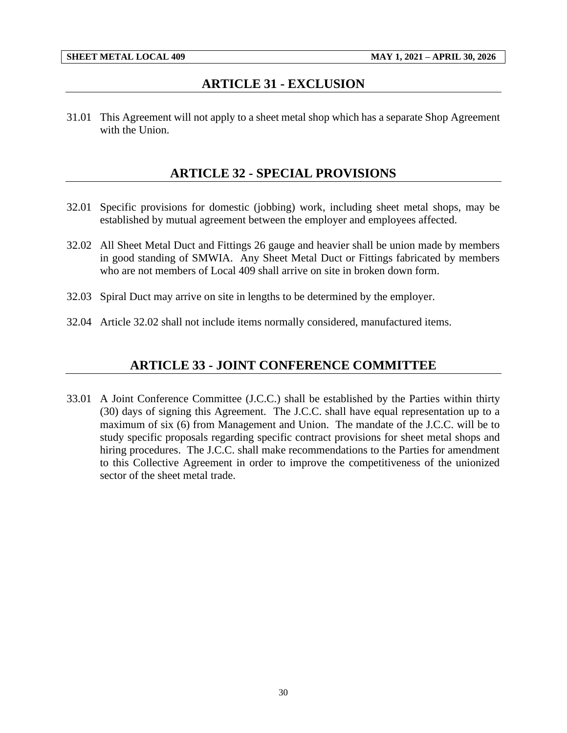## **ARTICLE 31 - EXCLUSION**

<span id="page-32-1"></span><span id="page-32-0"></span>31.01 This Agreement will not apply to a sheet metal shop which has a separate Shop Agreement with the Union.

## **ARTICLE 32 - SPECIAL PROVISIONS**

- 32.01 Specific provisions for domestic (jobbing) work, including sheet metal shops, may be established by mutual agreement between the employer and employees affected.
- 32.02 All Sheet Metal Duct and Fittings 26 gauge and heavier shall be union made by members in good standing of SMWIA. Any Sheet Metal Duct or Fittings fabricated by members who are not members of Local 409 shall arrive on site in broken down form.
- 32.03 Spiral Duct may arrive on site in lengths to be determined by the employer.
- <span id="page-32-2"></span>32.04 Article 32.02 shall not include items normally considered, manufactured items.

## **ARTICLE 33 - JOINT CONFERENCE COMMITTEE**

33.01 A Joint Conference Committee (J.C.C.) shall be established by the Parties within thirty (30) days of signing this Agreement. The J.C.C. shall have equal representation up to a maximum of six (6) from Management and Union. The mandate of the J.C.C. will be to study specific proposals regarding specific contract provisions for sheet metal shops and hiring procedures. The J.C.C. shall make recommendations to the Parties for amendment to this Collective Agreement in order to improve the competitiveness of the unionized sector of the sheet metal trade.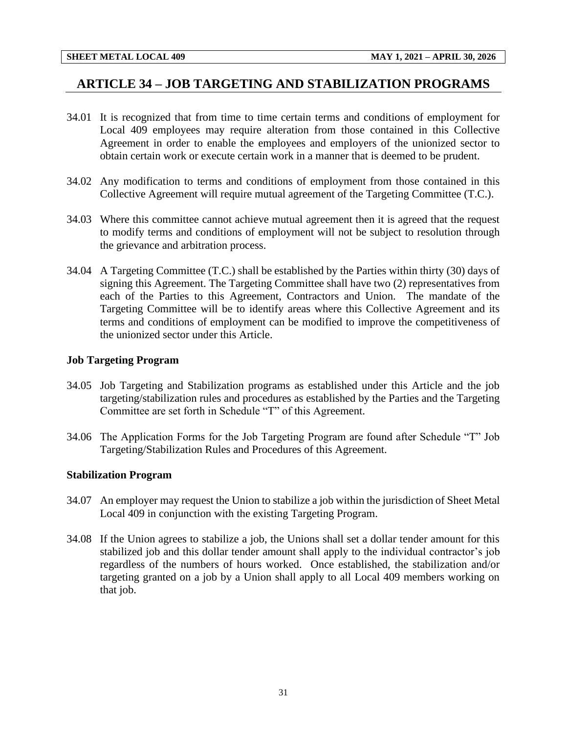## <span id="page-33-0"></span>**ARTICLE 34 – JOB TARGETING AND STABILIZATION PROGRAMS**

- 34.01 It is recognized that from time to time certain terms and conditions of employment for Local 409 employees may require alteration from those contained in this Collective Agreement in order to enable the employees and employers of the unionized sector to obtain certain work or execute certain work in a manner that is deemed to be prudent.
- 34.02 Any modification to terms and conditions of employment from those contained in this Collective Agreement will require mutual agreement of the Targeting Committee (T.C.).
- 34.03 Where this committee cannot achieve mutual agreement then it is agreed that the request to modify terms and conditions of employment will not be subject to resolution through the grievance and arbitration process.
- 34.04 A Targeting Committee (T.C.) shall be established by the Parties within thirty (30) days of signing this Agreement. The Targeting Committee shall have two (2) representatives from each of the Parties to this Agreement, Contractors and Union. The mandate of the Targeting Committee will be to identify areas where this Collective Agreement and its terms and conditions of employment can be modified to improve the competitiveness of the unionized sector under this Article.

#### **Job Targeting Program**

- 34.05 Job Targeting and Stabilization programs as established under this Article and the job targeting/stabilization rules and procedures as established by the Parties and the Targeting Committee are set forth in Schedule "T" of this Agreement.
- 34.06 The Application Forms for the Job Targeting Program are found after Schedule "T" Job Targeting/Stabilization Rules and Procedures of this Agreement.

#### **Stabilization Program**

- 34.07 An employer may request the Union to stabilize a job within the jurisdiction of Sheet Metal Local 409 in conjunction with the existing Targeting Program.
- 34.08 If the Union agrees to stabilize a job, the Unions shall set a dollar tender amount for this stabilized job and this dollar tender amount shall apply to the individual contractor's job regardless of the numbers of hours worked. Once established, the stabilization and/or targeting granted on a job by a Union shall apply to all Local 409 members working on that job.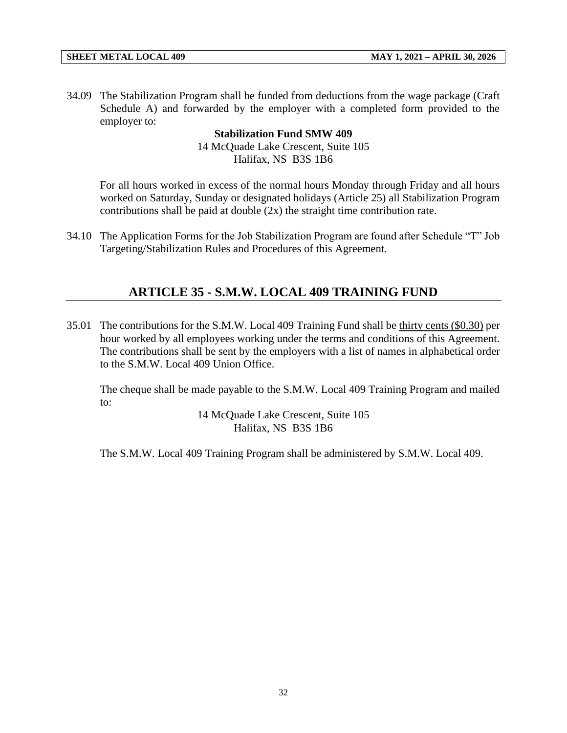34.09 The Stabilization Program shall be funded from deductions from the wage package (Craft Schedule A) and forwarded by the employer with a completed form provided to the employer to:

#### **Stabilization Fund SMW 409**

14 McQuade Lake Crescent, Suite 105 Halifax, NS B3S 1B6

For all hours worked in excess of the normal hours Monday through Friday and all hours worked on Saturday, Sunday or designated holidays (Article 25) all Stabilization Program contributions shall be paid at double (2x) the straight time contribution rate.

<span id="page-34-0"></span>34.10 The Application Forms for the Job Stabilization Program are found after Schedule "T" Job Targeting/Stabilization Rules and Procedures of this Agreement.

## **ARTICLE 35 - S.M.W. LOCAL 409 TRAINING FUND**

35.01 The contributions for the S.M.W. Local 409 Training Fund shall be thirty cents (\$0.30) per hour worked by all employees working under the terms and conditions of this Agreement. The contributions shall be sent by the employers with a list of names in alphabetical order to the S.M.W. Local 409 Union Office.

The cheque shall be made payable to the S.M.W. Local 409 Training Program and mailed to:

> 14 McQuade Lake Crescent, Suite 105 Halifax, NS B3S 1B6

The S.M.W. Local 409 Training Program shall be administered by S.M.W. Local 409.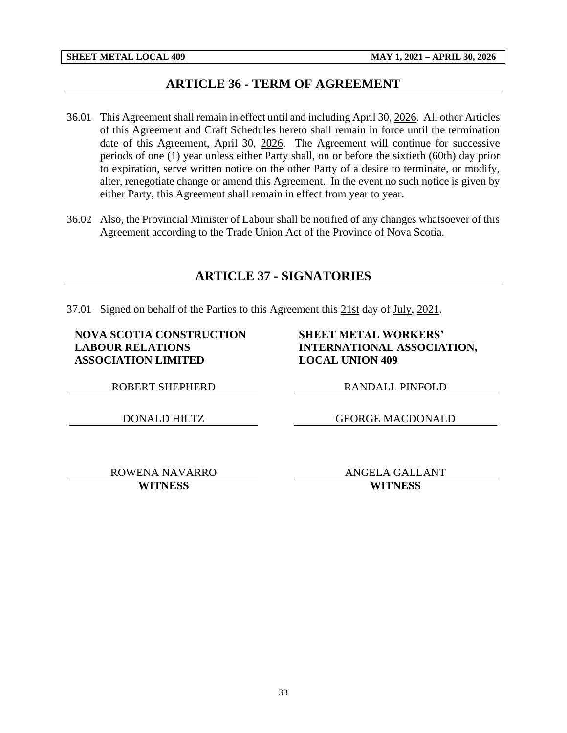## **ARTICLE 36 - TERM OF AGREEMENT**

- <span id="page-35-0"></span>36.01 This Agreement shall remain in effect until and including April 30, 2026. All other Articles of this Agreement and Craft Schedules hereto shall remain in force until the termination date of this Agreement, April 30, 2026. The Agreement will continue for successive periods of one (1) year unless either Party shall, on or before the sixtieth (60th) day prior to expiration, serve written notice on the other Party of a desire to terminate, or modify, alter, renegotiate change or amend this Agreement. In the event no such notice is given by either Party, this Agreement shall remain in effect from year to year.
- <span id="page-35-1"></span>36.02 Also, the Provincial Minister of Labour shall be notified of any changes whatsoever of this Agreement according to the Trade Union Act of the Province of Nova Scotia.

## **ARTICLE 37 - SIGNATORIES**

37.01 Signed on behalf of the Parties to this Agreement this 21st day of July, 2021.

#### **NOVA SCOTIA CONSTRUCTION LABOUR RELATIONS ASSOCIATION LIMITED**

#### **SHEET METAL WORKERS' INTERNATIONAL ASSOCIATION, LOCAL UNION 409**

ROBERT SHEPHERD RANDALL PINFOLD

DONALD HILTZ GEORGE MACDONALD

ROWENA NAVARRO ANGELA GALLANT **WITNESS WITNESS**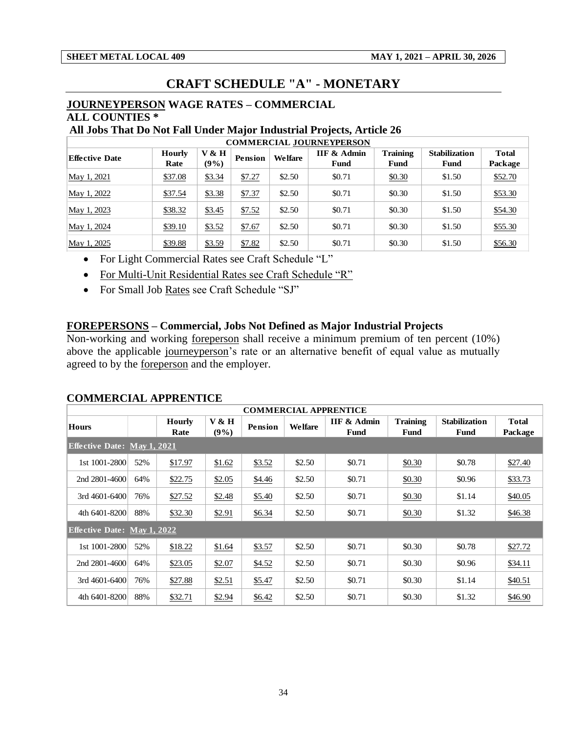## **CRAFT SCHEDULE "A" - MONETARY**

### <span id="page-36-0"></span>**JOURNEYPERSON WAGE RATES – COMMERCIAL ALL COUNTIES \***

#### **All Jobs That Do Not Fall Under Major Industrial Projects, Article 26**

| <b>COMMERCIAL JOURNEYPERSON</b> |                       |                  |         |         |                     |                         |                              |                         |  |  |
|---------------------------------|-----------------------|------------------|---------|---------|---------------------|-------------------------|------------------------------|-------------------------|--|--|
| <b>Effective Date</b>           | <b>Hourly</b><br>Rate | V & H<br>$(9\%)$ | Pension | Welfare | IIF & Admin<br>Fund | <b>Training</b><br>Fund | <b>Stabilization</b><br>Fund | <b>Total</b><br>Package |  |  |
| May 1, 2021                     | \$37.08               | \$3.34           | \$7.27  | \$2.50  | \$0.71              | \$0.30                  | \$1.50                       | \$52.70                 |  |  |
| May 1, 2022                     | \$37.54               | \$3.38           | \$7.37  | \$2.50  | \$0.71              | \$0.30                  | \$1.50                       | \$53.30                 |  |  |
| May 1, 2023                     | \$38.32               | \$3.45           | \$7.52  | \$2.50  | \$0.71              | \$0.30                  | \$1.50                       | \$54.30                 |  |  |
| May 1, 2024                     | \$39.10               | \$3.52           | \$7.67  | \$2.50  | \$0.71              | \$0.30                  | \$1.50                       | \$55.30                 |  |  |
| May 1, 2025                     | \$39.88               | \$3.59           | \$7.82  | \$2.50  | \$0.71              | \$0.30                  | \$1.50                       | \$56.30                 |  |  |

• For Light Commercial Rates see Craft Schedule "L"

• For Multi-Unit Residential Rates see Craft Schedule "R"

• For Small Job Rates see Craft Schedule "SJ"

### **FOREPERSONS – Commercial, Jobs Not Defined as Major Industrial Projects**

Non-working and working foreperson shall receive a minimum premium of ten percent (10%) above the applicable journeyperson's rate or an alternative benefit of equal value as mutually agreed to by the foreperson and the employer.

### **COMMERCIAL APPRENTICE**

|                                    | <b>COMMERCIAL APPRENTICE</b> |                       |               |         |         |                                |                         |                              |                         |  |  |
|------------------------------------|------------------------------|-----------------------|---------------|---------|---------|--------------------------------|-------------------------|------------------------------|-------------------------|--|--|
| Hours                              |                              | <b>Hourly</b><br>Rate | V & H<br>(9%) | Pension | Welfare | <b>IIF &amp; Admin</b><br>Fund | <b>Training</b><br>Fund | <b>Stabilization</b><br>Fund | <b>Total</b><br>Package |  |  |
| <b>Effective Date: May 1, 2021</b> |                              |                       |               |         |         |                                |                         |                              |                         |  |  |
| 1st 1001-2800                      | 52%                          | \$17.97               | \$1.62        | \$3.52  | \$2.50  | \$0.71                         | \$0.30                  | \$0.78                       | \$27.40                 |  |  |
| 2nd 2801-4600                      | 64%                          | \$22.75               | \$2.05        | \$4.46  | \$2.50  | \$0.71                         | \$0.30                  | \$0.96                       | \$33.73                 |  |  |
| 3rd 4601-6400                      | 76%                          | \$27.52               | \$2.48        | \$5.40  | \$2.50  | \$0.71                         | \$0.30                  | \$1.14                       | \$40.05                 |  |  |
| 4th 6401-8200                      | 88%                          | \$32.30               | \$2.91        | \$6.34  | \$2.50  | \$0.71                         | \$0.30                  | \$1.32                       | \$46.38                 |  |  |
| <b>Effective Date: May 1, 2022</b> |                              |                       |               |         |         |                                |                         |                              |                         |  |  |
| 1st 1001-2800                      | 52%                          | \$18.22               | \$1.64        | \$3.57  | \$2.50  | \$0.71                         | \$0.30                  | \$0.78                       | \$27.72                 |  |  |
| 2nd 2801-4600                      | 64%                          | \$23.05               | \$2.07        | \$4.52  | \$2.50  | \$0.71                         | \$0.30                  | \$0.96                       | \$34.11                 |  |  |
| 3rd 4601-6400                      | 76%                          | \$27.88               | \$2.51        | \$5.47  | \$2.50  | \$0.71                         | \$0.30                  | \$1.14                       | \$40.51                 |  |  |
| 4th 6401-8200                      | 88%                          | \$32.71               | \$2.94        | \$6.42  | \$2.50  | \$0.71                         | \$0.30                  | \$1.32                       | \$46.90                 |  |  |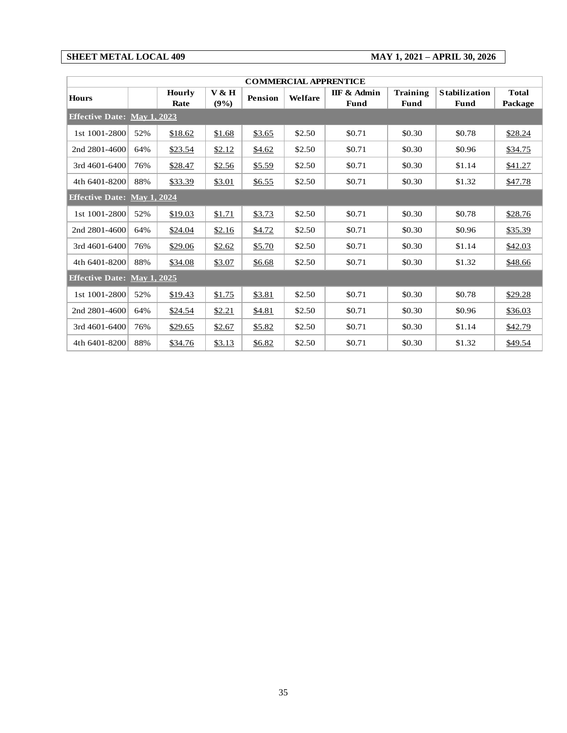**SHEET METAL LOCAL 409 MAY 1, 2021 – APRIL 30, 2026**

| <b>COMMERCIAL APPRENTICE</b>       |     |                |               |                |         |                     |                                |                              |                         |  |
|------------------------------------|-----|----------------|---------------|----------------|---------|---------------------|--------------------------------|------------------------------|-------------------------|--|
| <b>Hours</b>                       |     | Hourly<br>Rate | V & H<br>(9%) | <b>Pension</b> | Welfare | IIF & Admin<br>Fund | <b>Training</b><br><b>Fund</b> | <b>Stabilization</b><br>Fund | <b>Total</b><br>Package |  |
| <b>Effective Date: May 1, 2023</b> |     |                |               |                |         |                     |                                |                              |                         |  |
| 1st 1001-2800                      | 52% | \$18.62        | \$1.68        | \$3.65         | \$2.50  | \$0.71              | \$0.30                         | \$0.78                       | \$28.24                 |  |
| 2nd 2801-4600                      | 64% | \$23.54        | \$2.12        | \$4.62         | \$2.50  | \$0.71              | \$0.30                         | \$0.96                       | \$34.75                 |  |
| $3rd$ 4601-6400                    | 76% | \$28.47        | \$2.56        | \$5.59         | \$2.50  | \$0.71              | \$0.30                         | \$1.14                       | \$41.27                 |  |
| 4th 6401-8200                      | 88% | \$33.39        | \$3.01        | \$6.55         | \$2.50  | \$0.71              | \$0.30                         | \$1.32                       | \$47.78                 |  |
| <b>Effective Date: May 1, 2024</b> |     |                |               |                |         |                     |                                |                              |                         |  |
| 1st 1001-2800                      | 52% | \$19.03        | \$1.71        | \$3.73         | \$2.50  | \$0.71              | \$0.30                         | \$0.78                       | \$28.76                 |  |
| 2nd 2801-4600                      | 64% | \$24.04        | \$2.16        | \$4.72         | \$2.50  | \$0.71              | \$0.30                         | \$0.96                       | \$35.39                 |  |
| $3rd$ 4601-6400                    | 76% | \$29.06        | \$2.62        | \$5.70         | \$2.50  | \$0.71              | \$0.30                         | \$1.14                       | \$42.03                 |  |
| 4th 6401-8200                      | 88% | \$34.08        | \$3.07        | \$6.68         | \$2.50  | \$0.71              | \$0.30                         | \$1.32                       | \$48.66                 |  |
| <b>Effective Date: May 1, 2025</b> |     |                |               |                |         |                     |                                |                              |                         |  |
| 1st 1001-2800                      | 52% | \$19.43        | \$1.75        | \$3.81         | \$2.50  | \$0.71              | \$0.30                         | \$0.78                       | \$29.28                 |  |
| 2nd 2801-4600                      | 64% | \$24.54        | \$2.21        | \$4.81         | \$2.50  | \$0.71              | \$0.30                         | \$0.96                       | \$36.03                 |  |
| 3rd 4601-6400                      | 76% | \$29.65        | \$2.67        | \$5.82         | \$2.50  | \$0.71              | \$0.30                         | \$1.14                       | \$42.79                 |  |
| 4th 6401-8200                      | 88% | \$34.76        | \$3.13        | \$6.82         | \$2.50  | \$0.71              | \$0.30                         | \$1.32                       | \$49.54                 |  |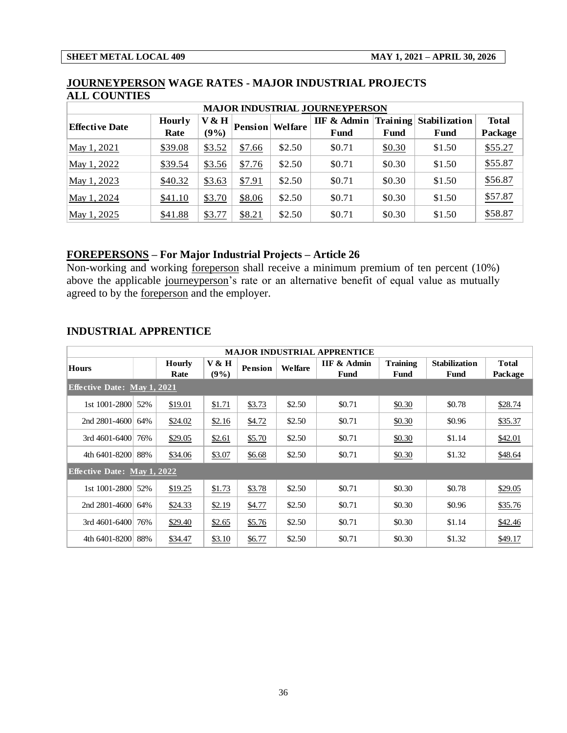| <b>MAJOR INDUSTRIAL JOURNEYPERSON</b> |               |        |                |         |             |          |               |              |  |  |
|---------------------------------------|---------------|--------|----------------|---------|-------------|----------|---------------|--------------|--|--|
|                                       | <b>Hourly</b> | V & H  |                | Welfare | IIF & Admin | Training | Stabilization | <b>Total</b> |  |  |
| <b>Effective Date</b>                 | Rate          | (9%)   | <b>Pension</b> |         | Fund        | Fund     | Fund          | Package      |  |  |
| May 1, 2021                           | \$39.08       | \$3.52 | \$7.66         | \$2.50  | \$0.71      | \$0.30   | \$1.50        | \$55.27      |  |  |
| May 1, 2022                           | \$39.54       | \$3.56 | \$7.76         | \$2.50  | \$0.71      | \$0.30   | \$1.50        | \$55.87      |  |  |
| May 1, 2023                           | \$40.32       | \$3.63 | \$7.91         | \$2.50  | \$0.71      | \$0.30   | \$1.50        | \$56.87      |  |  |
| May 1, 2024                           | \$41.10       | \$3.70 | \$8.06         | \$2.50  | \$0.71      | \$0.30   | \$1.50        | \$57.87      |  |  |
| May 1, 2025                           | \$41.88       | \$3.77 | \$8.21         | \$2.50  | \$0.71      | \$0.30   | \$1.50        | \$58.87      |  |  |

#### **JOURNEYPERSON WAGE RATES - MAJOR INDUSTRIAL PROJECTS ALL COUNTIES**

## **FOREPERSONS – For Major Industrial Projects – Article 26**

Non-working and working foreperson shall receive a minimum premium of ten percent (10%) above the applicable journeyperson's rate or an alternative benefit of equal value as mutually agreed to by the foreperson and the employer.

#### **INDUSTRIAL APPRENTICE**

| <b>MAJOR INDUSTRIAL APPRENTICE</b> |     |               |        |         |         |                        |                 |                      |              |  |
|------------------------------------|-----|---------------|--------|---------|---------|------------------------|-----------------|----------------------|--------------|--|
| <b>Hours</b>                       |     | <b>Hourly</b> | V & H  | Pension | Welfare | <b>IIF &amp; Admin</b> | <b>Training</b> | <b>Stabilization</b> | <b>Total</b> |  |
|                                    |     | Rate          | (9%)   |         |         | Fund                   | Fund            | Fund                 | Package      |  |
| <b>Effective Date: May 1, 2021</b> |     |               |        |         |         |                        |                 |                      |              |  |
| 1st 1001-2800                      | 52% | \$19.01       | \$1.71 | \$3.73  | \$2.50  | \$0.71                 | \$0.30          | \$0.78               | \$28.74      |  |
| 2nd $2801 - 4600$                  | 64% | \$24.02       | \$2.16 | \$4.72  | \$2.50  | \$0.71                 | \$0.30          | \$0.96               | \$35.37      |  |
| $3rd$ 4601-6400                    | 76% | \$29.05       | \$2.61 | \$5.70  | \$2.50  | \$0.71                 | \$0.30          | \$1.14               | \$42.01      |  |
| 4th 6401-8200                      | 88% | \$34.06       | \$3.07 | \$6.68  | \$2.50  | \$0.71                 | \$0.30          | \$1.32               | \$48.64      |  |
| <b>Effective Date: May 1, 2022</b> |     |               |        |         |         |                        |                 |                      |              |  |
| 1st 1001-2800                      | 52% | \$19.25       | \$1.73 | \$3.78  | \$2.50  | \$0.71                 | \$0.30          | \$0.78               | \$29.05      |  |
| 2nd $2801 - 4600$                  | 64% | \$24.33       | \$2.19 | \$4.77  | \$2.50  | \$0.71                 | \$0.30          | \$0.96               | \$35.76      |  |
| 3rd 4601-6400                      | 76% | \$29.40       | \$2.65 | \$5.76  | \$2.50  | \$0.71                 | \$0.30          | \$1.14               | \$42.46      |  |
| 4th 6401-8200                      | 88% | \$34.47       | \$3.10 | \$6.77  | \$2.50  | \$0.71                 | \$0.30          | \$1.32               | \$49.17      |  |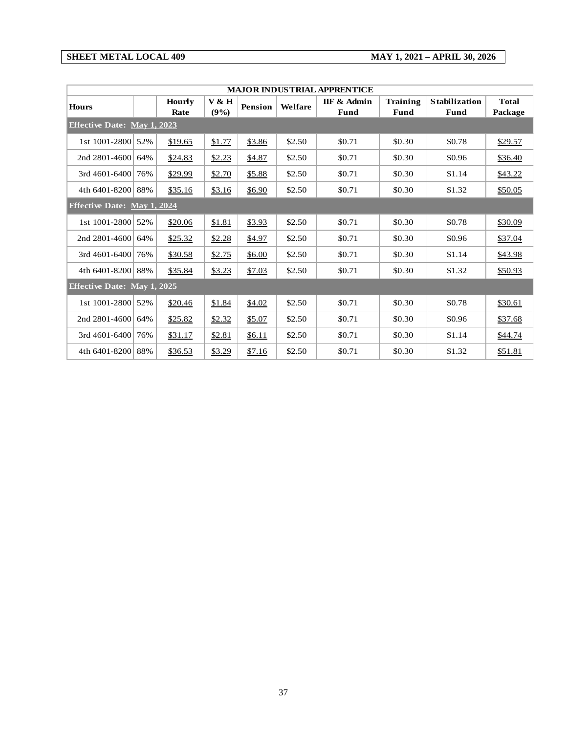'n

**SHEET METAL LOCAL 409 MAY 1, 2021 – APRIL 30, 2026**

|                                    | MAJOR INDUSTRIAL APPRENTICE |               |        |                |         |             |          |                      |              |  |  |  |
|------------------------------------|-----------------------------|---------------|--------|----------------|---------|-------------|----------|----------------------|--------------|--|--|--|
| <b>Hours</b>                       |                             | <b>Hourly</b> | V & H  | <b>Pension</b> | Welfare | IIF & Admin | Training | <b>Stabilization</b> | <b>Total</b> |  |  |  |
|                                    |                             | Rate          | (9%)   |                |         | <b>Fund</b> | Fund     | <b>Fund</b>          | Package      |  |  |  |
| <b>Effective Date: May 1, 2023</b> |                             |               |        |                |         |             |          |                      |              |  |  |  |
| 1st 1001-2800                      | 52%                         | \$19.65       | \$1.77 | \$3.86         | \$2.50  | \$0.71      | \$0.30   | \$0.78               | \$29.57      |  |  |  |
| 2nd 2801-4600                      | 64%                         | \$24.83       | \$2.23 | \$4.87         | \$2.50  | \$0.71      | \$0.30   | \$0.96               | \$36.40      |  |  |  |
| 3rd 4601-6400                      | 76%                         | \$29.99       | \$2.70 | \$5.88         | \$2.50  | \$0.71      | \$0.30   | \$1.14               | \$43.22      |  |  |  |
| 4th 6401-8200 88%                  |                             | \$35.16       | \$3.16 | \$6.90         | \$2.50  | \$0.71      | \$0.30   | \$1.32               | \$50.05      |  |  |  |
| <b>Effective Date: May 1, 2024</b> |                             |               |        |                |         |             |          |                      |              |  |  |  |
| 1st 1001-2800 52%                  |                             | \$20.06       | \$1.81 | \$3.93         | \$2.50  | \$0.71      | \$0.30   | \$0.78               | \$30.09      |  |  |  |
| 2nd 2801-4600                      | 64%                         | \$25.32       | \$2.28 | \$4.97         | \$2.50  | \$0.71      | \$0.30   | \$0.96               | \$37.04      |  |  |  |
| 3rd 4601-6400                      | 76%                         | \$30.58       | \$2.75 | \$6.00         | \$2.50  | \$0.71      | \$0.30   | \$1.14               | \$43.98      |  |  |  |
| 4th 6401-8200 88%                  |                             | \$35.84       | \$3.23 | \$7.03         | \$2.50  | \$0.71      | \$0.30   | \$1.32               | \$50.93      |  |  |  |
| <b>Effective Date: May 1, 2025</b> |                             |               |        |                |         |             |          |                      |              |  |  |  |
| 1st 1001-2800                      | 52%                         | \$20.46       | \$1.84 | \$4.02         | \$2.50  | \$0.71      | \$0.30   | \$0.78               | \$30.61      |  |  |  |
| 2nd 2801-4600                      | 64%                         | \$25.82       | \$2.32 | \$5.07         | \$2.50  | \$0.71      | \$0.30   | \$0.96               | \$37.68      |  |  |  |
| 3rd 4601-6400                      | 76%                         | \$31.17       | \$2.81 | \$6.11         | \$2.50  | \$0.71      | \$0.30   | \$1.14               | \$44.74      |  |  |  |
| 4th 6401-8200 88%                  |                             | \$36.53       | \$3.29 | \$7.16         | \$2.50  | \$0.71      | \$0.30   | \$1.32               | \$51.81      |  |  |  |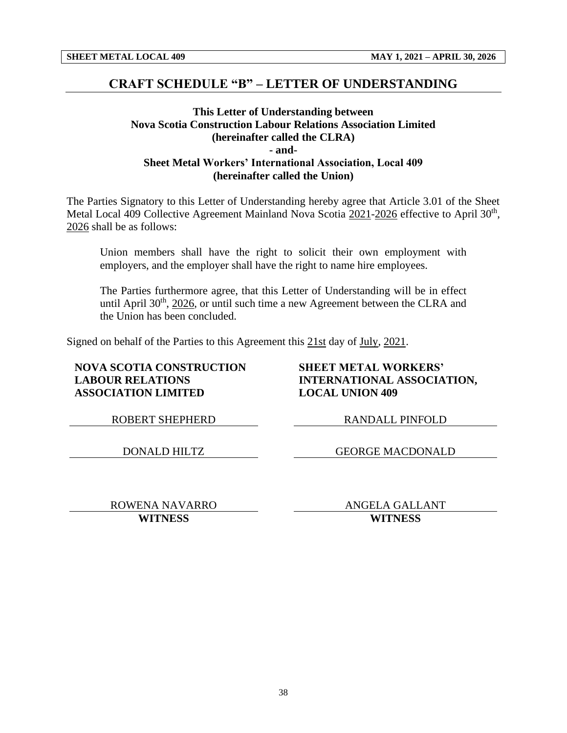### **CRAFT SCHEDULE "B" – LETTER OF UNDERSTANDING**

#### **This Letter of Understanding between Nova Scotia Construction Labour Relations Association Limited (hereinafter called the CLRA) - and-Sheet Metal Workers' International Association, Local 409 (hereinafter called the Union)**

The Parties Signatory to this Letter of Understanding hereby agree that Article 3.01 of the Sheet Metal Local 409 Collective Agreement Mainland Nova Scotia 2021-2026 effective to April 30<sup>th</sup>, 2026 shall be as follows:

Union members shall have the right to solicit their own employment with employers, and the employer shall have the right to name hire employees.

The Parties furthermore agree, that this Letter of Understanding will be in effect until April  $30<sup>th</sup>$ ,  $2026$ , or until such time a new Agreement between the CLRA and the Union has been concluded.

Signed on behalf of the Parties to this Agreement this 21st day of July, 2021.

#### **NOVA SCOTIA CONSTRUCTION LABOUR RELATIONS ASSOCIATION LIMITED**

**SHEET METAL WORKERS' INTERNATIONAL ASSOCIATION, LOCAL UNION 409**

ROBERT SHEPHERD RANDALL PINFOLD

DONALD HILTZ GEORGE MACDONALD

ROWENA NAVARRO ANGELA GALLANT **WITNESS WITNESS**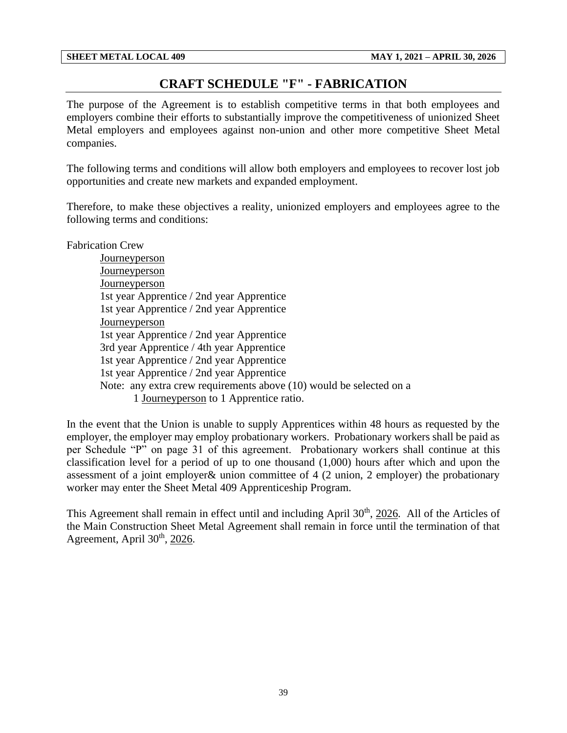## **CRAFT SCHEDULE "F" - FABRICATION**

<span id="page-41-0"></span>The purpose of the Agreement is to establish competitive terms in that both employees and employers combine their efforts to substantially improve the competitiveness of unionized Sheet Metal employers and employees against non-union and other more competitive Sheet Metal companies.

The following terms and conditions will allow both employers and employees to recover lost job opportunities and create new markets and expanded employment.

Therefore, to make these objectives a reality, unionized employers and employees agree to the following terms and conditions:

Fabrication Crew

Journeyperson **Journeyperson Journeyperson** 1st year Apprentice / 2nd year Apprentice 1st year Apprentice / 2nd year Apprentice **Journeyperson** 1st year Apprentice / 2nd year Apprentice 3rd year Apprentice / 4th year Apprentice 1st year Apprentice / 2nd year Apprentice 1st year Apprentice / 2nd year Apprentice Note: any extra crew requirements above (10) would be selected on a 1 Journeyperson to 1 Apprentice ratio.

In the event that the Union is unable to supply Apprentices within 48 hours as requested by the employer, the employer may employ probationary workers. Probationary workers shall be paid as per Schedule "P" on page 31 of this agreement. Probationary workers shall continue at this classification level for a period of up to one thousand (1,000) hours after which and upon the assessment of a joint employer& union committee of 4 (2 union, 2 employer) the probationary worker may enter the Sheet Metal 409 Apprenticeship Program.

This Agreement shall remain in effect until and including April 30<sup>th</sup>, 2026. All of the Articles of the Main Construction Sheet Metal Agreement shall remain in force until the termination of that Agreement, April 30<sup>th</sup>, 2026.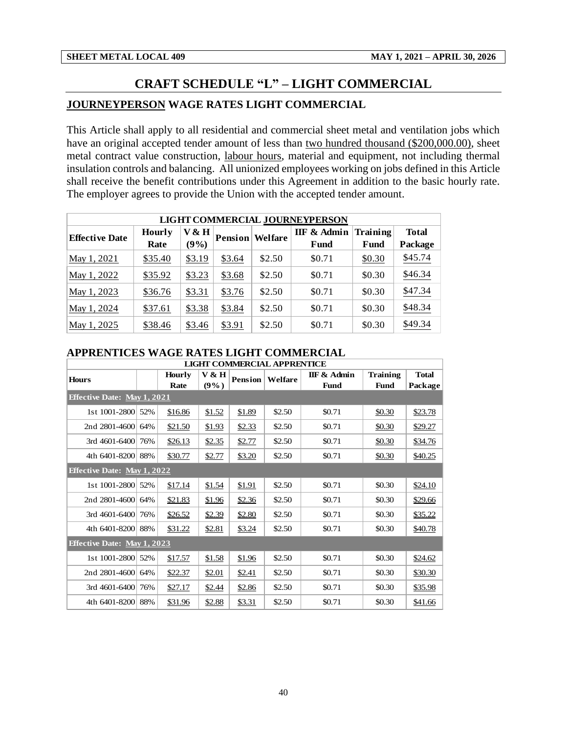## **CRAFT SCHEDULE "L" – LIGHT COMMERCIAL**

#### <span id="page-42-0"></span>**JOURNEYPERSON WAGE RATES LIGHT COMMERCIAL**

This Article shall apply to all residential and commercial sheet metal and ventilation jobs which have an original accepted tender amount of less than two hundred thousand (\$200,000.00), sheet metal contract value construction, labour hours, material and equipment, not including thermal insulation controls and balancing. All unionized employees working on jobs defined in this Article shall receive the benefit contributions under this Agreement in addition to the basic hourly rate. The employer agrees to provide the Union with the accepted tender amount.

| LIGHT COMMERCIAL JOURNEYPERSON |               |                         |        |         |             |          |              |  |  |  |  |
|--------------------------------|---------------|-------------------------|--------|---------|-------------|----------|--------------|--|--|--|--|
| <b>Effective Date</b>          | <b>Hourly</b> | V & H<br><b>Pension</b> |        | Welfare | IIF & Admin | Training | <b>Total</b> |  |  |  |  |
|                                | Rate          | (9%)                    |        |         | Fund        | Fund     | Package      |  |  |  |  |
| May 1, 2021                    | \$35.40       | \$3.19                  | \$3.64 | \$2.50  | \$0.71      | \$0.30   | \$45.74      |  |  |  |  |
| May 1, 2022                    | \$35.92       | \$3.23                  | \$3.68 | \$2.50  | \$0.71      | \$0.30   | \$46.34      |  |  |  |  |
| May 1, 2023                    | \$36.76       | \$3.31                  | \$3.76 | \$2.50  | \$0.71      | \$0.30   | \$47.34      |  |  |  |  |
| May 1, 2024                    | \$37.61       | \$3.38                  | \$3.84 | \$2.50  | \$0.71      | \$0.30   | \$48.34      |  |  |  |  |
| May 1, 2025                    | \$38.46       | \$3.46                  | \$3.91 | \$2.50  | \$0.71      | \$0.30   | \$49.34      |  |  |  |  |

|                                    | APPRENTICES WAGE RATES LIGHT COMMERCIAL |               |        |                |         |                        |                 |              |  |  |  |
|------------------------------------|-----------------------------------------|---------------|--------|----------------|---------|------------------------|-----------------|--------------|--|--|--|
| <b>LIGHT COMMERCIAL APPRENTICE</b> |                                         |               |        |                |         |                        |                 |              |  |  |  |
| <b>Hours</b>                       |                                         | <b>Hourly</b> | V & H  | <b>Pension</b> | Welfare | <b>IIF &amp; Admin</b> | <b>Training</b> | <b>Total</b> |  |  |  |
|                                    |                                         | Rate          | (9%)   |                |         | Fund                   | <b>Fund</b>     | Package      |  |  |  |
| <b>Effective Date: May 1, 2021</b> |                                         |               |        |                |         |                        |                 |              |  |  |  |
| 1st 1001-2800                      | 52%                                     | \$16.86       | \$1.52 | \$1.89         | \$2.50  | \$0.71                 | \$0.30          | \$23.78      |  |  |  |
| 2nd 2801-4600                      | 64%                                     | \$21.50       | \$1.93 | \$2.33         | \$2.50  | \$0.71                 | \$0.30          | \$29.27      |  |  |  |
| 3rd 4601-6400                      | 76%                                     | \$26.13       | \$2.35 | \$2.77         | \$2.50  | \$0.71                 | \$0.30          | \$34.76      |  |  |  |
| 4th 6401-8200                      | 88%                                     | \$30.77       | \$2.77 | \$3.20         | \$2.50  | \$0.71                 | \$0.30          | \$40.25      |  |  |  |
| <b>Effective Date: May 1, 2022</b> |                                         |               |        |                |         |                        |                 |              |  |  |  |
| 1st 1001-2800 52%                  |                                         | \$17.14       | \$1.54 | \$1.91         | \$2.50  | \$0.71                 | \$0.30          | \$24.10      |  |  |  |
| 2nd 2801-4600                      | 64%                                     | \$21.83       | \$1.96 | \$2.36         | \$2.50  | \$0.71                 | \$0.30          | \$29.66      |  |  |  |
| 3rd 4601-6400                      | 76%                                     | \$26.52       | \$2.39 | \$2.80         | \$2.50  | \$0.71                 | \$0.30          | \$35.22      |  |  |  |
| 4th 6401-8200                      | 88%                                     | \$31.22       | \$2.81 | \$3.24         | \$2.50  | \$0.71                 | \$0.30          | \$40.78      |  |  |  |
| <b>Effective Date: May 1, 2023</b> |                                         |               |        |                |         |                        |                 |              |  |  |  |
| 1st 1001-2800                      | 52%                                     | \$17.57       | \$1.58 | \$1.96         | \$2.50  | \$0.71                 | \$0.30          | \$24.62      |  |  |  |
| 2nd 2801-4600                      | 64%                                     | \$22.37       | \$2.01 | \$2.41         | \$2.50  | \$0.71                 | \$0.30          | \$30.30      |  |  |  |
| 3rd 4601-6400                      | 76%                                     | \$27.17       | \$2.44 | \$2.86         | \$2.50  | \$0.71                 | \$0.30          | \$35.98      |  |  |  |
| 4th 6401-8200                      | 88%                                     | \$31.96       | \$2.88 | \$3.31         | \$2.50  | \$0.71                 | \$0.30          | \$41.66      |  |  |  |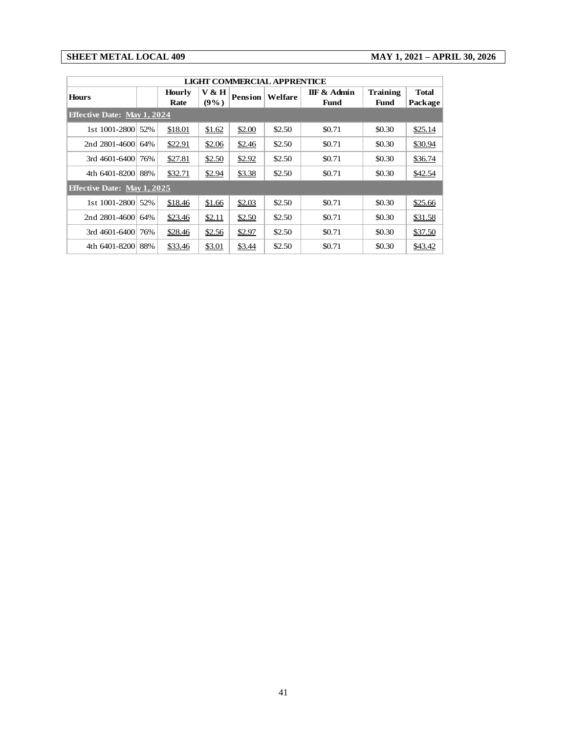#### **SHEET METAL LOCAL 409 MAY 1, 2021 – APRIL 30, 2026**

|                                    | LIGHT COMMERCIAL APPRENTICE |                                                                                                          |        |                                |                         |        |        |         |  |  |  |
|------------------------------------|-----------------------------|----------------------------------------------------------------------------------------------------------|--------|--------------------------------|-------------------------|--------|--------|---------|--|--|--|
| <b>Hours</b>                       |                             | V & H<br><b>IIF &amp; Admin</b><br><b>Hourly</b><br>Pension<br>Welfare<br>$(9\%)$<br>Rate<br><b>Fund</b> |        | <b>Training</b><br><b>Fund</b> | <b>Total</b><br>Package |        |        |         |  |  |  |
| <b>Effective Date: May 1, 2024</b> |                             |                                                                                                          |        |                                |                         |        |        |         |  |  |  |
| 1st 1001-2800 52%                  |                             | \$18.01                                                                                                  | \$1.62 | \$2.00                         | \$2.50                  | \$0.71 | \$0.30 | \$25.14 |  |  |  |
| 2nd 2801-4600                      | 64%                         | \$22.91                                                                                                  | \$2.06 | \$2.46                         | \$2.50                  | \$0.71 | \$0.30 | \$30.94 |  |  |  |
| $3rd$ 4601-6400                    | 76%                         | \$27.81                                                                                                  | \$2.50 | \$2.92                         | \$2.50                  | \$0.71 | \$0.30 | \$36.74 |  |  |  |
| 4th 6401-8200                      | 88%                         | \$32.71                                                                                                  | \$2.94 | \$3.38                         | \$2.50                  | \$0.71 | \$0.30 | \$42.54 |  |  |  |
| <b>Effective Date: May 1, 2025</b> |                             |                                                                                                          |        |                                |                         |        |        |         |  |  |  |
| 1st 1001-2800                      | 52%                         | \$18.46                                                                                                  | \$1.66 | \$2.03                         | \$2.50                  | \$0.71 | \$0.30 | \$25.66 |  |  |  |
| 2nd 2801-4600                      | 64%                         | \$23.46                                                                                                  | \$2.11 | \$2.50                         | \$2.50                  | \$0.71 | \$0.30 | \$31.58 |  |  |  |
| $3rd$ 4601-6400                    | 76%                         | \$28.46                                                                                                  | \$2.56 | \$2.97                         | \$2.50                  | \$0.71 | \$0.30 | \$37.50 |  |  |  |
| 4th 6401-8200                      | 88%                         | \$33.46                                                                                                  | \$3.01 | \$3.44                         | \$2.50                  | \$0.71 | \$0.30 | \$43.42 |  |  |  |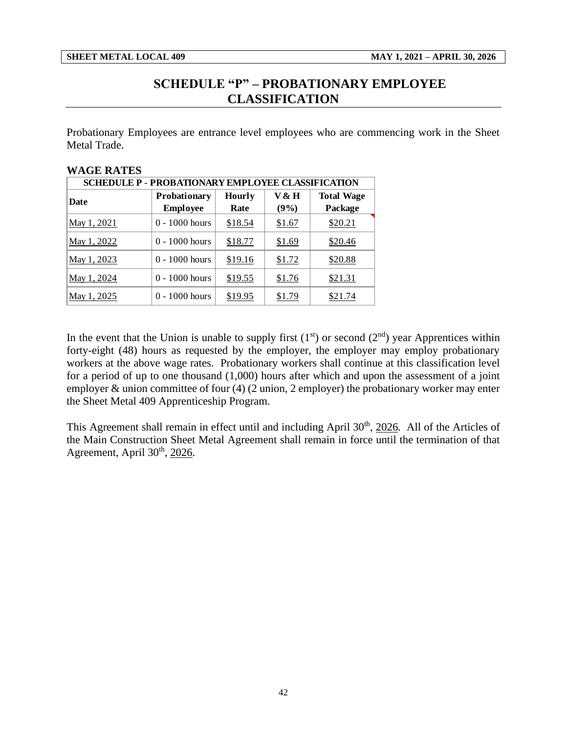**WAGE RATES** 

## **SCHEDULE "P" – PROBATIONARY EMPLOYEE CLASSIFICATION**

<span id="page-44-0"></span>Probationary Employees are entrance level employees who are commencing work in the Sheet Metal Trade.

| WAGE NATES                                               |                  |               |         |                   |  |  |  |  |  |  |  |
|----------------------------------------------------------|------------------|---------------|---------|-------------------|--|--|--|--|--|--|--|
| <b>SCHEDULE P - PROBATIONARY EMPLOYEE CLASSIFICATION</b> |                  |               |         |                   |  |  |  |  |  |  |  |
| Date                                                     | Probationary     | <b>Hourly</b> | V & H   | <b>Total Wage</b> |  |  |  |  |  |  |  |
|                                                          | <b>Employee</b>  | Rate          | $(9\%)$ | Package           |  |  |  |  |  |  |  |
| May 1, 2021                                              | $0 - 1000$ hours | \$18.54       | \$1.67  | \$20.21           |  |  |  |  |  |  |  |
| May 1, 2022                                              | $0 - 1000$ hours | \$18.77       | \$1.69  | \$20.46           |  |  |  |  |  |  |  |
| May 1, 2023                                              | $0 - 1000$ hours | \$19.16       | \$1.72  | \$20.88           |  |  |  |  |  |  |  |
| May 1, 2024                                              | $0 - 1000$ hours | \$19.55       | \$1.76  | \$21.31           |  |  |  |  |  |  |  |
| May 1, 2025                                              | $0 - 1000$ hours | \$19.95       | \$1.79  | \$21.74           |  |  |  |  |  |  |  |

In the event that the Union is unable to supply first  $(1<sup>st</sup>)$  or second  $(2<sup>nd</sup>)$  year Apprentices within forty-eight (48) hours as requested by the employer, the employer may employ probationary workers at the above wage rates. Probationary workers shall continue at this classification level for a period of up to one thousand (1,000) hours after which and upon the assessment of a joint employer & union committee of four (4) (2 union, 2 employer) the probationary worker may enter the Sheet Metal 409 Apprenticeship Program.

This Agreement shall remain in effect until and including April 30<sup>th</sup>, 2026. All of the Articles of the Main Construction Sheet Metal Agreement shall remain in force until the termination of that Agreement, April 30<sup>th</sup>, 2026.

42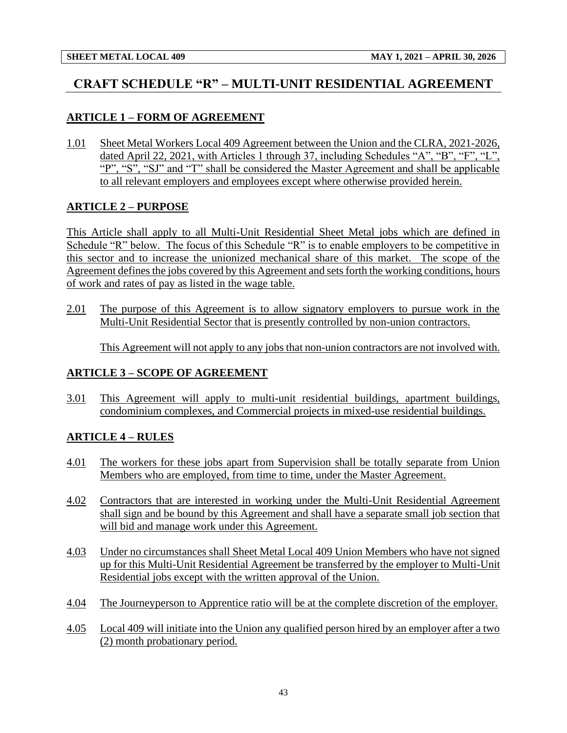## <span id="page-45-0"></span>**CRAFT SCHEDULE "R" – MULTI-UNIT RESIDENTIAL AGREEMENT**

## **ARTICLE 1 – FORM OF AGREEMENT**

1.01 Sheet Metal Workers Local 409 Agreement between the Union and the CLRA, 2021-2026, dated April 22, 2021, with Articles 1 through 37, including Schedules "A", "B", "F", "L", "P", "S", "SJ" and "T" shall be considered the Master Agreement and shall be applicable to all relevant employers and employees except where otherwise provided herein.

### **ARTICLE 2 – PURPOSE**

This Article shall apply to all Multi-Unit Residential Sheet Metal jobs which are defined in Schedule "R" below. The focus of this Schedule "R" is to enable employers to be competitive in this sector and to increase the unionized mechanical share of this market. The scope of the Agreement defines the jobs covered by this Agreement and sets forth the working conditions, hours of work and rates of pay as listed in the wage table.

2.01 The purpose of this Agreement is to allow signatory employers to pursue work in the Multi-Unit Residential Sector that is presently controlled by non-union contractors.

This Agreement will not apply to any jobs that non-union contractors are not involved with.

### **ARTICLE 3 – SCOPE OF AGREEMENT**

3.01 This Agreement will apply to multi-unit residential buildings, apartment buildings, condominium complexes, and Commercial projects in mixed-use residential buildings.

### **ARTICLE 4 – RULES**

- 4.01 The workers for these jobs apart from Supervision shall be totally separate from Union Members who are employed, from time to time, under the Master Agreement.
- 4.02 Contractors that are interested in working under the Multi-Unit Residential Agreement shall sign and be bound by this Agreement and shall have a separate small job section that will bid and manage work under this Agreement.
- 4.03 Under no circumstances shall Sheet Metal Local 409 Union Members who have not signed up for this Multi-Unit Residential Agreement be transferred by the employer to Multi-Unit Residential jobs except with the written approval of the Union.
- 4.04 The Journeyperson to Apprentice ratio will be at the complete discretion of the employer.
- 4.05 Local 409 will initiate into the Union any qualified person hired by an employer after a two (2) month probationary period.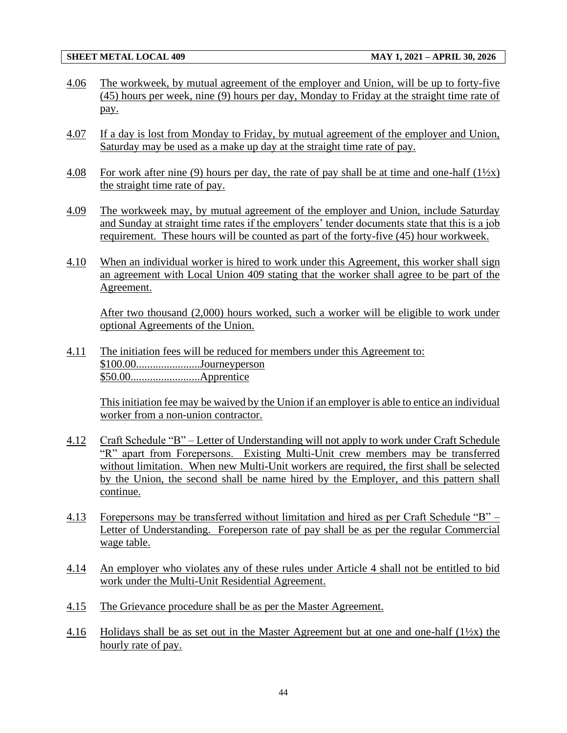- 4.06 The workweek, by mutual agreement of the employer and Union, will be up to forty-five (45) hours per week, nine (9) hours per day, Monday to Friday at the straight time rate of pay.
- 4.07 If a day is lost from Monday to Friday, by mutual agreement of the employer and Union, Saturday may be used as a make up day at the straight time rate of pay.
- 4.08 For work after nine (9) hours per day, the rate of pay shall be at time and one-half  $(1\frac{1}{2}x)$ the straight time rate of pay.
- 4.09 The workweek may, by mutual agreement of the employer and Union, include Saturday and Sunday at straight time rates if the employers' tender documents state that this is a job requirement. These hours will be counted as part of the forty-five (45) hour workweek.
- 4.10 When an individual worker is hired to work under this Agreement, this worker shall sign an agreement with Local Union 409 stating that the worker shall agree to be part of the Agreement.

After two thousand (2,000) hours worked, such a worker will be eligible to work under optional Agreements of the Union.

4.11 The initiation fees will be reduced for members under this Agreement to: \$100.00.......................Journeyperson \$50.00.........................Apprentice

This initiation fee may be waived by the Union if an employer is able to entice an individual worker from a non-union contractor.

- 4.12 Craft Schedule "B" Letter of Understanding will not apply to work under Craft Schedule "R" apart from Forepersons. Existing Multi-Unit crew members may be transferred without limitation. When new Multi-Unit workers are required, the first shall be selected by the Union, the second shall be name hired by the Employer, and this pattern shall continue.
- 4.13 Forepersons may be transferred without limitation and hired as per Craft Schedule "B" Letter of Understanding. Foreperson rate of pay shall be as per the regular Commercial wage table.
- 4.14 An employer who violates any of these rules under Article 4 shall not be entitled to bid work under the Multi-Unit Residential Agreement.
- 4.15 The Grievance procedure shall be as per the Master Agreement.
- 4.16 Holidays shall be as set out in the Master Agreement but at one and one-half  $(1\frac{1}{2}x)$  the hourly rate of pay.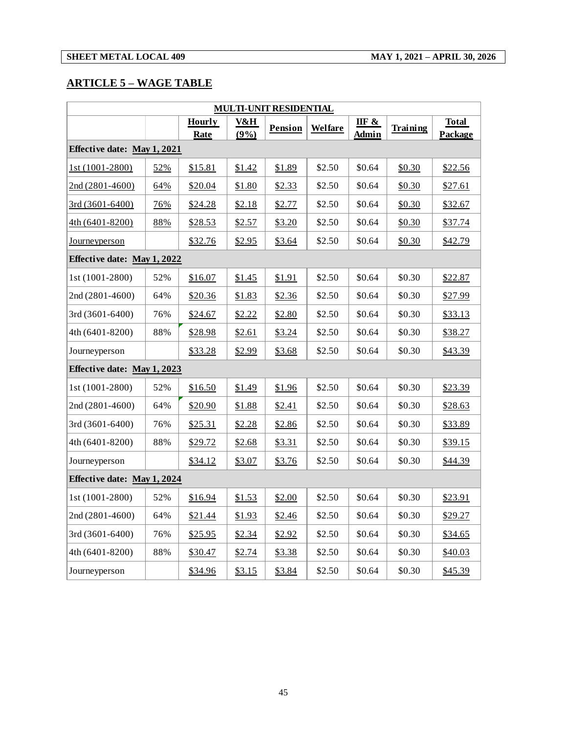## **ARTICLE 5 – WAGE TABLE**

| <b>MULTI-UNIT RESIDENTIAL</b> |     |                              |             |         |                |                |          |                         |  |  |
|-------------------------------|-----|------------------------------|-------------|---------|----------------|----------------|----------|-------------------------|--|--|
|                               |     | <b>Hourly</b><br><b>Rate</b> | V&H<br>(9%) | Pension | <b>Welfare</b> | IIF &<br>Admin | Training | <b>Total</b><br>Package |  |  |
| Effective date: May 1, 2021   |     |                              |             |         |                |                |          |                         |  |  |
| 1st (1001-2800)               | 52% | \$15.81                      | \$1.42      | \$1.89  | \$2.50         | \$0.64         | \$0.30   | \$22.56                 |  |  |
| 2nd (2801-4600)               | 64% | \$20.04                      | \$1.80      | \$2.33  | \$2.50         | \$0.64         | \$0.30   | \$27.61                 |  |  |
| 3rd (3601-6400)               | 76% | \$24.28                      | \$2.18      | \$2.77  | \$2.50         | \$0.64         | \$0.30   | \$32.67                 |  |  |
| 4th (6401-8200)               | 88% | \$28.53                      | \$2.57      | \$3.20  | \$2.50         | \$0.64         | \$0.30   | \$37.74                 |  |  |
| <u>Journeyperson</u>          |     | \$32.76                      | \$2.95      | \$3.64  | \$2.50         | \$0.64         | \$0.30   | \$42.79                 |  |  |
| Effective date: May 1, 2022   |     |                              |             |         |                |                |          |                         |  |  |
| 1st (1001-2800)               | 52% | \$16.07                      | \$1.45      | \$1.91  | \$2.50         | \$0.64         | \$0.30   | \$22.87                 |  |  |
| 2nd (2801-4600)               | 64% | \$20.36                      | \$1.83      | \$2.36  | \$2.50         | \$0.64         | \$0.30   | \$27.99                 |  |  |
| 3rd (3601-6400)               | 76% | \$24.67                      | \$2.22      | \$2.80  | \$2.50         | \$0.64         | \$0.30   | \$33.13                 |  |  |
| 4th (6401-8200)               | 88% | \$28.98                      | \$2.61      | \$3.24  | \$2.50         | \$0.64         | \$0.30   | \$38.27                 |  |  |
| Journeyperson                 |     | \$33.28                      | \$2.99      | \$3.68  | \$2.50         | \$0.64         | \$0.30   | \$43.39                 |  |  |
| Effective date: May 1, 2023   |     |                              |             |         |                |                |          |                         |  |  |
| 1st (1001-2800)               | 52% | \$16.50                      | \$1.49      | \$1.96  | \$2.50         | \$0.64         | \$0.30   | \$23.39                 |  |  |
| 2nd (2801-4600)               | 64% | \$20.90                      | \$1.88      | \$2.41  | \$2.50         | \$0.64         | \$0.30   | \$28.63                 |  |  |
| 3rd (3601-6400)               | 76% | \$25.31                      | \$2.28      | \$2.86  | \$2.50         | \$0.64         | \$0.30   | \$33.89                 |  |  |
| 4th (6401-8200)               | 88% | \$29.72                      | \$2.68      | \$3.31  | \$2.50         | \$0.64         | \$0.30   | \$39.15                 |  |  |
| Journeyperson                 |     | \$34.12                      | \$3.07      | \$3.76  | \$2.50         | \$0.64         | \$0.30   | \$44.39                 |  |  |
| Effective date: May 1, 2024   |     |                              |             |         |                |                |          |                         |  |  |
| 1st (1001-2800)               | 52% | \$16.94                      | \$1.53      | \$2.00  | \$2.50         | \$0.64         | \$0.30   | \$23.91                 |  |  |
| 2nd (2801-4600)               | 64% | \$21.44                      | \$1.93      | \$2.46  | \$2.50         | \$0.64         | \$0.30   | \$29.27                 |  |  |
| 3rd (3601-6400)               | 76% | \$25.95                      | \$2.34      | \$2.92  | \$2.50         | \$0.64         | \$0.30   | \$34.65                 |  |  |
| 4th (6401-8200)               | 88% | \$30.47                      | \$2.74      | \$3.38  | \$2.50         | \$0.64         | \$0.30   | \$40.03                 |  |  |
| Journeyperson                 |     | \$34.96                      | \$3.15      | \$3.84  | \$2.50         | \$0.64         | \$0.30   | \$45.39                 |  |  |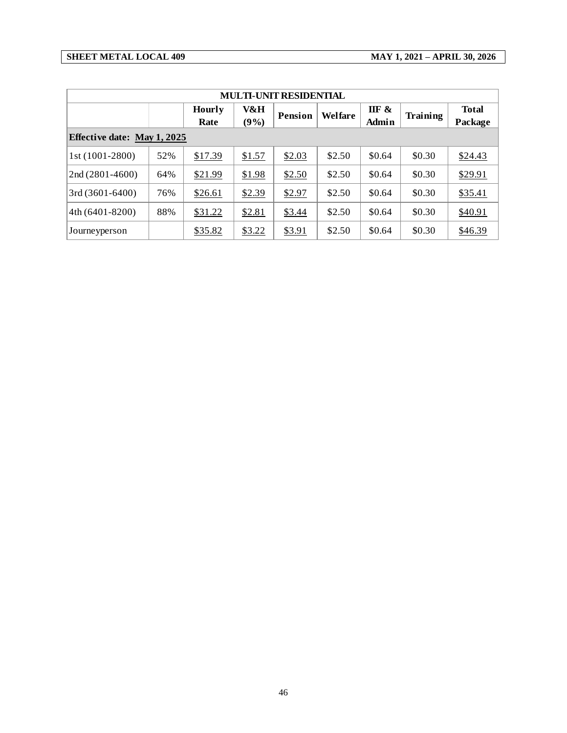#### **SHEET METAL LOCAL 409 MAY 1, 2021 – APRIL 30, 2026**

| <b>MULTI-UNIT RESIDENTIAL</b>      |     |                       |             |                |         |                |          |                         |  |  |  |
|------------------------------------|-----|-----------------------|-------------|----------------|---------|----------------|----------|-------------------------|--|--|--|
|                                    |     | <b>Hourly</b><br>Rate | V&H<br>(9%) | <b>Pension</b> | Welfare | IIF &<br>Admin | Training | <b>Total</b><br>Package |  |  |  |
| <b>Effective date: May 1, 2025</b> |     |                       |             |                |         |                |          |                         |  |  |  |
| 1st (1001-2800)                    | 52% | \$17.39               | \$1.57      | \$2.03         | \$2.50  | \$0.64         | \$0.30   | \$24.43                 |  |  |  |
| $2nd(2801-4600)$                   | 64% | \$21.99               | \$1.98      | \$2.50         | \$2.50  | \$0.64         | \$0.30   | \$29.91                 |  |  |  |
| $3rd(3601-6400)$                   | 76% | \$26.61               | \$2.39      | \$2.97         | \$2.50  | \$0.64         | \$0.30   | \$35.41                 |  |  |  |
| $4th(6401-8200)$                   | 88% | \$31.22               | \$2.81      | \$3.44         | \$2.50  | \$0.64         | \$0.30   | \$40.91                 |  |  |  |
| Journeyperson                      |     | \$35.82               | \$3.22      | \$3.91         | \$2.50  | \$0.64         | \$0.30   | \$46.39                 |  |  |  |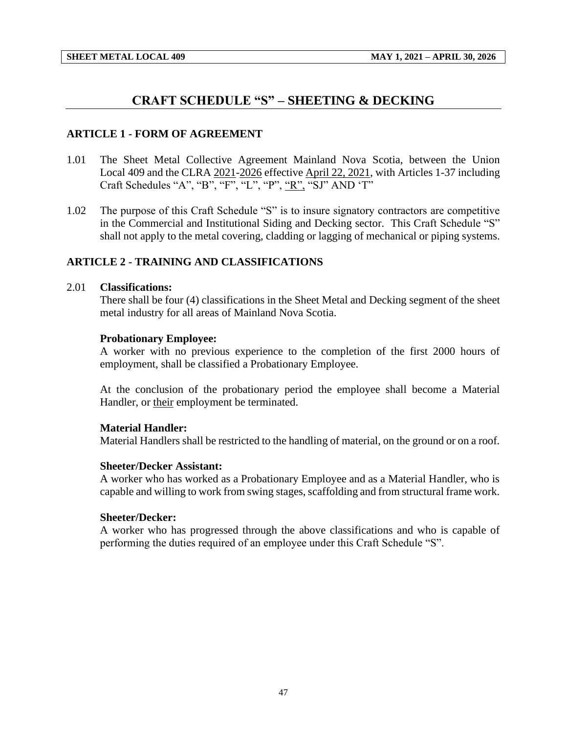## **CRAFT SCHEDULE "S" – SHEETING & DECKING**

#### <span id="page-49-0"></span>**ARTICLE 1 - FORM OF AGREEMENT**

- 1.01 The Sheet Metal Collective Agreement Mainland Nova Scotia, between the Union Local 409 and the CLRA 2021-2026 effective April 22, 2021, with Articles 1-37 including Craft Schedules "A", "B", "F", "L", "P", "R", "SJ" AND 'T"
- 1.02 The purpose of this Craft Schedule "S" is to insure signatory contractors are competitive in the Commercial and Institutional Siding and Decking sector. This Craft Schedule "S" shall not apply to the metal covering, cladding or lagging of mechanical or piping systems.

#### **ARTICLE 2 - TRAINING AND CLASSIFICATIONS**

#### 2.01 **Classifications:**

There shall be four (4) classifications in the Sheet Metal and Decking segment of the sheet metal industry for all areas of Mainland Nova Scotia.

#### **Probationary Employee:**

A worker with no previous experience to the completion of the first 2000 hours of employment, shall be classified a Probationary Employee.

At the conclusion of the probationary period the employee shall become a Material Handler, or their employment be terminated.

#### **Material Handler:**

Material Handlers shall be restricted to the handling of material, on the ground or on a roof.

#### **Sheeter/Decker Assistant:**

A worker who has worked as a Probationary Employee and as a Material Handler, who is capable and willing to work from swing stages, scaffolding and from structural frame work.

#### **Sheeter/Decker:**

A worker who has progressed through the above classifications and who is capable of performing the duties required of an employee under this Craft Schedule "S".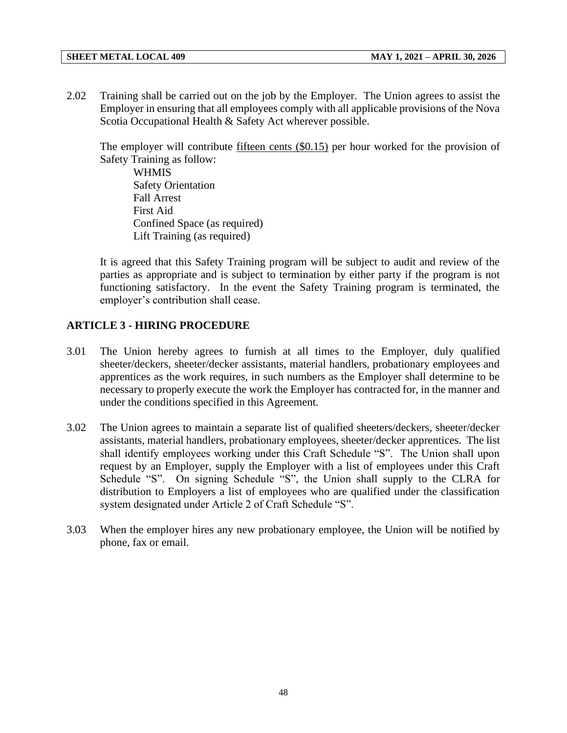2.02 Training shall be carried out on the job by the Employer. The Union agrees to assist the Employer in ensuring that all employees comply with all applicable provisions of the Nova Scotia Occupational Health & Safety Act wherever possible.

The employer will contribute  $f$  fifteen cents  $(\$0.15)$  per hour worked for the provision of Safety Training as follow:

**WHMIS** Safety Orientation Fall Arrest First Aid Confined Space (as required) Lift Training (as required)

It is agreed that this Safety Training program will be subject to audit and review of the parties as appropriate and is subject to termination by either party if the program is not functioning satisfactory. In the event the Safety Training program is terminated, the employer's contribution shall cease.

### **ARTICLE 3 - HIRING PROCEDURE**

- 3.01 The Union hereby agrees to furnish at all times to the Employer, duly qualified sheeter/deckers, sheeter/decker assistants, material handlers, probationary employees and apprentices as the work requires, in such numbers as the Employer shall determine to be necessary to properly execute the work the Employer has contracted for, in the manner and under the conditions specified in this Agreement.
- 3.02 The Union agrees to maintain a separate list of qualified sheeters/deckers, sheeter/decker assistants, material handlers, probationary employees, sheeter/decker apprentices. The list shall identify employees working under this Craft Schedule "S". The Union shall upon request by an Employer, supply the Employer with a list of employees under this Craft Schedule "S". On signing Schedule "S", the Union shall supply to the CLRA for distribution to Employers a list of employees who are qualified under the classification system designated under Article 2 of Craft Schedule "S".
- 3.03 When the employer hires any new probationary employee, the Union will be notified by phone, fax or email.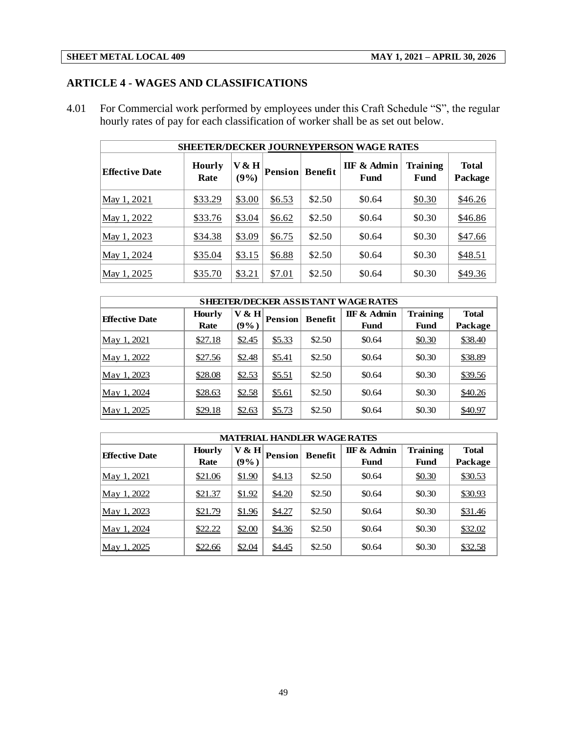## **ARTICLE 4 - WAGES AND CLASSIFICATIONS**

4.01 For Commercial work performed by employees under this Craft Schedule "S", the regular hourly rates of pay for each classification of worker shall be as set out below.

| <b>SHEETER/DECKER JOURNEYPERSON WAGE RATES</b> |                       |               |                |                |                     |                  |                         |  |  |  |  |
|------------------------------------------------|-----------------------|---------------|----------------|----------------|---------------------|------------------|-------------------------|--|--|--|--|
| Effective Date                                 | <b>Hourly</b><br>Rate | V & H<br>(9%) | <b>Pension</b> | <b>Benefit</b> | IIF & Admin<br>Fund | Training<br>Fund | <b>Total</b><br>Package |  |  |  |  |
| $\text{May } 1, 2021$                          | \$33.29               | \$3.00        | \$6.53         | \$2.50         | \$0.64              | \$0.30           | \$46.26                 |  |  |  |  |
| May 1, 2022                                    | \$33.76               | \$3.04        | \$6.62         | \$2.50         | \$0.64              | \$0.30           | \$46.86                 |  |  |  |  |
| May 1, 2023                                    | \$34.38               | \$3.09        | \$6.75         | \$2.50         | \$0.64              | \$0.30           | \$47.66                 |  |  |  |  |
| May 1, 2024                                    | \$35.04               | \$3.15        | \$6.88         | \$2.50         | \$0.64              | \$0.30           | \$48.51                 |  |  |  |  |
| $\text{May } 1, 2025$                          | \$35.70               | \$3.21        | \$7.01         | \$2.50         | \$0.64              | \$0.30           | \$49.36                 |  |  |  |  |

| <b>SHEETER/DECKER ASSISTANT WAGE RATES</b> |                       |                     |                |                |                     |                         |                         |  |  |  |  |
|--------------------------------------------|-----------------------|---------------------|----------------|----------------|---------------------|-------------------------|-------------------------|--|--|--|--|
| <b>Effective Date</b>                      | <b>Hourly</b><br>Rate | $V \& H$<br>$(9\%)$ | <b>Pension</b> | <b>Benefit</b> | IIF & Admin<br>Fund | <b>Training</b><br>Fund | <b>Total</b><br>Package |  |  |  |  |
| <u>May 1, 2021</u>                         | \$27.18               | \$2.45              | \$5.33         | \$2.50         | \$0.64              | \$0.30                  | \$38.40                 |  |  |  |  |
| May 1, 2022                                | \$27.56               | \$2.48              | \$5.41         | \$2.50         | \$0.64              | \$0.30                  | \$38.89                 |  |  |  |  |
| May 1, 2023                                | \$28.08               | \$2.53              | \$5.51         | \$2.50         | \$0.64              | \$0.30                  | \$39.56                 |  |  |  |  |
| May 1, 2024                                | \$28.63               | \$2.58              | \$5.61         | \$2.50         | \$0.64              | \$0.30                  | \$40.26                 |  |  |  |  |
| May 1, 2025                                | \$29.18               | \$2.63              | \$5.73         | \$2.50         | \$0.64              | \$0.30                  | \$40.97                 |  |  |  |  |

| <b>MATERIAL HANDLER WAGE RATES</b> |                       |                  |                |         |                     |                         |                         |  |  |  |  |
|------------------------------------|-----------------------|------------------|----------------|---------|---------------------|-------------------------|-------------------------|--|--|--|--|
| <b>Effective Date</b>              | <b>Hourly</b><br>Rate | V & H<br>$(9\%)$ | <b>Pension</b> | Benefit | IIF & Admin<br>Fund | <b>Training</b><br>Fund | <b>Total</b><br>Package |  |  |  |  |
| May 1, 2021                        | \$21.06               | \$1.90           | \$4.13         | \$2.50  | \$0.64              | \$0.30                  | \$30.53                 |  |  |  |  |
| May 1, 2022                        | \$21.37               | \$1.92           | \$4.20         | \$2.50  | \$0.64              | \$0.30                  | \$30.93                 |  |  |  |  |
| May 1, 2023                        | \$21.79               | \$1.96           | \$4.27         | \$2.50  | \$0.64              | \$0.30                  | \$31.46                 |  |  |  |  |
| May 1, 2024                        | \$22.22               | \$2.00           | \$4.36         | \$2.50  | \$0.64              | \$0.30                  | \$32.02                 |  |  |  |  |
| May 1, 2025                        | \$22.66               | \$2.04           | \$4.45         | \$2.50  | \$0.64              | \$0.30                  | \$32.58                 |  |  |  |  |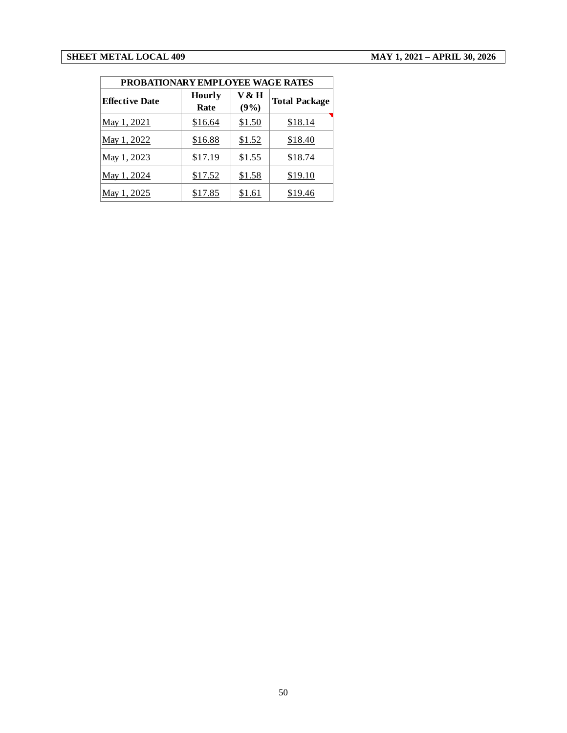| PROBATIONARY EMPLOYEE WAGE RATES |                       |               |                      |  |  |  |  |  |  |
|----------------------------------|-----------------------|---------------|----------------------|--|--|--|--|--|--|
| <b>Effective Date</b>            | <b>Hourly</b><br>Rate | V & H<br>(9%) | <b>Total Package</b> |  |  |  |  |  |  |
| May 1, 2021                      | \$16.64               | \$1.50        | \$18.14              |  |  |  |  |  |  |
| May 1, 2022                      | \$16.88               | \$1.52        | \$18.40              |  |  |  |  |  |  |
| May 1, 2023                      | \$17.19               | \$1.55        | \$18.74              |  |  |  |  |  |  |
| May 1, 2024                      | \$17.52               | \$1.58        | \$19.10              |  |  |  |  |  |  |
| May 1, 2025                      | \$17.85               | \$1.61        | \$19.46              |  |  |  |  |  |  |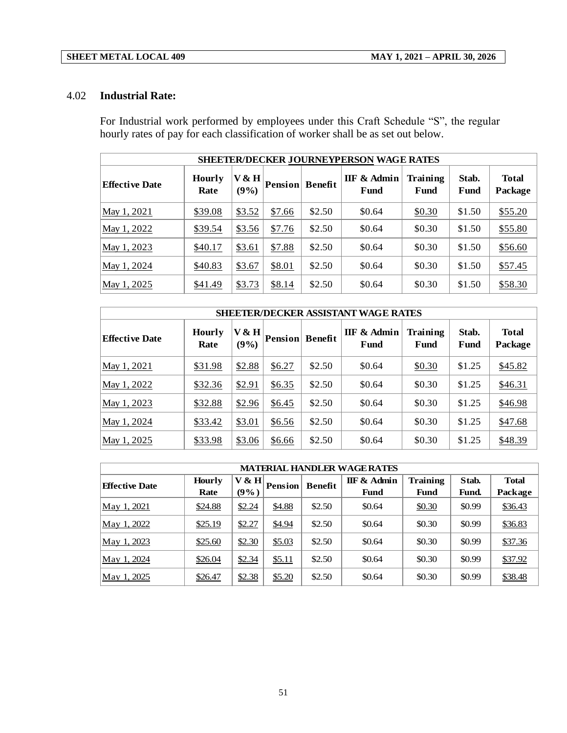### 4.02 **Industrial Rate:**

For Industrial work performed by employees under this Craft Schedule "S", the regular hourly rates of pay for each classification of worker shall be as set out below.

|                       | <b>SHEETER/DECKER JOURNEYPERSON WAGE RATES</b> |               |                |                |                     |                  |               |                         |  |  |  |  |
|-----------------------|------------------------------------------------|---------------|----------------|----------------|---------------------|------------------|---------------|-------------------------|--|--|--|--|
| <b>Effective Date</b> | <b>Hourly</b><br>Rate                          | V & H<br>(9%) | <b>Pension</b> | <b>Benefit</b> | IIF & Admin<br>Fund | Training<br>Fund | Stab.<br>Fund | <b>Total</b><br>Package |  |  |  |  |
| May 1, 2021           | \$39.08                                        | \$3.52        | \$7.66         | \$2.50         | \$0.64              | \$0.30           | \$1.50        | \$55.20                 |  |  |  |  |
| May 1, 2022           | \$39.54                                        | \$3.56        | \$7.76         | \$2.50         | \$0.64              | \$0.30           | \$1.50        | \$55.80                 |  |  |  |  |
| May 1, 2023           | \$40.17                                        | \$3.61        | \$7.88         | \$2.50         | \$0.64              | \$0.30           | \$1.50        | \$56.60                 |  |  |  |  |
| May 1, 2024           | \$40.83                                        | \$3.67        | \$8.01         | \$2.50         | \$0.64              | \$0.30           | \$1.50        | \$57.45                 |  |  |  |  |
| May 1, 2025           | \$41.49                                        | \$3.73        | \$8.14         | \$2.50         | \$0.64              | \$0.30           | \$1.50        | \$58.30                 |  |  |  |  |

| <b>SHEETER/DECKER ASSISTANT WAGE RATES</b> |                       |               |                |                |                     |                  |               |                         |  |
|--------------------------------------------|-----------------------|---------------|----------------|----------------|---------------------|------------------|---------------|-------------------------|--|
| <b>Effective Date</b>                      | <b>Hourly</b><br>Rate | V & H<br>(9%) | <b>Pension</b> | <b>Benefit</b> | IIF & Admin<br>Fund | Training<br>Fund | Stab.<br>Fund | <b>Total</b><br>Package |  |
| May 1, 2021                                | \$31.98               | \$2.88        | \$6.27         | \$2.50         | \$0.64              | \$0.30           | \$1.25        | \$45.82                 |  |
| May 1, 2022                                | \$32.36               | \$2.91        | \$6.35         | \$2.50         | \$0.64              | \$0.30           | \$1.25        | \$46.31                 |  |
| May 1, 2023                                | \$32.88               | \$2.96        | \$6.45         | \$2.50         | \$0.64              | \$0.30           | \$1.25        | \$46.98                 |  |
| May 1, 2024                                | \$33.42               | \$3.01        | \$6.56         | \$2.50         | \$0.64              | \$0.30           | \$1.25        | \$47.68                 |  |
| May 1, 2025                                | \$33.98               | \$3.06        | \$6.66         | \$2.50         | \$0.64              | \$0.30           | \$1.25        | \$48.39                 |  |

| <b>MATERIAL HANDLER WAGE RATES</b>                                                                                                                                                                                          |         |        |        |        |        |        |        |         |  |  |
|-----------------------------------------------------------------------------------------------------------------------------------------------------------------------------------------------------------------------------|---------|--------|--------|--------|--------|--------|--------|---------|--|--|
| <b>Training</b><br>V & H<br><b>IIF &amp; Admin</b><br>Stab.<br><b>Total</b><br><b>Hourly</b><br><b>Benefit</b><br><b>Pension</b><br><b>Effective Date</b><br>(9%)<br>Rate<br><b>Fund</b><br>Package<br>Fund<br><b>Fund.</b> |         |        |        |        |        |        |        |         |  |  |
| May 1, 2021                                                                                                                                                                                                                 | \$24.88 | \$2.24 | \$4.88 | \$2.50 | \$0.64 | \$0.30 | \$0.99 | \$36.43 |  |  |
| May 1, 2022                                                                                                                                                                                                                 | \$25.19 | \$2.27 | \$4.94 | \$2.50 | \$0.64 | \$0.30 | \$0.99 | \$36.83 |  |  |
| May 1, 2023                                                                                                                                                                                                                 | \$25.60 | \$2.30 | \$5.03 | \$2.50 | \$0.64 | \$0.30 | \$0.99 | \$37.36 |  |  |
| May 1, 2024                                                                                                                                                                                                                 | \$26.04 | \$2.34 | \$5.11 | \$2.50 | \$0.64 | \$0.30 | \$0.99 | \$37.92 |  |  |
| May 1, 2025                                                                                                                                                                                                                 | \$26.47 | \$2.38 | \$5.20 | \$2.50 | \$0.64 | \$0.30 | \$0.99 | \$38.48 |  |  |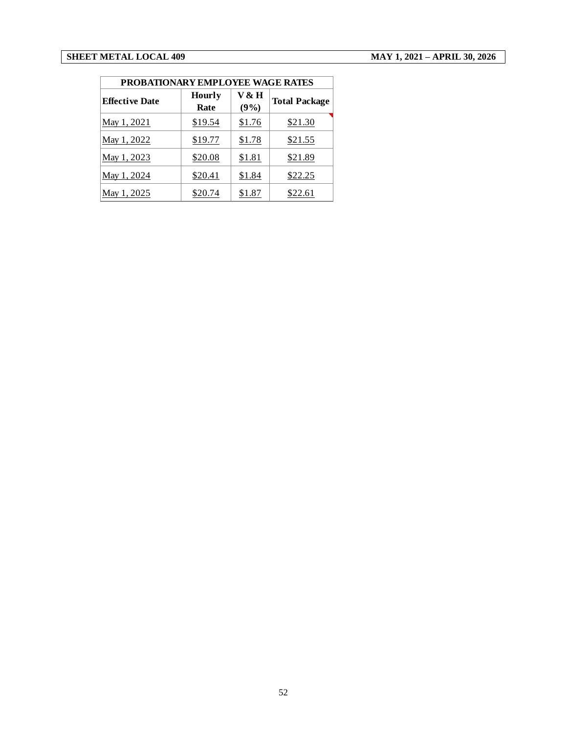| PROBATIONARY EMPLOYEE WAGE RATES |                       |               |                      |  |  |  |  |  |
|----------------------------------|-----------------------|---------------|----------------------|--|--|--|--|--|
| <b>Effective Date</b>            | <b>Hourly</b><br>Rate | V & H<br>(9%) | <b>Total Package</b> |  |  |  |  |  |
| May 1, 2021                      | \$19.54               | \$1.76        | \$21.30              |  |  |  |  |  |
| May 1, 2022                      | \$19.77               | \$1.78        | \$21.55              |  |  |  |  |  |
| May 1, 2023                      | \$20.08               | \$1.81        | \$21.89              |  |  |  |  |  |
| May 1, 2024                      | \$20.41               | \$1.84        | \$22.25              |  |  |  |  |  |
| May 1, 2025                      | \$20.74               | \$1.87        | \$22.61              |  |  |  |  |  |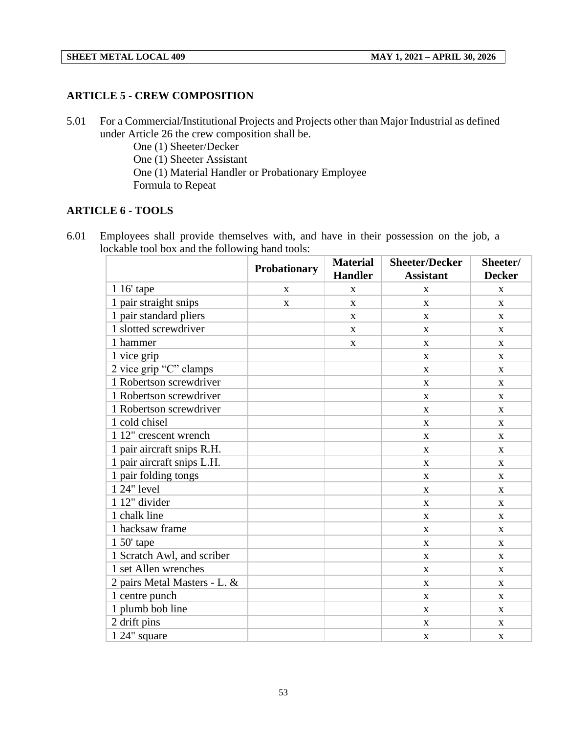#### **ARTICLE 5 - CREW COMPOSITION**

5.01 For a Commercial/Institutional Projects and Projects other than Major Industrial as defined under Article 26 the crew composition shall be.

One (1) Sheeter/Decker One (1) Sheeter Assistant One (1) Material Handler or Probationary Employee Formula to Repeat

## **ARTICLE 6 - TOOLS**

6.01 Employees shall provide themselves with, and have in their possession on the job, a lockable tool box and the following hand tools:

|                              | Probationary | <b>Material</b><br><b>Handler</b> | <b>Sheeter/Decker</b><br><b>Assistant</b> | Sheeter/<br><b>Decker</b> |
|------------------------------|--------------|-----------------------------------|-------------------------------------------|---------------------------|
| 1 16' tape                   | X            | $\mathbf X$                       | X                                         | $\mathbf{X}$              |
| 1 pair straight snips        | X            | $\mathbf X$                       | X                                         | $\mathbf{X}$              |
| 1 pair standard pliers       |              | $\mathbf{X}$                      | $\mathbf{X}$                              | $\mathbf{x}$              |
| 1 slotted screwdriver        |              | X                                 | X                                         | X                         |
| 1 hammer                     |              | X                                 | X                                         | $\mathbf{X}$              |
| 1 vice grip                  |              |                                   | X                                         | $\mathbf{x}$              |
| 2 vice grip "C" clamps       |              |                                   | X                                         | $\mathbf{X}$              |
| 1 Robertson screwdriver      |              |                                   | X                                         | $\mathbf{X}$              |
| 1 Robertson screwdriver      |              |                                   | X                                         | $\mathbf{X}$              |
| 1 Robertson screwdriver      |              |                                   | $\mathbf{X}$                              | $\mathbf{x}$              |
| 1 cold chisel                |              |                                   | X                                         | X                         |
| 1 12" crescent wrench        |              |                                   | X                                         | $\mathbf{X}$              |
| 1 pair aircraft snips R.H.   |              |                                   | X                                         | $\mathbf{x}$              |
| 1 pair aircraft snips L.H.   |              |                                   | X                                         | $\mathbf{X}$              |
| 1 pair folding tongs         |              |                                   | $\mathbf{X}$                              | $\mathbf{x}$              |
| 1 24" level                  |              |                                   | $\mathbf X$                               | $\mathbf{X}$              |
| 1 12" divider                |              |                                   | $\mathbf{X}$                              | $\mathbf{X}$              |
| 1 chalk line                 |              |                                   | $\mathbf X$                               | $\mathbf{X}$              |
| 1 hacksaw frame              |              |                                   | X                                         | $\mathbf{x}$              |
| $150'$ tape                  |              |                                   | X                                         | $\mathbf{X}$              |
| 1 Scratch Awl, and scriber   |              |                                   | X                                         | $\mathbf{X}$              |
| 1 set Allen wrenches         |              |                                   | $\mathbf{X}$                              | $\mathbf{X}$              |
| 2 pairs Metal Masters - L. & |              |                                   | X                                         | X                         |
| 1 centre punch               |              |                                   | X                                         | $\mathbf{X}$              |
| 1 plumb bob line             |              |                                   | $\mathbf X$                               | $\mathbf X$               |
| 2 drift pins                 |              |                                   | X                                         | $\mathbf{X}$              |
| 1 24" square                 |              |                                   | X                                         | X                         |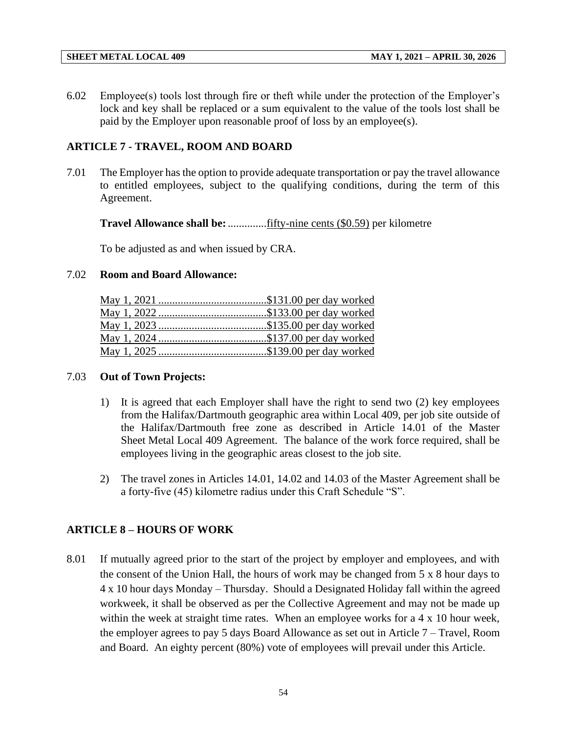6.02 Employee(s) tools lost through fire or theft while under the protection of the Employer's lock and key shall be replaced or a sum equivalent to the value of the tools lost shall be paid by the Employer upon reasonable proof of loss by an employee(s).

## **ARTICLE 7 - TRAVEL, ROOM AND BOARD**

7.01 The Employer has the option to provide adequate transportation or pay the travel allowance to entitled employees, subject to the qualifying conditions, during the term of this Agreement.

**Travel Allowance shall be:**..................<u>fifty-nine cents (\$0.59)</u> per kilometre

To be adjusted as and when issued by CRA.

## 7.02 **Room and Board Allowance:**

## 7.03 **Out of Town Projects:**

- 1) It is agreed that each Employer shall have the right to send two (2) key employees from the Halifax/Dartmouth geographic area within Local 409, per job site outside of the Halifax/Dartmouth free zone as described in Article 14.01 of the Master Sheet Metal Local 409 Agreement. The balance of the work force required, shall be employees living in the geographic areas closest to the job site.
- 2) The travel zones in Articles 14.01, 14.02 and 14.03 of the Master Agreement shall be a forty-five (45) kilometre radius under this Craft Schedule "S".

## **ARTICLE 8 – HOURS OF WORK**

8.01 If mutually agreed prior to the start of the project by employer and employees, and with the consent of the Union Hall, the hours of work may be changed from 5 x 8 hour days to 4 x 10 hour days Monday – Thursday. Should a Designated Holiday fall within the agreed workweek, it shall be observed as per the Collective Agreement and may not be made up within the week at straight time rates. When an employee works for a 4 x 10 hour week, the employer agrees to pay 5 days Board Allowance as set out in Article 7 – Travel, Room and Board. An eighty percent (80%) vote of employees will prevail under this Article.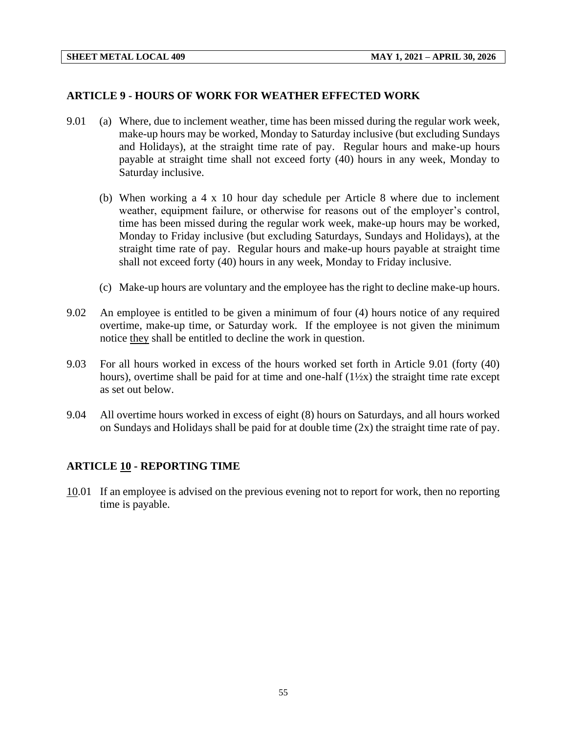#### **ARTICLE 9 - HOURS OF WORK FOR WEATHER EFFECTED WORK**

- 9.01 (a) Where, due to inclement weather, time has been missed during the regular work week, make-up hours may be worked, Monday to Saturday inclusive (but excluding Sundays and Holidays), at the straight time rate of pay. Regular hours and make-up hours payable at straight time shall not exceed forty (40) hours in any week, Monday to Saturday inclusive.
	- (b) When working a 4 x 10 hour day schedule per Article 8 where due to inclement weather, equipment failure, or otherwise for reasons out of the employer's control, time has been missed during the regular work week, make-up hours may be worked, Monday to Friday inclusive (but excluding Saturdays, Sundays and Holidays), at the straight time rate of pay. Regular hours and make-up hours payable at straight time shall not exceed forty (40) hours in any week, Monday to Friday inclusive.
	- (c) Make-up hours are voluntary and the employee has the right to decline make-up hours.
- 9.02 An employee is entitled to be given a minimum of four (4) hours notice of any required overtime, make-up time, or Saturday work. If the employee is not given the minimum notice they shall be entitled to decline the work in question.
- 9.03 For all hours worked in excess of the hours worked set forth in Article 9.01 (forty (40) hours), overtime shall be paid for at time and one-half  $(1\frac{1}{2}x)$  the straight time rate except as set out below.
- 9.04 All overtime hours worked in excess of eight (8) hours on Saturdays, and all hours worked on Sundays and Holidays shall be paid for at double time (2x) the straight time rate of pay.

#### **ARTICLE 10 - REPORTING TIME**

10.01 If an employee is advised on the previous evening not to report for work, then no reporting time is payable.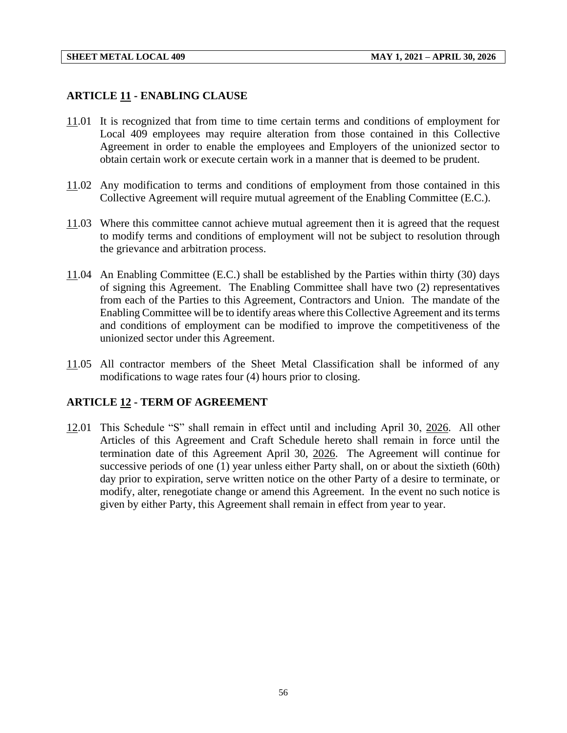#### **ARTICLE 11 - ENABLING CLAUSE**

- 11.01 It is recognized that from time to time certain terms and conditions of employment for Local 409 employees may require alteration from those contained in this Collective Agreement in order to enable the employees and Employers of the unionized sector to obtain certain work or execute certain work in a manner that is deemed to be prudent.
- 11.02 Any modification to terms and conditions of employment from those contained in this Collective Agreement will require mutual agreement of the Enabling Committee (E.C.).
- 11.03 Where this committee cannot achieve mutual agreement then it is agreed that the request to modify terms and conditions of employment will not be subject to resolution through the grievance and arbitration process.
- 11.04 An Enabling Committee (E.C.) shall be established by the Parties within thirty (30) days of signing this Agreement. The Enabling Committee shall have two (2) representatives from each of the Parties to this Agreement, Contractors and Union. The mandate of the Enabling Committee will be to identify areas where this Collective Agreement and its terms and conditions of employment can be modified to improve the competitiveness of the unionized sector under this Agreement.
- 11.05 All contractor members of the Sheet Metal Classification shall be informed of any modifications to wage rates four (4) hours prior to closing.

#### **ARTICLE 12 - TERM OF AGREEMENT**

12.01 This Schedule "S" shall remain in effect until and including April 30, 2026. All other Articles of this Agreement and Craft Schedule hereto shall remain in force until the termination date of this Agreement April 30, 2026. The Agreement will continue for successive periods of one (1) year unless either Party shall, on or about the sixtieth (60th) day prior to expiration, serve written notice on the other Party of a desire to terminate, or modify, alter, renegotiate change or amend this Agreement. In the event no such notice is given by either Party, this Agreement shall remain in effect from year to year.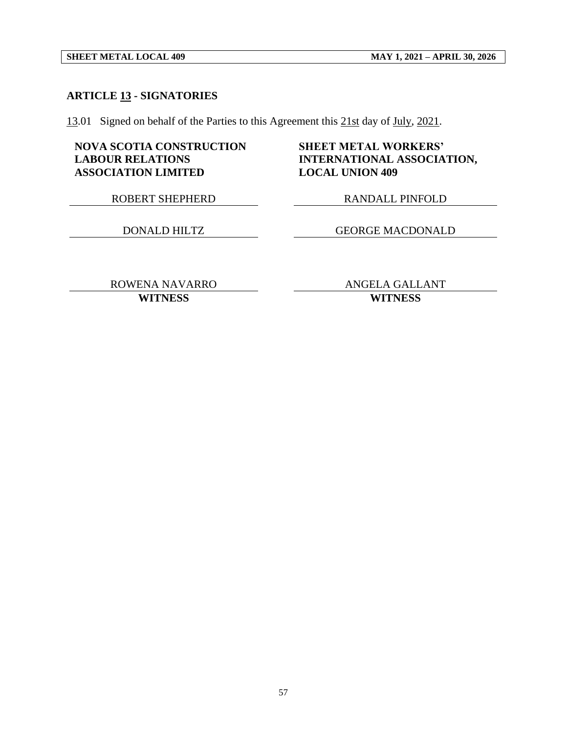#### **ARTICLE 13 - SIGNATORIES**

13.01 Signed on behalf of the Parties to this Agreement this 21st day of July, 2021.

#### **NOVA SCOTIA CONSTRUCTION LABOUR RELATIONS ASSOCIATION LIMITED**

#### **SHEET METAL WORKERS' INTERNATIONAL ASSOCIATION, LOCAL UNION 409**

ROBERT SHEPHERD RANDALL PINFOLD

DONALD HILTZ GEORGE MACDONALD

ROWENA NAVARRO ANGELA GALLANT **WITNESS WITNESS**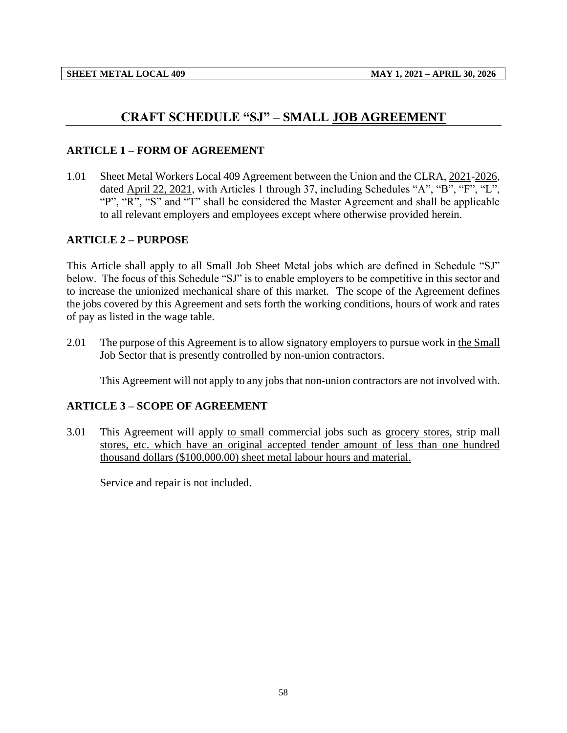## **CRAFT SCHEDULE "SJ" – SMALL JOB AGREEMENT**

#### <span id="page-60-0"></span>**ARTICLE 1 – FORM OF AGREEMENT**

1.01 Sheet Metal Workers Local 409 Agreement between the Union and the CLRA, 2021-2026, dated April 22, 2021, with Articles 1 through 37, including Schedules "A", "B", "F", "L", "P", "R", "S" and "T" shall be considered the Master Agreement and shall be applicable to all relevant employers and employees except where otherwise provided herein.

#### **ARTICLE 2 – PURPOSE**

This Article shall apply to all Small Job Sheet Metal jobs which are defined in Schedule "SJ" below. The focus of this Schedule "SJ" is to enable employers to be competitive in this sector and to increase the unionized mechanical share of this market. The scope of the Agreement defines the jobs covered by this Agreement and sets forth the working conditions, hours of work and rates of pay as listed in the wage table.

2.01 The purpose of this Agreement is to allow signatory employers to pursue work in the Small Job Sector that is presently controlled by non-union contractors.

This Agreement will not apply to any jobs that non-union contractors are not involved with.

#### **ARTICLE 3 – SCOPE OF AGREEMENT**

3.01 This Agreement will apply to small commercial jobs such as grocery stores, strip mall stores, etc. which have an original accepted tender amount of less than one hundred thousand dollars (\$100,000.00) sheet metal labour hours and material.

Service and repair is not included.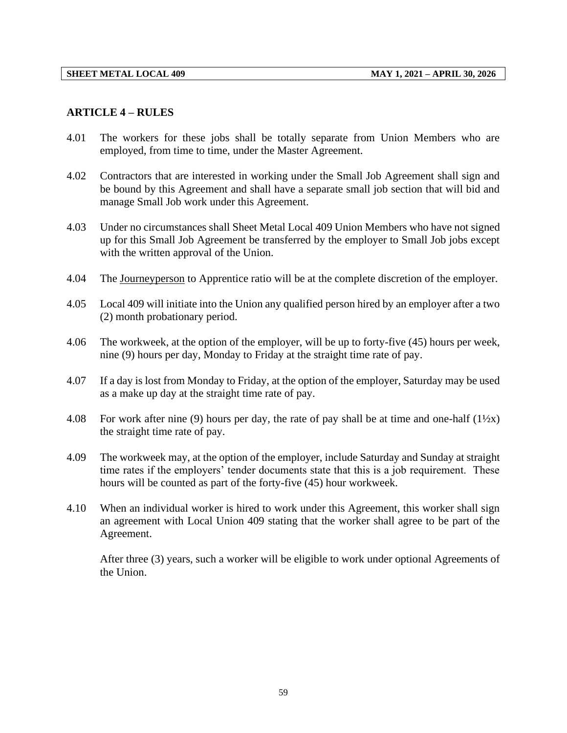#### **ARTICLE 4 – RULES**

- 4.01 The workers for these jobs shall be totally separate from Union Members who are employed, from time to time, under the Master Agreement.
- 4.02 Contractors that are interested in working under the Small Job Agreement shall sign and be bound by this Agreement and shall have a separate small job section that will bid and manage Small Job work under this Agreement.
- 4.03 Under no circumstances shall Sheet Metal Local 409 Union Members who have not signed up for this Small Job Agreement be transferred by the employer to Small Job jobs except with the written approval of the Union.
- 4.04 The Journeyperson to Apprentice ratio will be at the complete discretion of the employer.
- 4.05 Local 409 will initiate into the Union any qualified person hired by an employer after a two (2) month probationary period.
- 4.06 The workweek, at the option of the employer, will be up to forty-five (45) hours per week, nine (9) hours per day, Monday to Friday at the straight time rate of pay.
- 4.07 If a day is lost from Monday to Friday, at the option of the employer, Saturday may be used as a make up day at the straight time rate of pay.
- 4.08 For work after nine (9) hours per day, the rate of pay shall be at time and one-half  $(1\frac{1}{2}x)$ the straight time rate of pay.
- 4.09 The workweek may, at the option of the employer, include Saturday and Sunday at straight time rates if the employers' tender documents state that this is a job requirement. These hours will be counted as part of the forty-five (45) hour workweek.
- 4.10 When an individual worker is hired to work under this Agreement, this worker shall sign an agreement with Local Union 409 stating that the worker shall agree to be part of the Agreement.

After three (3) years, such a worker will be eligible to work under optional Agreements of the Union.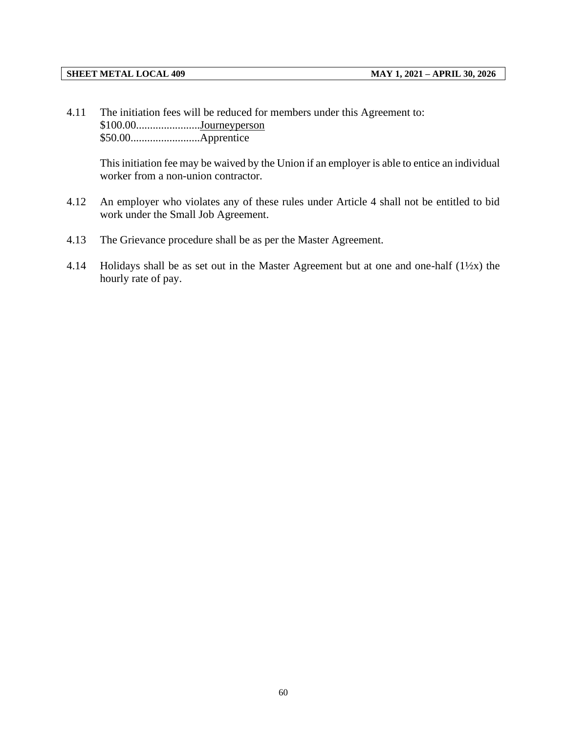4.11 The initiation fees will be reduced for members under this Agreement to: \$100.00.......................Journeyperson \$50.00.........................Apprentice

This initiation fee may be waived by the Union if an employer is able to entice an individual worker from a non-union contractor.

- 4.12 An employer who violates any of these rules under Article 4 shall not be entitled to bid work under the Small Job Agreement.
- 4.13 The Grievance procedure shall be as per the Master Agreement.
- 4.14 Holidays shall be as set out in the Master Agreement but at one and one-half (1½x) the hourly rate of pay.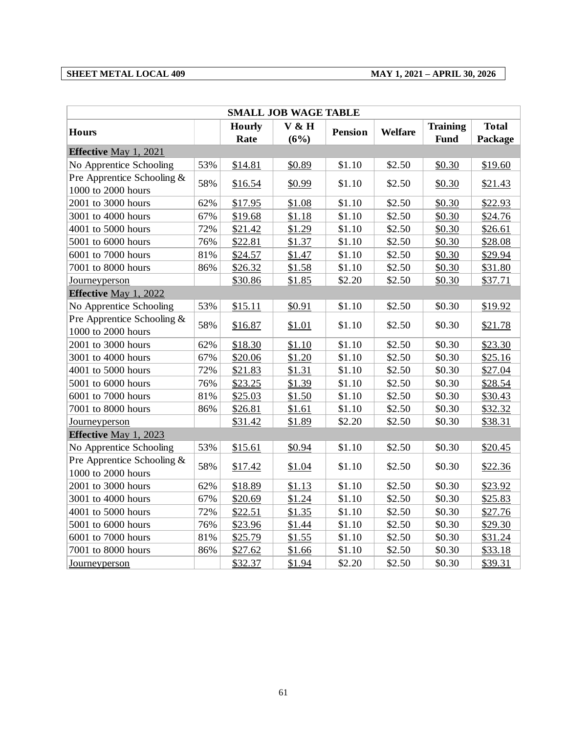#### **SHEET METAL LOCAL 409 MAY 1, 2021 – APRIL 30, 2026**

| <b>SMALL JOB WAGE TABLE</b>                      |     |                       |               |                |                |                                |                         |  |  |
|--------------------------------------------------|-----|-----------------------|---------------|----------------|----------------|--------------------------------|-------------------------|--|--|
| <b>Hours</b>                                     |     | <b>Hourly</b><br>Rate | V & H<br>(6%) | <b>Pension</b> | <b>Welfare</b> | <b>Training</b><br><b>Fund</b> | <b>Total</b><br>Package |  |  |
| <b>Effective May 1, 2021</b>                     |     |                       |               |                |                |                                |                         |  |  |
| No Apprentice Schooling                          | 53% | \$14.81               | \$0.89        | \$1.10         | \$2.50         | \$0.30                         | \$19.60                 |  |  |
| Pre Apprentice Schooling &<br>1000 to 2000 hours | 58% | \$16.54               | \$0.99        | \$1.10         | \$2.50         | \$0.30                         | \$21.43                 |  |  |
| 2001 to 3000 hours                               | 62% | \$17.95               | \$1.08        | \$1.10         | \$2.50         | \$0.30                         | \$22.93                 |  |  |
| 3001 to 4000 hours                               | 67% | \$19.68               | \$1.18        | \$1.10         | \$2.50         | \$0.30                         | \$24.76                 |  |  |
| 4001 to 5000 hours                               | 72% | \$21.42               | \$1.29        | \$1.10         | \$2.50         | \$0.30                         | \$26.61                 |  |  |
| 5001 to 6000 hours                               | 76% | \$22.81               | \$1.37        | \$1.10         | \$2.50         | \$0.30                         | \$28.08                 |  |  |
| 6001 to 7000 hours                               | 81% | \$24.57               | \$1.47        | \$1.10         | \$2.50         | \$0.30                         | \$29.94                 |  |  |
| 7001 to 8000 hours                               | 86% | \$26.32               | \$1.58        | \$1.10         | \$2.50         | \$0.30                         | \$31.80                 |  |  |
| <b>Journeyperson</b>                             |     | \$30.86               | \$1.85        | \$2.20         | \$2.50         | \$0.30                         | \$37.71                 |  |  |
| Effective May 1, 2022                            |     |                       |               |                |                |                                |                         |  |  |
| No Apprentice Schooling                          | 53% | \$15.11               | \$0.91        | \$1.10         | \$2.50         | \$0.30                         | \$19.92                 |  |  |
| Pre Apprentice Schooling &<br>1000 to 2000 hours | 58% | \$16.87               | \$1.01        | \$1.10         | \$2.50         | \$0.30                         | \$21.78                 |  |  |
| 2001 to 3000 hours                               | 62% | \$18.30               | \$1.10        | \$1.10         | \$2.50         | \$0.30                         | \$23.30                 |  |  |
| 3001 to 4000 hours                               | 67% | \$20.06               | \$1.20        | \$1.10         | \$2.50         | \$0.30                         | \$25.16                 |  |  |
| 4001 to 5000 hours                               | 72% | \$21.83               | \$1.31        | \$1.10         | \$2.50         | \$0.30                         | \$27.04                 |  |  |
| 5001 to 6000 hours                               | 76% | \$23.25               | \$1.39        | \$1.10         | \$2.50         | \$0.30                         | \$28.54                 |  |  |
| 6001 to 7000 hours                               | 81% | \$25.03               | \$1.50        | \$1.10         | \$2.50         | \$0.30                         | \$30.43                 |  |  |
| 7001 to 8000 hours                               | 86% | \$26.81               | \$1.61        | \$1.10         | \$2.50         | \$0.30                         | \$32.32                 |  |  |
| Journeyperson                                    |     | \$31.42               | \$1.89        | \$2.20         | \$2.50         | \$0.30                         | \$38.31                 |  |  |
| Effective May 1, 2023                            |     |                       |               |                |                |                                |                         |  |  |
| No Apprentice Schooling                          | 53% | \$15.61               | \$0.94        | \$1.10         | \$2.50         | \$0.30                         | \$20.45                 |  |  |
| Pre Apprentice Schooling &<br>1000 to 2000 hours | 58% | \$17.42               | \$1.04        | \$1.10         | \$2.50         | \$0.30                         | \$22.36                 |  |  |
| 2001 to 3000 hours                               | 62% | \$18.89               | \$1.13        | \$1.10         | \$2.50         | \$0.30                         | \$23.92                 |  |  |
| 3001 to 4000 hours                               | 67% | \$20.69               | \$1.24        | \$1.10         | \$2.50         | \$0.30                         | \$25.83                 |  |  |
| 4001 to 5000 hours                               | 72% | \$22.51               | \$1.35        | \$1.10         | \$2.50         | \$0.30                         | \$27.76                 |  |  |
| 5001 to 6000 hours                               | 76% | \$23.96               | \$1.44        | \$1.10         | \$2.50         | \$0.30                         | \$29.30                 |  |  |
| 6001 to 7000 hours                               | 81% | \$25.79               | \$1.55        | \$1.10         | \$2.50         | \$0.30                         | \$31.24                 |  |  |
| 7001 to 8000 hours                               | 86% | \$27.62               | \$1.66        | \$1.10         | \$2.50         | \$0.30                         | \$33.18                 |  |  |
| <b>Journeyperson</b>                             |     | \$32.37               | \$1.94        | \$2.20         | \$2.50         | \$0.30                         | \$39.31                 |  |  |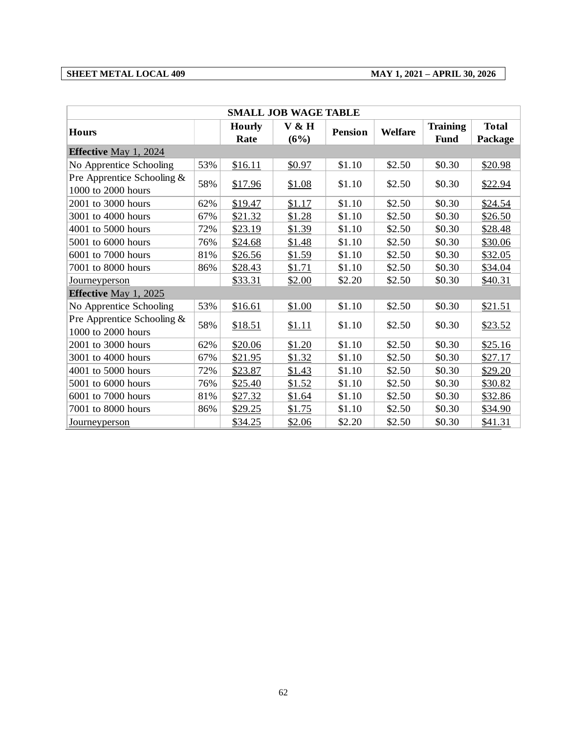#### **SHEET METAL LOCAL 409 MAY 1, 2021 – APRIL 30, 2026**

| <b>SMALL JOB WAGE TABLE</b>                      |     |               |        |                |                |                 |              |  |
|--------------------------------------------------|-----|---------------|--------|----------------|----------------|-----------------|--------------|--|
| <b>Hours</b>                                     |     | <b>Hourly</b> | V & H  | <b>Pension</b> | <b>Welfare</b> | <b>Training</b> | <b>Total</b> |  |
|                                                  |     | Rate          | (6%)   |                |                | <b>Fund</b>     | Package      |  |
| <b>Effective May 1, 2024</b>                     |     |               |        |                |                |                 |              |  |
| No Apprentice Schooling                          | 53% | \$16.11       | \$0.97 | \$1.10         | \$2.50         | \$0.30          | \$20.98      |  |
| Pre Apprentice Schooling &<br>1000 to 2000 hours | 58% | \$17.96       | \$1.08 | \$1.10         | \$2.50         | \$0.30          | \$22.94      |  |
| 2001 to 3000 hours                               | 62% | \$19.47       | \$1.17 | \$1.10         | \$2.50         | \$0.30          | \$24.54      |  |
| 3001 to 4000 hours                               | 67% | \$21.32       | \$1.28 | \$1.10         | \$2.50         | \$0.30          | \$26.50      |  |
| 4001 to 5000 hours                               | 72% | \$23.19       | \$1.39 | \$1.10         | \$2.50         | \$0.30          | \$28.48      |  |
| 5001 to 6000 hours                               | 76% | \$24.68       | \$1.48 | \$1.10         | \$2.50         | \$0.30          | \$30.06      |  |
| 6001 to 7000 hours                               | 81% | \$26.56       | \$1.59 | \$1.10         | \$2.50         | \$0.30          | \$32.05      |  |
| 7001 to 8000 hours                               | 86% | \$28.43       | \$1.71 | \$1.10         | \$2.50         | \$0.30          | \$34.04      |  |
| Journeyperson                                    |     | \$33.31       | \$2.00 | \$2.20         | \$2.50         | \$0.30          | \$40.31      |  |
| <b>Effective May 1, 2025</b>                     |     |               |        |                |                |                 |              |  |
| No Apprentice Schooling                          | 53% | \$16.61       | \$1.00 | \$1.10         | \$2.50         | \$0.30          | \$21.51      |  |
| Pre Apprentice Schooling &<br>1000 to 2000 hours | 58% | \$18.51       | \$1.11 | \$1.10         | \$2.50         | \$0.30          | \$23.52      |  |
| 2001 to 3000 hours                               | 62% | \$20.06       | \$1.20 | \$1.10         | \$2.50         | \$0.30          | \$25.16      |  |
| 3001 to 4000 hours                               | 67% | \$21.95       | \$1.32 | \$1.10         | \$2.50         | \$0.30          | \$27.17      |  |
| 4001 to 5000 hours                               | 72% | \$23.87       | \$1.43 | \$1.10         | \$2.50         | \$0.30          | \$29.20      |  |
| 5001 to 6000 hours                               | 76% | \$25.40       | \$1.52 | \$1.10         | \$2.50         | \$0.30          | \$30.82      |  |
| 6001 to 7000 hours                               | 81% | \$27.32       | \$1.64 | \$1.10         | \$2.50         | \$0.30          | \$32.86      |  |
| 7001 to 8000 hours                               | 86% | \$29.25       | \$1.75 | \$1.10         | \$2.50         | \$0.30          | \$34.90      |  |
| <b>Journeyperson</b>                             |     | \$34.25       | \$2.06 | \$2.20         | \$2.50         | \$0.30          | \$41.31      |  |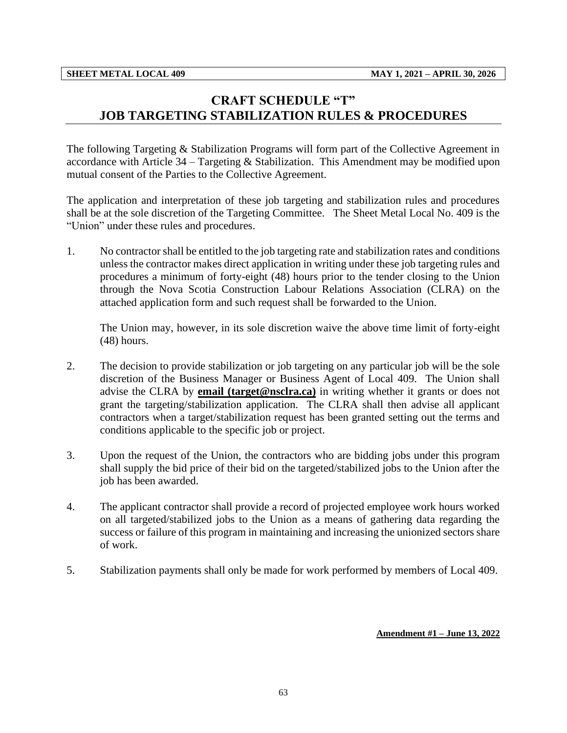## <span id="page-65-0"></span>**CRAFT SCHEDULE "T" JOB TARGETING STABILIZATION RULES & PROCEDURES**

The following Targeting & Stabilization Programs will form part of the Collective Agreement in accordance with Article 34 – Targeting & Stabilization. This Amendment may be modified upon mutual consent of the Parties to the Collective Agreement.

The application and interpretation of these job targeting and stabilization rules and procedures shall be at the sole discretion of the Targeting Committee. The Sheet Metal Local No. 409 is the "Union" under these rules and procedures.

1. No contractor shall be entitled to the job targeting rate and stabilization rates and conditions unless the contractor makes direct application in writing under these job targeting rules and procedures a minimum of forty-eight (48) hours prior to the tender closing to the Union through the Nova Scotia Construction Labour Relations Association (CLRA) on the attached application form and such request shall be forwarded to the Union.

The Union may, however, in its sole discretion waive the above time limit of forty-eight (48) hours.

- 2. The decision to provide stabilization or job targeting on any particular job will be the sole discretion of the Business Manager or Business Agent of Local 409. The Union shall advise the CLRA by **email (target@nsclra.ca)** in writing whether it grants or does not grant the targeting/stabilization application. The CLRA shall then advise all applicant contractors when a target/stabilization request has been granted setting out the terms and conditions applicable to the specific job or project.
- 3. Upon the request of the Union, the contractors who are bidding jobs under this program shall supply the bid price of their bid on the targeted/stabilized jobs to the Union after the job has been awarded.
- 4. The applicant contractor shall provide a record of projected employee work hours worked on all targeted/stabilized jobs to the Union as a means of gathering data regarding the success or failure of this program in maintaining and increasing the unionized sectors share of work.
- 5. Stabilization payments shall only be made for work performed by members of Local 409.

#### **Amendment #1 – June 13, 2022**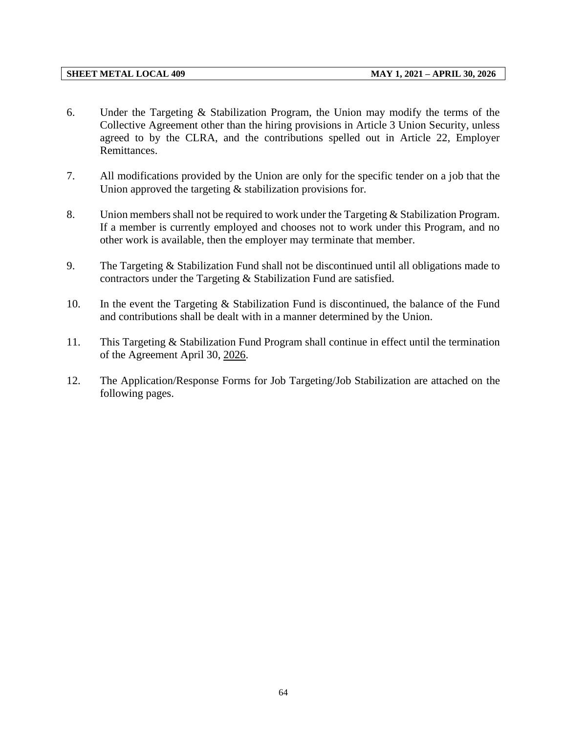- 6. Under the Targeting & Stabilization Program, the Union may modify the terms of the Collective Agreement other than the hiring provisions in Article 3 Union Security, unless agreed to by the CLRA, and the contributions spelled out in Article 22, Employer Remittances.
- 7. All modifications provided by the Union are only for the specific tender on a job that the Union approved the targeting  $&$  stabilization provisions for.
- 8. Union members shall not be required to work under the Targeting & Stabilization Program. If a member is currently employed and chooses not to work under this Program, and no other work is available, then the employer may terminate that member.
- 9. The Targeting & Stabilization Fund shall not be discontinued until all obligations made to contractors under the Targeting & Stabilization Fund are satisfied.
- 10. In the event the Targeting & Stabilization Fund is discontinued, the balance of the Fund and contributions shall be dealt with in a manner determined by the Union.
- 11. This Targeting & Stabilization Fund Program shall continue in effect until the termination of the Agreement April 30, 2026.
- 12. The Application/Response Forms for Job Targeting/Job Stabilization are attached on the following pages.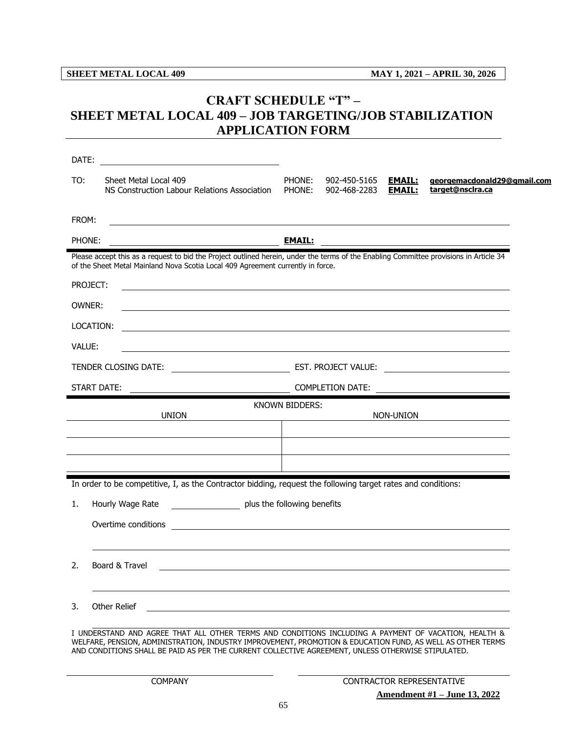## <span id="page-67-0"></span>**CRAFT SCHEDULE "T" – SHEET METAL LOCAL 409 – JOB TARGETING/JOB STABILIZATION APPLICATION FORM**

| TO:    | Sheet Metal Local 409<br>NS Construction Labour Relations Association                                                                                                                                                     | PHONE:<br>PHONE:      | 902-450-5165<br>902-468-2283 | <b>EMAIL:</b><br><b>EMAIL:</b> | georgemacdonald29@gmail.com<br>target@nsclra.ca        |
|--------|---------------------------------------------------------------------------------------------------------------------------------------------------------------------------------------------------------------------------|-----------------------|------------------------------|--------------------------------|--------------------------------------------------------|
| FROM:  |                                                                                                                                                                                                                           |                       |                              |                                |                                                        |
| PHONE: |                                                                                                                                                                                                                           |                       |                              |                                |                                                        |
|        | Please accept this as a request to bid the Project outlined herein, under the terms of the Enabling Committee provisions in Article 34<br>of the Sheet Metal Mainland Nova Scotia Local 409 Agreement currently in force. |                       |                              |                                |                                                        |
|        | PROJECT:<br>,我们也不会有什么。""我们的人,我们也不会有什么?""我们的人,我们也不会有什么?""我们的人,我们也不会有什么?""我们的人,我们也不会有什么?""我们的人                                                                                                                              |                       |                              |                                |                                                        |
| OWNER: | ,我们也不会有什么。""我们的人,我们也不会有什么?""我们的人,我们也不会有什么?""我们的人,我们也不会有什么?""我们的人,我们也不会有什么?""我们的人                                                                                                                                          |                       |                              |                                |                                                        |
|        | LOCATION:<br><u> 1989 - Andrea Santa Andrea Andrea Santa Andrea Andrea Andrea Andrea Andrea Andrea Andrea Andrea Andrea Andre</u>                                                                                         |                       |                              |                                |                                                        |
| VALUE: | <u> 1980 - Johann Barn, fransk politik (f. 1980)</u>                                                                                                                                                                      |                       |                              |                                |                                                        |
|        |                                                                                                                                                                                                                           |                       |                              |                                |                                                        |
|        | START DATE:<br><u> 1989 - Johann John Stein, markin santa shekara ta 1989 - An tsa a shekara ta 1989 - An tsa a tsa a tsa a tsa</u>                                                                                       |                       |                              |                                | COMPLETION DATE: <u>______________________________</u> |
|        |                                                                                                                                                                                                                           | <b>KNOWN BIDDERS:</b> |                              |                                |                                                        |
|        | <b>UNION</b>                                                                                                                                                                                                              |                       |                              | NON-UNION                      | <u>and the state of the state of the state</u>         |
|        |                                                                                                                                                                                                                           |                       |                              |                                |                                                        |
|        |                                                                                                                                                                                                                           |                       |                              |                                |                                                        |
|        | In order to be competitive, I, as the Contractor bidding, request the following target rates and conditions:                                                                                                              |                       |                              |                                |                                                        |
| 1.     | Hourly Wage Rate ______________________ plus the following benefits                                                                                                                                                       |                       |                              |                                |                                                        |
|        |                                                                                                                                                                                                                           |                       |                              |                                |                                                        |
|        |                                                                                                                                                                                                                           |                       |                              |                                |                                                        |
|        |                                                                                                                                                                                                                           |                       |                              |                                |                                                        |
| 2.     | Board & Travel                                                                                                                                                                                                            |                       |                              |                                |                                                        |
|        |                                                                                                                                                                                                                           |                       |                              |                                |                                                        |
| 3.     | Other Relief                                                                                                                                                                                                              |                       |                              |                                |                                                        |
|        | I UNDERSTAND AND AGREE THAT ALL OTHER TERMS AND CONDITIONS INCLUDING A PAYMENT OF VACATION, HEALTH &<br>WELFARE, PENSION, ADMINISTRATION, INDUSTRY IMPROVEMENT, PROMOTION & EDUCATION FUND, AS WELL AS OTHER TERMS        |                       |                              |                                |                                                        |
|        | AND CONDITIONS SHALL BE PAID AS PER THE CURRENT COLLECTIVE AGREEMENT, UNLESS OTHERWISE STIPULATED.                                                                                                                        |                       |                              |                                |                                                        |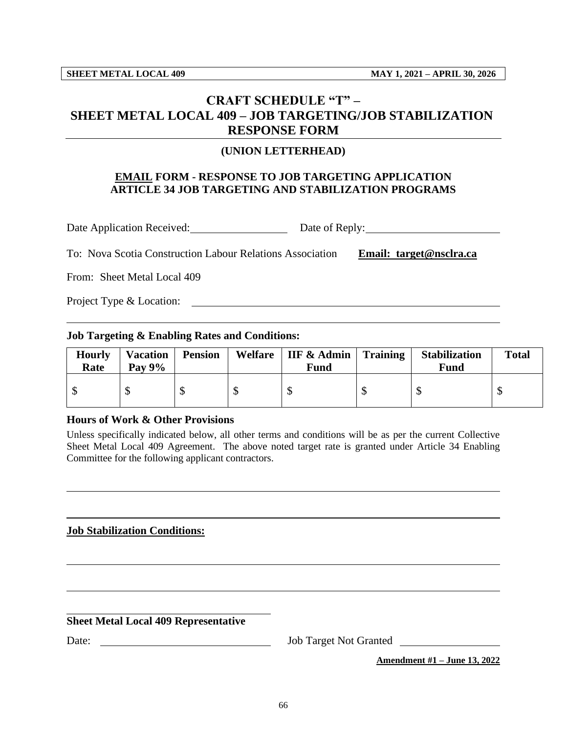## <span id="page-68-0"></span>**CRAFT SCHEDULE "T" – SHEET METAL LOCAL 409 – JOB TARGETING/JOB STABILIZATION RESPONSE FORM**

#### **(UNION LETTERHEAD)**

#### **EMAIL FORM - RESPONSE TO JOB TARGETING APPLICATION ARTICLE 34 JOB TARGETING AND STABILIZATION PROGRAMS**

Date Application Received: Date of Reply:

To: Nova Scotia Construction Labour Relations Association **Email: target@nsclra.ca**

From: Sheet Metal Local 409

Project Type & Location:

#### **Job Targeting & Enabling Rates and Conditions:**

| <b>Hourly</b><br>Rate | <b>Vacation</b><br>Pay $9\%$ | <b>Pension</b> | Welfare | <b>IIF &amp; Admin</b> $\vert$ Training<br>Fund |         | <b>Stabilization</b><br>Fund | <b>Total</b> |
|-----------------------|------------------------------|----------------|---------|-------------------------------------------------|---------|------------------------------|--------------|
| лD                    |                              |                | ◡       | КD                                              | ጦ<br>лD | лIJ                          |              |

#### **Hours of Work & Other Provisions**

Unless specifically indicated below, all other terms and conditions will be as per the current Collective Sheet Metal Local 409 Agreement. The above noted target rate is granted under Article 34 Enabling Committee for the following applicant contractors.

#### **Job Stabilization Conditions:**

**Sheet Metal Local 409 Representative**

Date: Job Target Not Granted

**Amendment #1 – June 13, 2022**